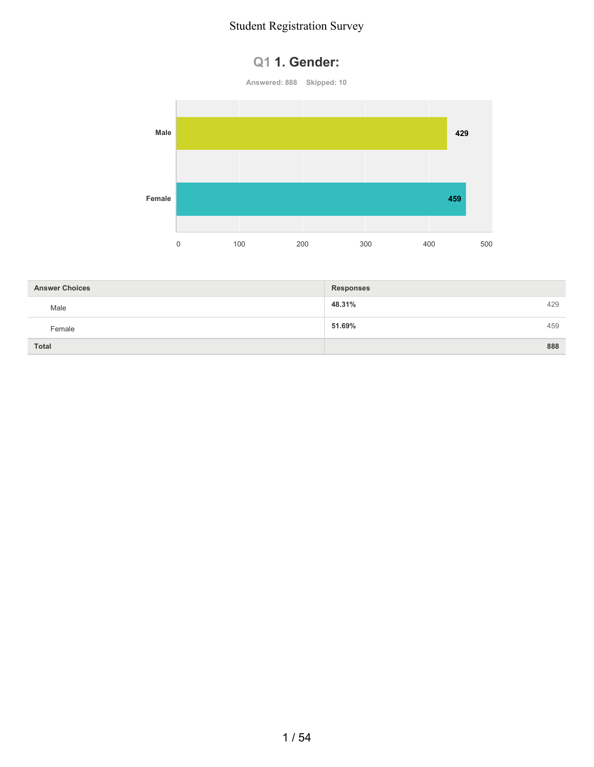### **Q1 1. Gender:**



| <b>Answer Choices</b> | <b>Responses</b> |     |
|-----------------------|------------------|-----|
| Male                  | 48.31%           | 429 |
| Female                | 51.69%           | 459 |
| <b>Total</b>          |                  | 888 |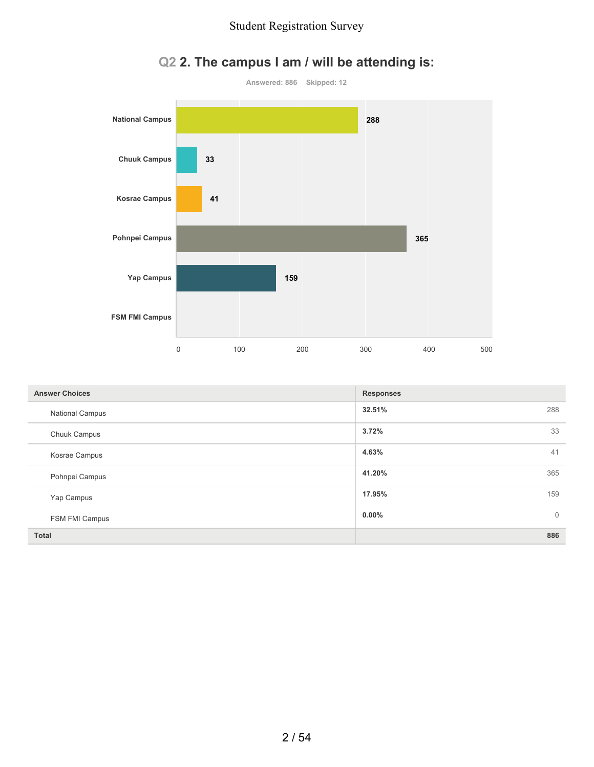

## **Q2 2. The campus I am / will be attending is:**

| <b>Answer Choices</b>  | <b>Responses</b>         |
|------------------------|--------------------------|
| <b>National Campus</b> | 32.51%<br>288            |
| Chuuk Campus           | 3.72%<br>33              |
| Kosrae Campus          | 4.63%<br>41              |
| Pohnpei Campus         | 41.20%<br>365            |
| Yap Campus             | 17.95%<br>159            |
| FSM FMI Campus         | $0.00\%$<br>$\mathbf{0}$ |
| <b>Total</b>           | 886                      |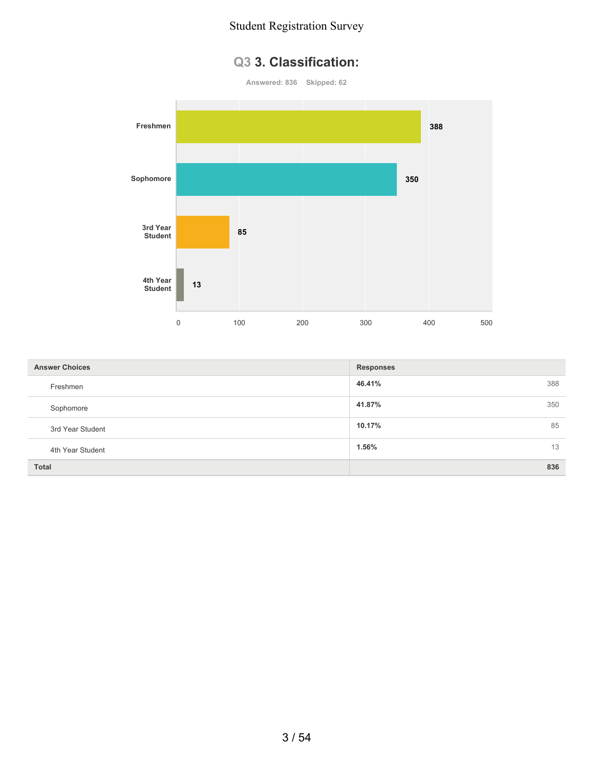### **Q3 3. Classification:**

**Answered: 836 Skipped: 62**



| <b>Answer Choices</b> | <b>Responses</b> |  |
|-----------------------|------------------|--|
| Freshmen              | 46.41%<br>388    |  |
| Sophomore             | 41.87%<br>350    |  |
| 3rd Year Student      | 85<br>10.17%     |  |
| 4th Year Student      | 13<br>1.56%      |  |
| <b>Total</b>          | 836              |  |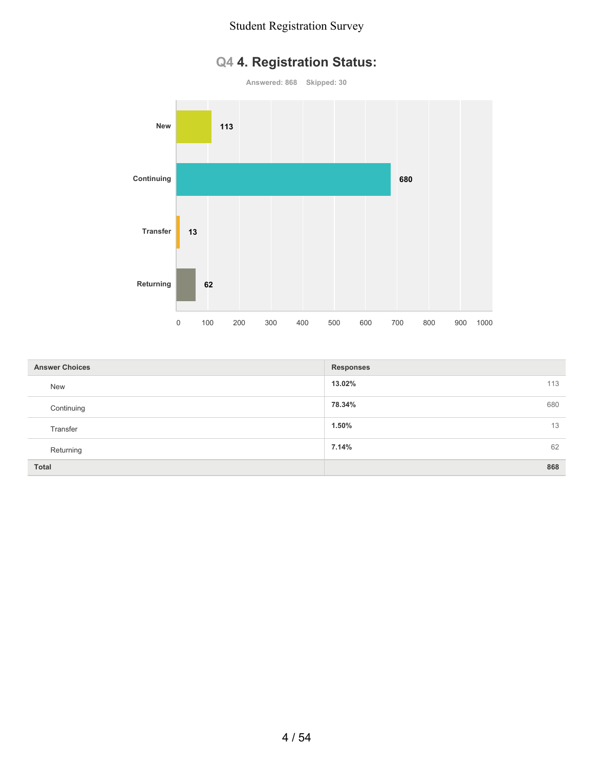## **Q4 4. Registration Status:**

**Answered: 868 Skipped: 30 New Continuing Transfer Returning** 0 100 200 300 400 500 600 700 800 900 1000 **113 680 13 62**

| <b>Answer Choices</b> | <b>Responses</b> |
|-----------------------|------------------|
| <b>New</b>            | 13.02%<br>113    |
| Continuing            | 78.34%<br>680    |
| Transfer              | 13<br>1.50%      |
| Returning             | 62<br>7.14%      |
| <b>Total</b>          | 868              |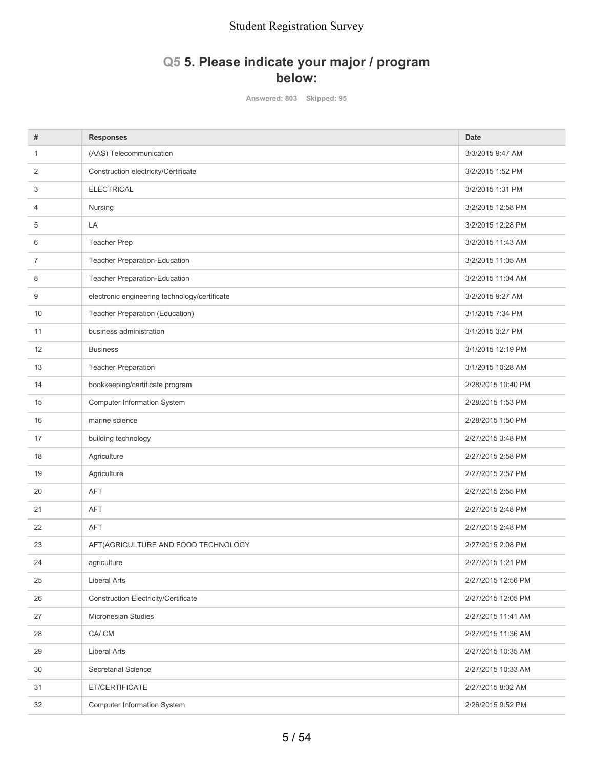### **Q5 5. Please indicate your major / program below:**

**Answered: 803 Skipped: 95**

| #  | <b>Responses</b>                              | <b>Date</b>        |
|----|-----------------------------------------------|--------------------|
| 1  | (AAS) Telecommunication                       | 3/3/2015 9:47 AM   |
| 2  | Construction electricity/Certificate          | 3/2/2015 1:52 PM   |
| 3  | <b>ELECTRICAL</b>                             | 3/2/2015 1:31 PM   |
| 4  | Nursing                                       | 3/2/2015 12:58 PM  |
| 5  | LA                                            | 3/2/2015 12:28 PM  |
| 6  | <b>Teacher Prep</b>                           | 3/2/2015 11:43 AM  |
| 7  | Teacher Preparation-Education                 | 3/2/2015 11:05 AM  |
| 8  | Teacher Preparation-Education                 | 3/2/2015 11:04 AM  |
| 9  | electronic engineering technology/certificate | 3/2/2015 9:27 AM   |
| 10 | Teacher Preparation (Education)               | 3/1/2015 7:34 PM   |
| 11 | business administration                       | 3/1/2015 3:27 PM   |
| 12 | <b>Business</b>                               | 3/1/2015 12:19 PM  |
| 13 | <b>Teacher Preparation</b>                    | 3/1/2015 10:28 AM  |
| 14 | bookkeeping/certificate program               | 2/28/2015 10:40 PM |
| 15 | <b>Computer Information System</b>            | 2/28/2015 1:53 PM  |
| 16 | marine science                                | 2/28/2015 1:50 PM  |
| 17 | building technology                           | 2/27/2015 3:48 PM  |
| 18 | Agriculture                                   | 2/27/2015 2:58 PM  |
| 19 | Agriculture                                   | 2/27/2015 2:57 PM  |
| 20 | <b>AFT</b>                                    | 2/27/2015 2:55 PM  |
| 21 | <b>AFT</b>                                    | 2/27/2015 2:48 PM  |
| 22 | <b>AFT</b>                                    | 2/27/2015 2:48 PM  |
| 23 | AFT(AGRICULTURE AND FOOD TECHNOLOGY           | 2/27/2015 2:08 PM  |
| 24 | agriculture                                   | 2/27/2015 1:21 PM  |
| 25 | <b>Liberal Arts</b>                           | 2/27/2015 12:56 PM |
| 26 | <b>Construction Electricity/Certificate</b>   | 2/27/2015 12:05 PM |
| 27 | Micronesian Studies                           | 2/27/2015 11:41 AM |
| 28 | CA/CM                                         | 2/27/2015 11:36 AM |
| 29 | <b>Liberal Arts</b>                           | 2/27/2015 10:35 AM |
| 30 | <b>Secretarial Science</b>                    | 2/27/2015 10:33 AM |
| 31 | ET/CERTIFICATE                                | 2/27/2015 8:02 AM  |
| 32 | <b>Computer Information System</b>            | 2/26/2015 9:52 PM  |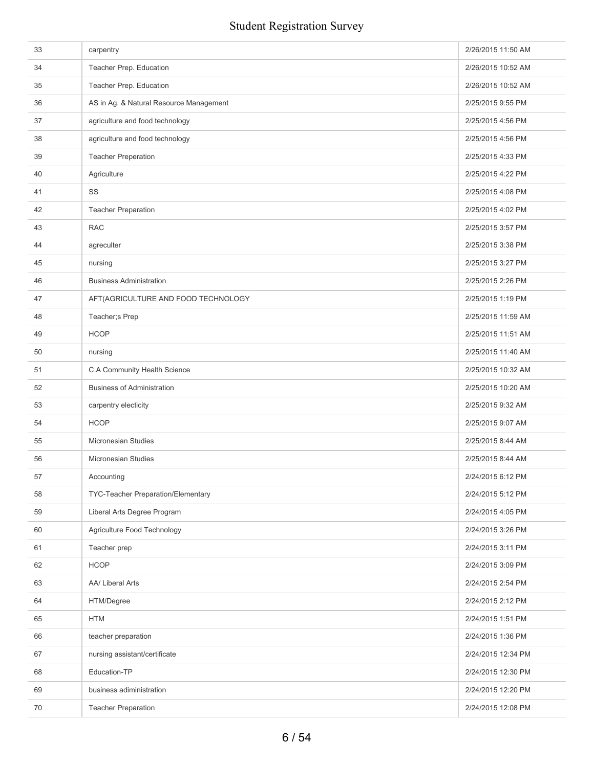| 33 | carpentry                               | 2/26/2015 11:50 AM |
|----|-----------------------------------------|--------------------|
| 34 | Teacher Prep. Education                 | 2/26/2015 10:52 AM |
| 35 | Teacher Prep. Education                 | 2/26/2015 10:52 AM |
| 36 | AS in Ag. & Natural Resource Management | 2/25/2015 9:55 PM  |
| 37 | agriculture and food technology         | 2/25/2015 4:56 PM  |
| 38 | agriculture and food technology         | 2/25/2015 4:56 PM  |
| 39 | <b>Teacher Preperation</b>              | 2/25/2015 4:33 PM  |
| 40 | Agriculture                             | 2/25/2015 4:22 PM  |
| 41 | SS                                      | 2/25/2015 4:08 PM  |
| 42 | <b>Teacher Preparation</b>              | 2/25/2015 4:02 PM  |
| 43 | <b>RAC</b>                              | 2/25/2015 3:57 PM  |
| 44 | agreculter                              | 2/25/2015 3:38 PM  |
| 45 | nursing                                 | 2/25/2015 3:27 PM  |
| 46 | <b>Business Administration</b>          | 2/25/2015 2:26 PM  |
| 47 | AFT(AGRICULTURE AND FOOD TECHNOLOGY     | 2/25/2015 1:19 PM  |
| 48 | Teacher;s Prep                          | 2/25/2015 11:59 AM |
| 49 | <b>HCOP</b>                             | 2/25/2015 11:51 AM |
| 50 | nursing                                 | 2/25/2015 11:40 AM |
| 51 | C.A Community Health Science            | 2/25/2015 10:32 AM |
| 52 | <b>Business of Administration</b>       | 2/25/2015 10:20 AM |
| 53 | carpentry electicity                    | 2/25/2015 9:32 AM  |
| 54 | <b>HCOP</b>                             | 2/25/2015 9:07 AM  |
| 55 | <b>Micronesian Studies</b>              | 2/25/2015 8:44 AM  |
| 56 | Micronesian Studies                     | 2/25/2015 8:44 AM  |
| 57 | Accounting                              | 2/24/2015 6:12 PM  |
| 58 | TYC-Teacher Preparation/Elementary      | 2/24/2015 5:12 PM  |
| 59 | Liberal Arts Degree Program             | 2/24/2015 4:05 PM  |
| 60 | Agriculture Food Technology             | 2/24/2015 3:26 PM  |
| 61 | Teacher prep                            | 2/24/2015 3:11 PM  |
| 62 | <b>HCOP</b>                             | 2/24/2015 3:09 PM  |
| 63 | AA/ Liberal Arts                        | 2/24/2015 2:54 PM  |
| 64 | HTM/Degree                              | 2/24/2015 2:12 PM  |
| 65 | <b>HTM</b>                              | 2/24/2015 1:51 PM  |
| 66 | teacher preparation                     | 2/24/2015 1:36 PM  |
| 67 | nursing assistant/certificate           | 2/24/2015 12:34 PM |
| 68 | Education-TP                            | 2/24/2015 12:30 PM |
| 69 | business adiministration                | 2/24/2015 12:20 PM |
| 70 | <b>Teacher Preparation</b>              | 2/24/2015 12:08 PM |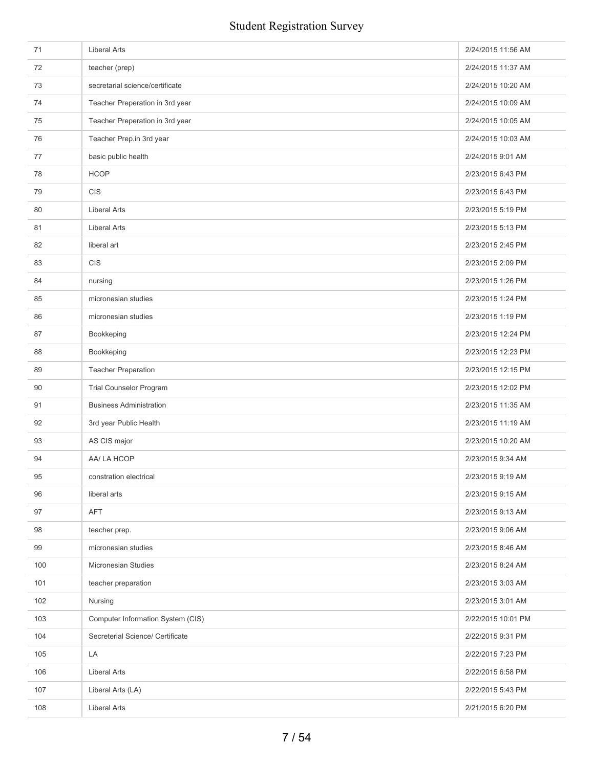| 71  | <b>Liberal Arts</b>               | 2/24/2015 11:56 AM |
|-----|-----------------------------------|--------------------|
| 72  | teacher (prep)                    | 2/24/2015 11:37 AM |
| 73  | secretarial science/certificate   | 2/24/2015 10:20 AM |
| 74  | Teacher Preperation in 3rd year   | 2/24/2015 10:09 AM |
| 75  | Teacher Preperation in 3rd year   | 2/24/2015 10:05 AM |
| 76  | Teacher Prep.in 3rd year          | 2/24/2015 10:03 AM |
| 77  | basic public health               | 2/24/2015 9:01 AM  |
| 78  | <b>HCOP</b>                       | 2/23/2015 6:43 PM  |
| 79  | <b>CIS</b>                        | 2/23/2015 6:43 PM  |
| 80  | <b>Liberal Arts</b>               | 2/23/2015 5:19 PM  |
| 81  | <b>Liberal Arts</b>               | 2/23/2015 5:13 PM  |
| 82  | liberal art                       | 2/23/2015 2:45 PM  |
| 83  | <b>CIS</b>                        | 2/23/2015 2:09 PM  |
| 84  | nursing                           | 2/23/2015 1:26 PM  |
| 85  | micronesian studies               | 2/23/2015 1:24 PM  |
| 86  | micronesian studies               | 2/23/2015 1:19 PM  |
| 87  | Bookkeping                        | 2/23/2015 12:24 PM |
| 88  | Bookkeping                        | 2/23/2015 12:23 PM |
| 89  | <b>Teacher Preparation</b>        | 2/23/2015 12:15 PM |
| 90  | <b>Trial Counselor Program</b>    | 2/23/2015 12:02 PM |
| 91  | <b>Business Administration</b>    | 2/23/2015 11:35 AM |
| 92  | 3rd year Public Health            | 2/23/2015 11:19 AM |
| 93  | AS CIS major                      | 2/23/2015 10:20 AM |
| 94  | AA/ LA HCOP                       | 2/23/2015 9:34 AM  |
| 95  | constration electrical            | 2/23/2015 9:19 AM  |
| 96  | liberal arts                      | 2/23/2015 9:15 AM  |
| 97  | AFT                               | 2/23/2015 9:13 AM  |
| 98  | teacher prep.                     | 2/23/2015 9:06 AM  |
| 99  | micronesian studies               | 2/23/2015 8:46 AM  |
| 100 | Micronesian Studies               | 2/23/2015 8:24 AM  |
| 101 | teacher preparation               | 2/23/2015 3:03 AM  |
| 102 | Nursing                           | 2/23/2015 3:01 AM  |
| 103 | Computer Information System (CIS) | 2/22/2015 10:01 PM |
| 104 | Secreterial Science/ Certificate  | 2/22/2015 9:31 PM  |
| 105 | LA                                | 2/22/2015 7:23 PM  |
| 106 | <b>Liberal Arts</b>               | 2/22/2015 6:58 PM  |
| 107 | Liberal Arts (LA)                 | 2/22/2015 5:43 PM  |
| 108 | <b>Liberal Arts</b>               | 2/21/2015 6:20 PM  |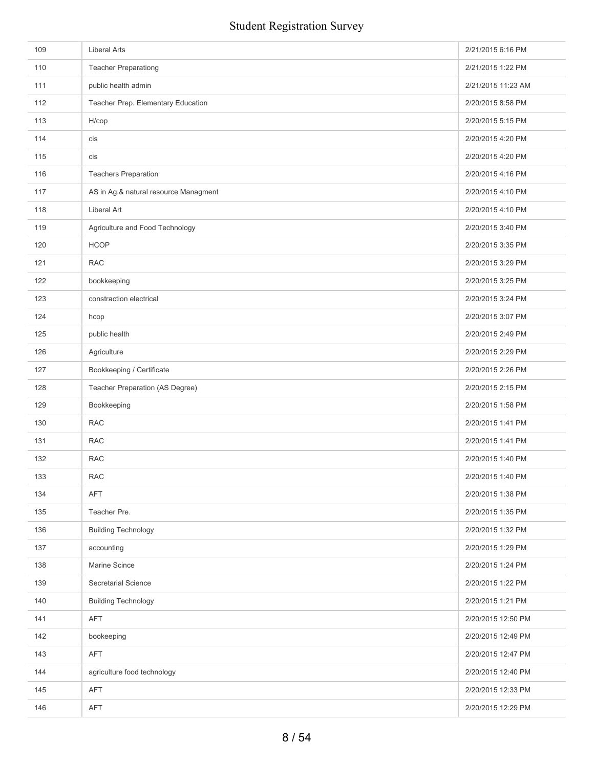| 109 | <b>Liberal Arts</b>                   | 2/21/2015 6:16 PM  |
|-----|---------------------------------------|--------------------|
| 110 | <b>Teacher Preparationg</b>           | 2/21/2015 1:22 PM  |
| 111 | public health admin                   | 2/21/2015 11:23 AM |
| 112 | Teacher Prep. Elementary Education    | 2/20/2015 8:58 PM  |
| 113 | $H / \text{cop}$                      | 2/20/2015 5:15 PM  |
| 114 | cis                                   | 2/20/2015 4:20 PM  |
| 115 | cis                                   | 2/20/2015 4:20 PM  |
| 116 | <b>Teachers Preparation</b>           | 2/20/2015 4:16 PM  |
| 117 | AS in Ag.& natural resource Managment | 2/20/2015 4:10 PM  |
| 118 | Liberal Art                           | 2/20/2015 4:10 PM  |
| 119 | Agriculture and Food Technology       | 2/20/2015 3:40 PM  |
| 120 | <b>HCOP</b>                           | 2/20/2015 3:35 PM  |
| 121 | <b>RAC</b>                            | 2/20/2015 3:29 PM  |
| 122 | bookkeeping                           | 2/20/2015 3:25 PM  |
| 123 | constraction electrical               | 2/20/2015 3:24 PM  |
| 124 | hcop                                  | 2/20/2015 3:07 PM  |
| 125 | public health                         | 2/20/2015 2:49 PM  |
| 126 | Agriculture                           | 2/20/2015 2:29 PM  |
| 127 | Bookkeeping / Certificate             | 2/20/2015 2:26 PM  |
| 128 | Teacher Preparation (AS Degree)       | 2/20/2015 2:15 PM  |
| 129 | Bookkeeping                           | 2/20/2015 1:58 PM  |
| 130 | <b>RAC</b>                            | 2/20/2015 1:41 PM  |
| 131 | <b>RAC</b>                            | 2/20/2015 1:41 PM  |
| 132 | <b>RAC</b>                            | 2/20/2015 1:40 PM  |
| 133 | RAC                                   | 2/20/2015 1:40 PM  |
| 134 | AFT                                   | 2/20/2015 1:38 PM  |
| 135 | Teacher Pre.                          | 2/20/2015 1:35 PM  |
| 136 | <b>Building Technology</b>            | 2/20/2015 1:32 PM  |
| 137 | accounting                            | 2/20/2015 1:29 PM  |
| 138 | Marine Scince                         | 2/20/2015 1:24 PM  |
| 139 | Secretarial Science                   | 2/20/2015 1:22 PM  |
| 140 | <b>Building Technology</b>            | 2/20/2015 1:21 PM  |
| 141 | AFT                                   | 2/20/2015 12:50 PM |
| 142 | bookeeping                            | 2/20/2015 12:49 PM |
| 143 | <b>AFT</b>                            | 2/20/2015 12:47 PM |
| 144 | agriculture food technology           | 2/20/2015 12:40 PM |
| 145 | <b>AFT</b>                            | 2/20/2015 12:33 PM |
| 146 | AFT                                   | 2/20/2015 12:29 PM |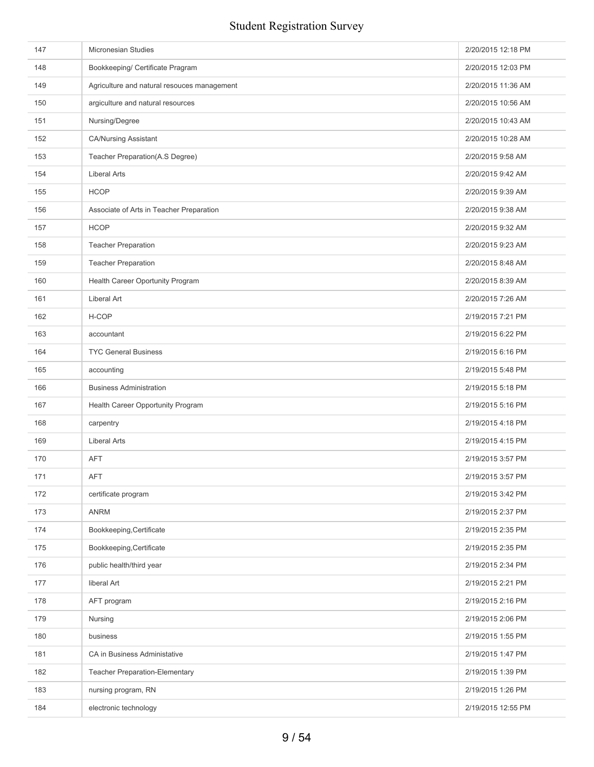| 147 | Micronesian Studies                         | 2/20/2015 12:18 PM |
|-----|---------------------------------------------|--------------------|
| 148 | Bookkeeping/ Certificate Pragram            | 2/20/2015 12:03 PM |
| 149 | Agriculture and natural resouces management | 2/20/2015 11:36 AM |
| 150 | argiculture and natural resources           | 2/20/2015 10:56 AM |
| 151 | Nursing/Degree                              | 2/20/2015 10:43 AM |
| 152 | <b>CA/Nursing Assistant</b>                 | 2/20/2015 10:28 AM |
| 153 | Teacher Preparation(A.S Degree)             | 2/20/2015 9:58 AM  |
| 154 | <b>Liberal Arts</b>                         | 2/20/2015 9:42 AM  |
| 155 | <b>HCOP</b>                                 | 2/20/2015 9:39 AM  |
| 156 | Associate of Arts in Teacher Preparation    | 2/20/2015 9:38 AM  |
| 157 | <b>HCOP</b>                                 | 2/20/2015 9:32 AM  |
| 158 | <b>Teacher Preparation</b>                  | 2/20/2015 9:23 AM  |
| 159 | <b>Teacher Preparation</b>                  | 2/20/2015 8:48 AM  |
| 160 | Health Career Oportunity Program            | 2/20/2015 8:39 AM  |
| 161 | Liberal Art                                 | 2/20/2015 7:26 AM  |
| 162 | H-COP                                       | 2/19/2015 7:21 PM  |
| 163 | accountant                                  | 2/19/2015 6:22 PM  |
| 164 | <b>TYC General Business</b>                 | 2/19/2015 6:16 PM  |
| 165 | accounting                                  | 2/19/2015 5:48 PM  |
| 166 | <b>Business Administration</b>              | 2/19/2015 5:18 PM  |
| 167 | Health Career Opportunity Program           | 2/19/2015 5:16 PM  |
| 168 | carpentry                                   | 2/19/2015 4:18 PM  |
| 169 | <b>Liberal Arts</b>                         | 2/19/2015 4:15 PM  |
| 170 | <b>AFT</b>                                  | 2/19/2015 3:57 PM  |
| 171 | AFT                                         | 2/19/2015 3:57 PM  |
| 172 | certificate program                         | 2/19/2015 3:42 PM  |
| 173 | <b>ANRM</b>                                 | 2/19/2015 2:37 PM  |
| 174 | Bookkeeping, Certificate                    | 2/19/2015 2:35 PM  |
| 175 | Bookkeeping, Certificate                    | 2/19/2015 2:35 PM  |
| 176 | public health/third year                    | 2/19/2015 2:34 PM  |
| 177 | liberal Art                                 | 2/19/2015 2:21 PM  |
| 178 | AFT program                                 | 2/19/2015 2:16 PM  |
| 179 | Nursing                                     | 2/19/2015 2:06 PM  |
| 180 | business                                    | 2/19/2015 1:55 PM  |
| 181 | CA in Business Administative                | 2/19/2015 1:47 PM  |
| 182 | <b>Teacher Preparation-Elementary</b>       | 2/19/2015 1:39 PM  |
| 183 | nursing program, RN                         | 2/19/2015 1:26 PM  |
| 184 | electronic technology                       | 2/19/2015 12:55 PM |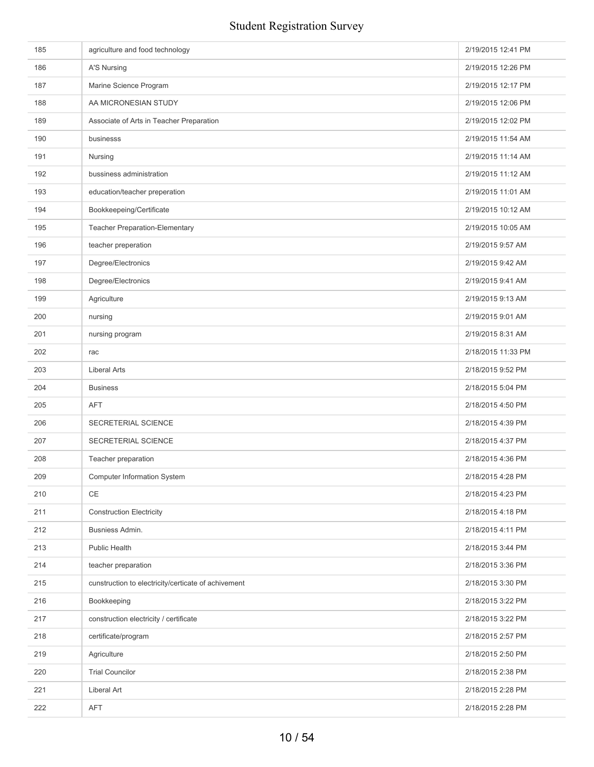| 185 | agriculture and food technology                     | 2/19/2015 12:41 PM |
|-----|-----------------------------------------------------|--------------------|
| 186 | A'S Nursing                                         | 2/19/2015 12:26 PM |
| 187 | Marine Science Program                              | 2/19/2015 12:17 PM |
| 188 | AA MICRONESIAN STUDY                                | 2/19/2015 12:06 PM |
| 189 | Associate of Arts in Teacher Preparation            | 2/19/2015 12:02 PM |
| 190 | businesss                                           | 2/19/2015 11:54 AM |
| 191 | Nursing                                             | 2/19/2015 11:14 AM |
| 192 | bussiness administration                            | 2/19/2015 11:12 AM |
| 193 | education/teacher preperation                       | 2/19/2015 11:01 AM |
| 194 | Bookkeepeing/Certificate                            | 2/19/2015 10:12 AM |
| 195 | Teacher Preparation-Elementary                      | 2/19/2015 10:05 AM |
| 196 | teacher preperation                                 | 2/19/2015 9:57 AM  |
| 197 | Degree/Electronics                                  | 2/19/2015 9:42 AM  |
| 198 | Degree/Electronics                                  | 2/19/2015 9:41 AM  |
| 199 | Agriculture                                         | 2/19/2015 9:13 AM  |
| 200 | nursing                                             | 2/19/2015 9:01 AM  |
| 201 | nursing program                                     | 2/19/2015 8:31 AM  |
| 202 | rac                                                 | 2/18/2015 11:33 PM |
| 203 | <b>Liberal Arts</b>                                 | 2/18/2015 9:52 PM  |
| 204 | <b>Business</b>                                     | 2/18/2015 5:04 PM  |
| 205 | <b>AFT</b>                                          | 2/18/2015 4:50 PM  |
| 206 | SECRETERIAL SCIENCE                                 | 2/18/2015 4:39 PM  |
| 207 | SECRETERIAL SCIENCE                                 | 2/18/2015 4:37 PM  |
| 208 | Teacher preparation                                 | 2/18/2015 4:36 PM  |
| 209 | <b>Computer Information System</b>                  | 2/18/2015 4:28 PM  |
| 210 | CE                                                  | 2/18/2015 4:23 PM  |
| 211 | <b>Construction Electricity</b>                     | 2/18/2015 4:18 PM  |
| 212 | Busniess Admin.                                     | 2/18/2015 4:11 PM  |
| 213 | <b>Public Health</b>                                | 2/18/2015 3:44 PM  |
| 214 | teacher preparation                                 | 2/18/2015 3:36 PM  |
| 215 | cunstruction to electricity/certicate of achivement | 2/18/2015 3:30 PM  |
| 216 | Bookkeeping                                         | 2/18/2015 3:22 PM  |
| 217 | construction electricity / certificate              | 2/18/2015 3:22 PM  |
| 218 | certificate/program                                 | 2/18/2015 2:57 PM  |
| 219 | Agriculture                                         | 2/18/2015 2:50 PM  |
| 220 | <b>Trial Councilor</b>                              | 2/18/2015 2:38 PM  |
| 221 | Liberal Art                                         | 2/18/2015 2:28 PM  |
| 222 | AFT                                                 | 2/18/2015 2:28 PM  |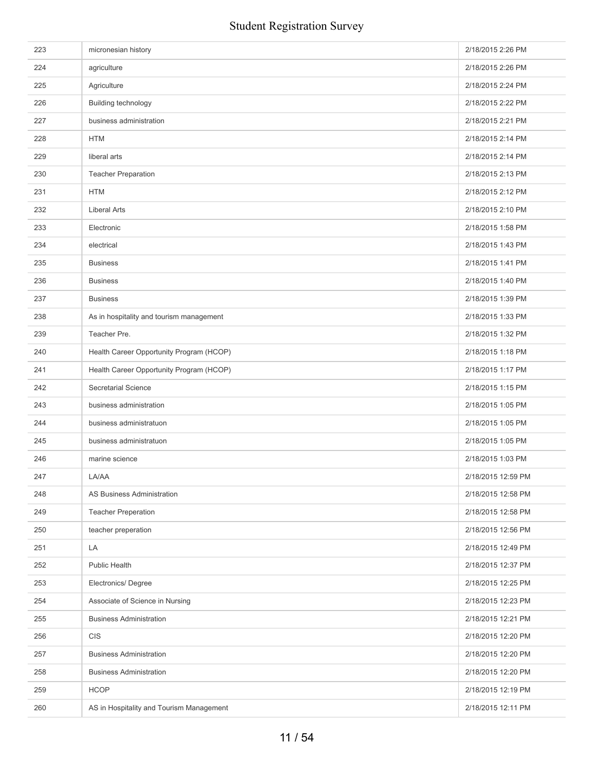| 223 | micronesian history                      | 2/18/2015 2:26 PM  |
|-----|------------------------------------------|--------------------|
| 224 | agriculture                              | 2/18/2015 2:26 PM  |
| 225 | Agriculture                              | 2/18/2015 2:24 PM  |
| 226 | Building technology                      | 2/18/2015 2:22 PM  |
| 227 | business administration                  | 2/18/2015 2:21 PM  |
| 228 | <b>HTM</b>                               | 2/18/2015 2:14 PM  |
| 229 | liberal arts                             | 2/18/2015 2:14 PM  |
| 230 | <b>Teacher Preparation</b>               | 2/18/2015 2:13 PM  |
| 231 | <b>HTM</b>                               | 2/18/2015 2:12 PM  |
| 232 | <b>Liberal Arts</b>                      | 2/18/2015 2:10 PM  |
| 233 | Electronic                               | 2/18/2015 1:58 PM  |
| 234 | electrical                               | 2/18/2015 1:43 PM  |
| 235 | <b>Business</b>                          | 2/18/2015 1:41 PM  |
| 236 | <b>Business</b>                          | 2/18/2015 1:40 PM  |
| 237 | <b>Business</b>                          | 2/18/2015 1:39 PM  |
| 238 | As in hospitality and tourism management | 2/18/2015 1:33 PM  |
| 239 | Teacher Pre.                             | 2/18/2015 1:32 PM  |
| 240 | Health Career Opportunity Program (HCOP) | 2/18/2015 1:18 PM  |
| 241 | Health Career Opportunity Program (HCOP) | 2/18/2015 1:17 PM  |
| 242 | <b>Secretarial Science</b>               | 2/18/2015 1:15 PM  |
| 243 | business administration                  | 2/18/2015 1:05 PM  |
| 244 | business administratuon                  | 2/18/2015 1:05 PM  |
| 245 | business administratuon                  | 2/18/2015 1:05 PM  |
| 246 | marine science                           | 2/18/2015 1:03 PM  |
| 247 | LA/AA                                    | 2/18/2015 12:59 PM |
| 248 | AS Business Administration               | 2/18/2015 12:58 PM |
| 249 | <b>Teacher Preperation</b>               | 2/18/2015 12:58 PM |
| 250 | teacher preperation                      | 2/18/2015 12:56 PM |
| 251 | LA                                       | 2/18/2015 12:49 PM |
| 252 | <b>Public Health</b>                     | 2/18/2015 12:37 PM |
| 253 | Electronics/Degree                       | 2/18/2015 12:25 PM |
| 254 | Associate of Science in Nursing          | 2/18/2015 12:23 PM |
| 255 | <b>Business Administration</b>           | 2/18/2015 12:21 PM |
| 256 | <b>CIS</b>                               | 2/18/2015 12:20 PM |
| 257 | <b>Business Administration</b>           | 2/18/2015 12:20 PM |
| 258 | <b>Business Administration</b>           | 2/18/2015 12:20 PM |
| 259 | <b>HCOP</b>                              | 2/18/2015 12:19 PM |
| 260 | AS in Hospitality and Tourism Management | 2/18/2015 12:11 PM |
|     |                                          |                    |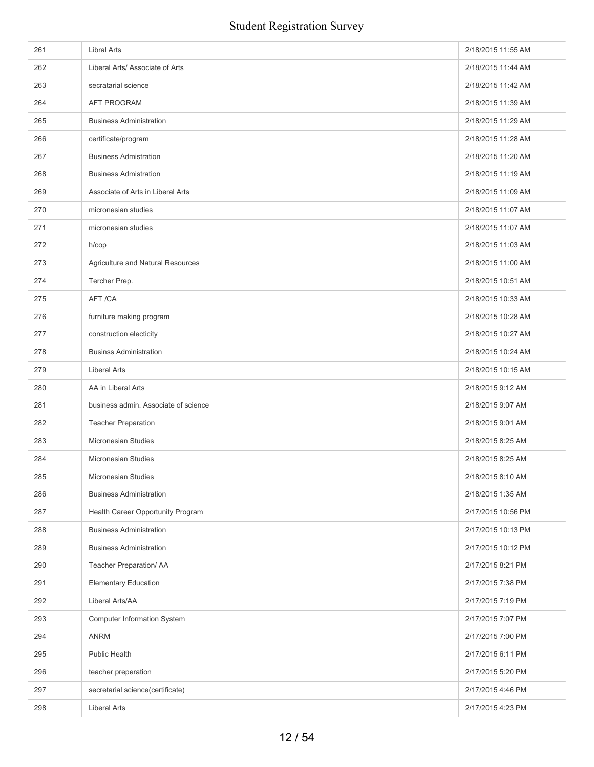| 261 | <b>Libral Arts</b>                   | 2/18/2015 11:55 AM |
|-----|--------------------------------------|--------------------|
| 262 | Liberal Arts/ Associate of Arts      | 2/18/2015 11:44 AM |
| 263 | secratarial science                  | 2/18/2015 11:42 AM |
| 264 | <b>AFT PROGRAM</b>                   | 2/18/2015 11:39 AM |
| 265 | <b>Business Administration</b>       | 2/18/2015 11:29 AM |
| 266 | certificate/program                  | 2/18/2015 11:28 AM |
| 267 | <b>Business Admistration</b>         | 2/18/2015 11:20 AM |
| 268 | <b>Business Admistration</b>         | 2/18/2015 11:19 AM |
| 269 | Associate of Arts in Liberal Arts    | 2/18/2015 11:09 AM |
| 270 | micronesian studies                  | 2/18/2015 11:07 AM |
| 271 | micronesian studies                  | 2/18/2015 11:07 AM |
| 272 | h/cop                                | 2/18/2015 11:03 AM |
| 273 | Agriculture and Natural Resources    | 2/18/2015 11:00 AM |
| 274 | Tercher Prep.                        | 2/18/2015 10:51 AM |
| 275 | AFT /CA                              | 2/18/2015 10:33 AM |
| 276 | furniture making program             | 2/18/2015 10:28 AM |
| 277 | construction electicity              | 2/18/2015 10:27 AM |
| 278 | <b>Businss Administration</b>        | 2/18/2015 10:24 AM |
| 279 | <b>Liberal Arts</b>                  | 2/18/2015 10:15 AM |
| 280 | AA in Liberal Arts                   | 2/18/2015 9:12 AM  |
| 281 | business admin. Associate of science | 2/18/2015 9:07 AM  |
| 282 | <b>Teacher Preparation</b>           | 2/18/2015 9:01 AM  |
| 283 | <b>Micronesian Studies</b>           | 2/18/2015 8:25 AM  |
| 284 | Micronesian Studies                  | 2/18/2015 8:25 AM  |
| 285 | Micronesian Studies                  | 2/18/2015 8:10 AM  |
| 286 | <b>Business Administration</b>       | 2/18/2015 1:35 AM  |
| 287 | Health Career Opportunity Program    | 2/17/2015 10:56 PM |
| 288 | <b>Business Administration</b>       | 2/17/2015 10:13 PM |
| 289 | <b>Business Administration</b>       | 2/17/2015 10:12 PM |
| 290 | Teacher Preparation/ AA              | 2/17/2015 8:21 PM  |
| 291 | <b>Elementary Education</b>          | 2/17/2015 7:38 PM  |
| 292 | Liberal Arts/AA                      | 2/17/2015 7:19 PM  |
| 293 | <b>Computer Information System</b>   | 2/17/2015 7:07 PM  |
| 294 | <b>ANRM</b>                          | 2/17/2015 7:00 PM  |
| 295 | Public Health                        | 2/17/2015 6:11 PM  |
| 296 | teacher preperation                  | 2/17/2015 5:20 PM  |
| 297 | secretarial science(certificate)     | 2/17/2015 4:46 PM  |
| 298 | <b>Liberal Arts</b>                  | 2/17/2015 4:23 PM  |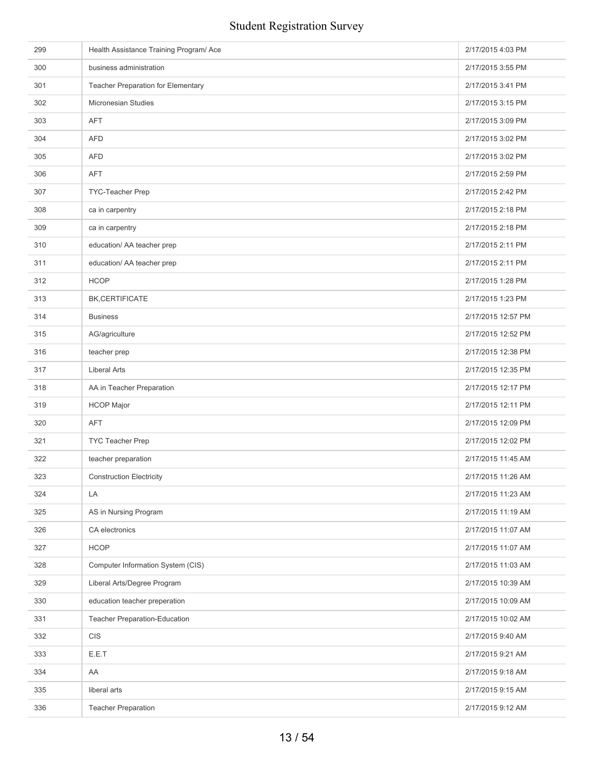| 299 | Health Assistance Training Program/ Ace | 2/17/2015 4:03 PM  |
|-----|-----------------------------------------|--------------------|
| 300 | business administration                 | 2/17/2015 3:55 PM  |
| 301 | Teacher Preparation for Elementary      | 2/17/2015 3:41 PM  |
| 302 | Micronesian Studies                     | 2/17/2015 3:15 PM  |
| 303 | <b>AFT</b>                              | 2/17/2015 3:09 PM  |
| 304 | <b>AFD</b>                              | 2/17/2015 3:02 PM  |
| 305 | <b>AFD</b>                              | 2/17/2015 3:02 PM  |
| 306 | <b>AFT</b>                              | 2/17/2015 2:59 PM  |
| 307 | TYC-Teacher Prep                        | 2/17/2015 2:42 PM  |
| 308 | ca in carpentry                         | 2/17/2015 2:18 PM  |
| 309 | ca in carpentry                         | 2/17/2015 2:18 PM  |
| 310 | education/ AA teacher prep              | 2/17/2015 2:11 PM  |
| 311 | education/ AA teacher prep              | 2/17/2015 2:11 PM  |
| 312 | <b>HCOP</b>                             | 2/17/2015 1:28 PM  |
| 313 | BK, CERTIFICATE                         | 2/17/2015 1:23 PM  |
| 314 | <b>Business</b>                         | 2/17/2015 12:57 PM |
| 315 | AG/agriculture                          | 2/17/2015 12:52 PM |
| 316 | teacher prep                            | 2/17/2015 12:38 PM |
| 317 | <b>Liberal Arts</b>                     | 2/17/2015 12:35 PM |
| 318 | AA in Teacher Preparation               | 2/17/2015 12:17 PM |
| 319 | <b>HCOP Major</b>                       | 2/17/2015 12:11 PM |
| 320 | <b>AFT</b>                              | 2/17/2015 12:09 PM |
| 321 | TYC Teacher Prep                        | 2/17/2015 12:02 PM |
| 322 | teacher preparation                     | 2/17/2015 11:45 AM |
| 323 | <b>Construction Electricity</b>         | 2/17/2015 11:26 AM |
| 324 | LA                                      | 2/17/2015 11:23 AM |
| 325 | AS in Nursing Program                   | 2/17/2015 11:19 AM |
| 326 | CA electronics                          | 2/17/2015 11:07 AM |
| 327 | <b>HCOP</b>                             | 2/17/2015 11:07 AM |
| 328 | Computer Information System (CIS)       | 2/17/2015 11:03 AM |
| 329 | Liberal Arts/Degree Program             | 2/17/2015 10:39 AM |
| 330 | education teacher preperation           | 2/17/2015 10:09 AM |
| 331 | <b>Teacher Preparation-Education</b>    | 2/17/2015 10:02 AM |
| 332 | <b>CIS</b>                              | 2/17/2015 9:40 AM  |
| 333 | E.E.T                                   | 2/17/2015 9:21 AM  |
| 334 | AA                                      | 2/17/2015 9:18 AM  |
| 335 | liberal arts                            | 2/17/2015 9:15 AM  |
| 336 | <b>Teacher Preparation</b>              | 2/17/2015 9:12 AM  |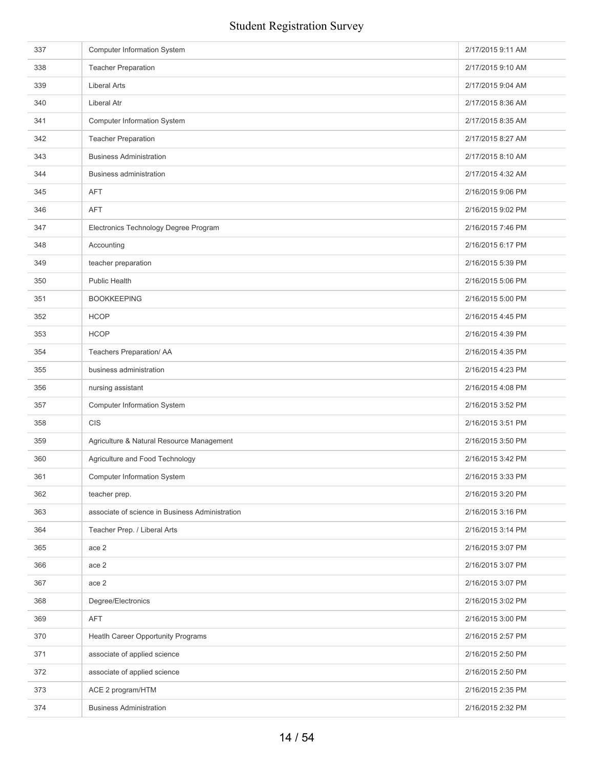| 337 | <b>Computer Information System</b>              | 2/17/2015 9:11 AM |
|-----|-------------------------------------------------|-------------------|
| 338 | <b>Teacher Preparation</b>                      | 2/17/2015 9:10 AM |
| 339 | <b>Liberal Arts</b>                             | 2/17/2015 9:04 AM |
| 340 | <b>Liberal Atr</b>                              | 2/17/2015 8:36 AM |
| 341 | <b>Computer Information System</b>              | 2/17/2015 8:35 AM |
| 342 | <b>Teacher Preparation</b>                      | 2/17/2015 8:27 AM |
| 343 | <b>Business Administration</b>                  | 2/17/2015 8:10 AM |
| 344 | <b>Business administration</b>                  | 2/17/2015 4:32 AM |
| 345 | <b>AFT</b>                                      | 2/16/2015 9:06 PM |
| 346 | <b>AFT</b>                                      | 2/16/2015 9:02 PM |
| 347 | Electronics Technology Degree Program           | 2/16/2015 7:46 PM |
| 348 | Accounting                                      | 2/16/2015 6:17 PM |
| 349 | teacher preparation                             | 2/16/2015 5:39 PM |
| 350 | <b>Public Health</b>                            | 2/16/2015 5:06 PM |
| 351 | <b>BOOKKEEPING</b>                              | 2/16/2015 5:00 PM |
| 352 | <b>HCOP</b>                                     | 2/16/2015 4:45 PM |
| 353 | <b>HCOP</b>                                     | 2/16/2015 4:39 PM |
| 354 | Teachers Preparation/ AA                        | 2/16/2015 4:35 PM |
| 355 | business administration                         | 2/16/2015 4:23 PM |
| 356 | nursing assistant                               | 2/16/2015 4:08 PM |
| 357 | Computer Information System                     | 2/16/2015 3:52 PM |
| 358 | <b>CIS</b>                                      | 2/16/2015 3:51 PM |
| 359 | Agriculture & Natural Resource Management       | 2/16/2015 3:50 PM |
| 360 | Agriculture and Food Technology                 | 2/16/2015 3:42 PM |
| 361 | <b>Computer Information System</b>              | 2/16/2015 3:33 PM |
| 362 | teacher prep.                                   | 2/16/2015 3:20 PM |
| 363 | associate of science in Business Administration | 2/16/2015 3:16 PM |
| 364 | Teacher Prep. / Liberal Arts                    | 2/16/2015 3:14 PM |
| 365 | ace 2                                           | 2/16/2015 3:07 PM |
| 366 | ace 2                                           | 2/16/2015 3:07 PM |
| 367 | ace 2                                           | 2/16/2015 3:07 PM |
| 368 | Degree/Electronics                              | 2/16/2015 3:02 PM |
| 369 | <b>AFT</b>                                      | 2/16/2015 3:00 PM |
| 370 | Heatlh Career Opportunity Programs              | 2/16/2015 2:57 PM |
| 371 | associate of applied science                    | 2/16/2015 2:50 PM |
| 372 | associate of applied science                    | 2/16/2015 2:50 PM |
| 373 | ACE 2 program/HTM                               | 2/16/2015 2:35 PM |
| 374 | <b>Business Administration</b>                  | 2/16/2015 2:32 PM |
|     |                                                 |                   |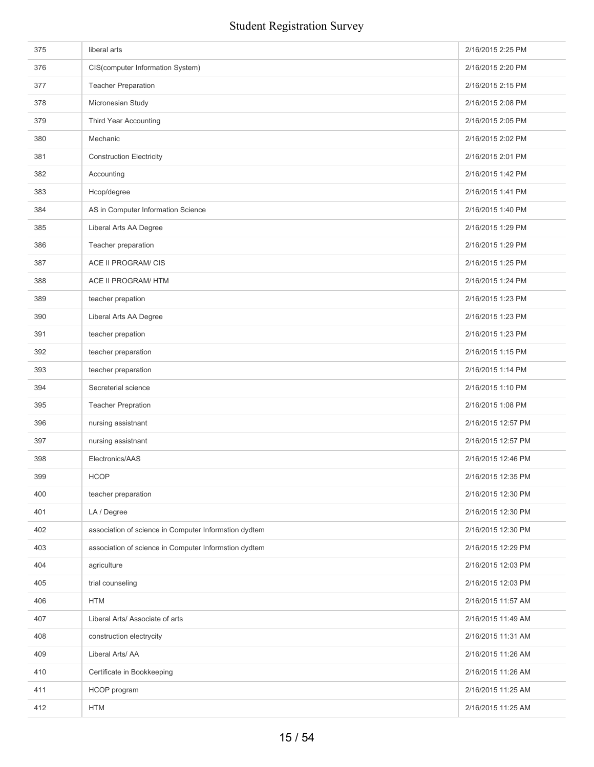| 375 | liberal arts                                          | 2/16/2015 2:25 PM  |
|-----|-------------------------------------------------------|--------------------|
| 376 | CIS(computer Information System)                      | 2/16/2015 2:20 PM  |
| 377 | <b>Teacher Preparation</b>                            | 2/16/2015 2:15 PM  |
| 378 | Micronesian Study                                     | 2/16/2015 2:08 PM  |
| 379 | <b>Third Year Accounting</b>                          | 2/16/2015 2:05 PM  |
| 380 | Mechanic                                              | 2/16/2015 2:02 PM  |
| 381 | <b>Construction Electricity</b>                       | 2/16/2015 2:01 PM  |
| 382 | Accounting                                            | 2/16/2015 1:42 PM  |
| 383 | Hcop/degree                                           | 2/16/2015 1:41 PM  |
| 384 | AS in Computer Information Science                    | 2/16/2015 1:40 PM  |
| 385 | Liberal Arts AA Degree                                | 2/16/2015 1:29 PM  |
| 386 | Teacher preparation                                   | 2/16/2015 1:29 PM  |
| 387 | ACE II PROGRAM/ CIS                                   | 2/16/2015 1:25 PM  |
| 388 | <b>ACE II PROGRAM/ HTM</b>                            | 2/16/2015 1:24 PM  |
| 389 | teacher prepation                                     | 2/16/2015 1:23 PM  |
| 390 | Liberal Arts AA Degree                                | 2/16/2015 1:23 PM  |
| 391 | teacher prepation                                     | 2/16/2015 1:23 PM  |
| 392 | teacher preparation                                   | 2/16/2015 1:15 PM  |
| 393 | teacher preparation                                   | 2/16/2015 1:14 PM  |
| 394 | Secreterial science                                   | 2/16/2015 1:10 PM  |
| 395 | <b>Teacher Prepration</b>                             | 2/16/2015 1:08 PM  |
| 396 | nursing assistnant                                    | 2/16/2015 12:57 PM |
| 397 | nursing assistnant                                    | 2/16/2015 12:57 PM |
| 398 | Electronics/AAS                                       | 2/16/2015 12:46 PM |
| 399 | <b>HCOP</b>                                           | 2/16/2015 12:35 PM |
| 400 | teacher preparation                                   | 2/16/2015 12:30 PM |
| 401 | LA / Degree                                           | 2/16/2015 12:30 PM |
| 402 | association of science in Computer Informstion dydtem | 2/16/2015 12:30 PM |
| 403 | association of science in Computer Informstion dydtem | 2/16/2015 12:29 PM |
| 404 | agriculture                                           | 2/16/2015 12:03 PM |
| 405 | trial counseling                                      | 2/16/2015 12:03 PM |
| 406 | <b>HTM</b>                                            | 2/16/2015 11:57 AM |
| 407 | Liberal Arts/ Associate of arts                       | 2/16/2015 11:49 AM |
| 408 | construction electrycity                              | 2/16/2015 11:31 AM |
| 409 | Liberal Arts/ AA                                      | 2/16/2015 11:26 AM |
| 410 | Certificate in Bookkeeping                            | 2/16/2015 11:26 AM |
| 411 | HCOP program                                          | 2/16/2015 11:25 AM |
| 412 | <b>HTM</b>                                            | 2/16/2015 11:25 AM |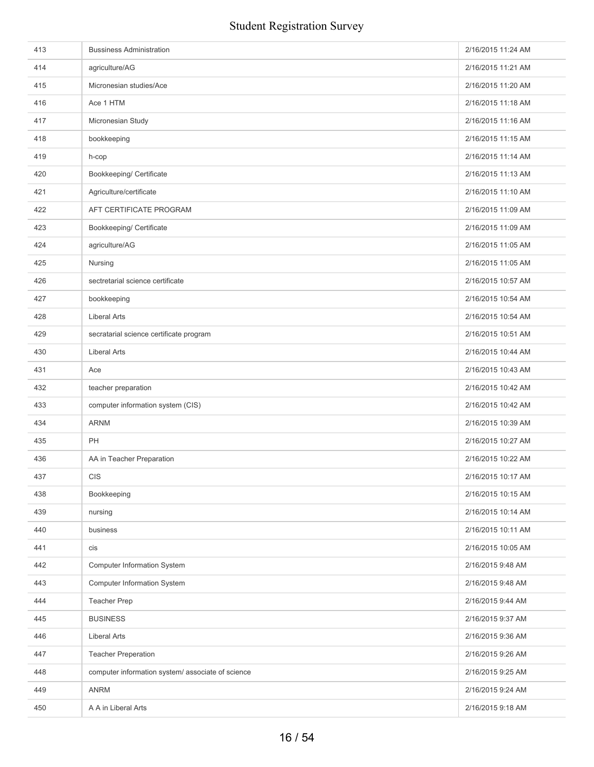| 413 | <b>Bussiness Administration</b>                  | 2/16/2015 11:24 AM |
|-----|--------------------------------------------------|--------------------|
| 414 | agriculture/AG                                   | 2/16/2015 11:21 AM |
| 415 | Micronesian studies/Ace                          | 2/16/2015 11:20 AM |
| 416 | Ace 1 HTM                                        | 2/16/2015 11:18 AM |
| 417 | Micronesian Study                                | 2/16/2015 11:16 AM |
| 418 | bookkeeping                                      | 2/16/2015 11:15 AM |
| 419 | h-cop                                            | 2/16/2015 11:14 AM |
| 420 | Bookkeeping/ Certificate                         | 2/16/2015 11:13 AM |
| 421 | Agriculture/certificate                          | 2/16/2015 11:10 AM |
| 422 | AFT CERTIFICATE PROGRAM                          | 2/16/2015 11:09 AM |
| 423 | Bookkeeping/ Certificate                         | 2/16/2015 11:09 AM |
| 424 | agriculture/AG                                   | 2/16/2015 11:05 AM |
| 425 | Nursing                                          | 2/16/2015 11:05 AM |
| 426 | sectretarial science certificate                 | 2/16/2015 10:57 AM |
| 427 | bookkeeping                                      | 2/16/2015 10:54 AM |
| 428 | <b>Liberal Arts</b>                              | 2/16/2015 10:54 AM |
| 429 | secratarial science certificate program          | 2/16/2015 10:51 AM |
| 430 | <b>Liberal Arts</b>                              | 2/16/2015 10:44 AM |
| 431 | Ace                                              | 2/16/2015 10:43 AM |
| 432 | teacher preparation                              | 2/16/2015 10:42 AM |
| 433 | computer information system (CIS)                | 2/16/2015 10:42 AM |
| 434 | <b>ARNM</b>                                      | 2/16/2015 10:39 AM |
| 435 | PH                                               | 2/16/2015 10:27 AM |
| 436 | AA in Teacher Preparation                        | 2/16/2015 10:22 AM |
| 437 | <b>CIS</b>                                       | 2/16/2015 10:17 AM |
| 438 | Bookkeeping                                      | 2/16/2015 10:15 AM |
| 439 | nursing                                          | 2/16/2015 10:14 AM |
| 440 | business                                         | 2/16/2015 10:11 AM |
| 441 | cis                                              | 2/16/2015 10:05 AM |
| 442 | <b>Computer Information System</b>               | 2/16/2015 9:48 AM  |
| 443 | <b>Computer Information System</b>               | 2/16/2015 9:48 AM  |
| 444 | <b>Teacher Prep</b>                              | 2/16/2015 9:44 AM  |
| 445 | <b>BUSINESS</b>                                  | 2/16/2015 9:37 AM  |
| 446 | <b>Liberal Arts</b>                              | 2/16/2015 9:36 AM  |
| 447 | <b>Teacher Preperation</b>                       | 2/16/2015 9:26 AM  |
| 448 | computer information system/associate of science | 2/16/2015 9:25 AM  |
| 449 | <b>ANRM</b>                                      | 2/16/2015 9:24 AM  |
| 450 | A A in Liberal Arts                              | 2/16/2015 9:18 AM  |
|     |                                                  |                    |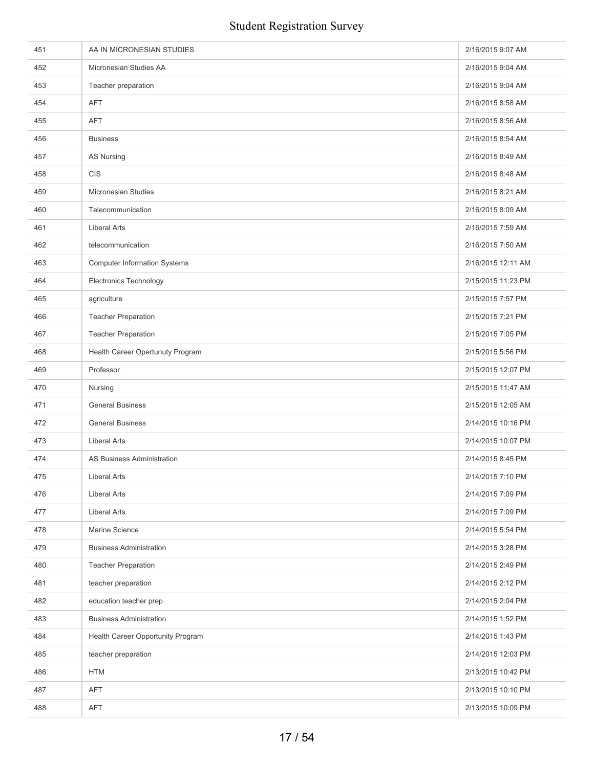| 451 | AA IN MICRONESIAN STUDIES           | 2/16/2015 9:07 AM  |
|-----|-------------------------------------|--------------------|
| 452 | Micronesian Studies AA              | 2/16/2015 9:04 AM  |
| 453 | Teacher preparation                 | 2/16/2015 9:04 AM  |
| 454 | <b>AFT</b>                          | 2/16/2015 8:58 AM  |
| 455 | <b>AFT</b>                          | 2/16/2015 8:56 AM  |
| 456 | <b>Business</b>                     | 2/16/2015 8:54 AM  |
| 457 | <b>AS Nursing</b>                   | 2/16/2015 8:49 AM  |
| 458 | <b>CIS</b>                          | 2/16/2015 8:48 AM  |
| 459 | Micronesian Studies                 | 2/16/2015 8:21 AM  |
| 460 | Telecommunication                   | 2/16/2015 8:09 AM  |
| 461 | <b>Liberal Arts</b>                 | 2/16/2015 7:59 AM  |
| 462 | telecommunication                   | 2/16/2015 7:50 AM  |
| 463 | <b>Computer Information Systems</b> | 2/16/2015 12:11 AM |
| 464 | <b>Electronics Technology</b>       | 2/15/2015 11:23 PM |
| 465 | agriculture                         | 2/15/2015 7:57 PM  |
| 466 | <b>Teacher Preparation</b>          | 2/15/2015 7:21 PM  |
| 467 | <b>Teacher Preparation</b>          | 2/15/2015 7:05 PM  |
| 468 | Health Career Opertunuty Program    | 2/15/2015 5:56 PM  |
| 469 | Professor                           | 2/15/2015 12:07 PM |
| 470 | Nursing                             | 2/15/2015 11:47 AM |
| 471 | <b>General Business</b>             | 2/15/2015 12:05 AM |
| 472 | <b>General Business</b>             | 2/14/2015 10:16 PM |
| 473 | <b>Liberal Arts</b>                 | 2/14/2015 10:07 PM |
| 474 | <b>AS Business Administration</b>   | 2/14/2015 8:45 PM  |
| 475 | <b>Liberal Arts</b>                 | 2/14/2015 7:10 PM  |
| 476 | Liberal Arts                        | 2/14/2015 7:09 PM  |
| 477 | <b>Liberal Arts</b>                 | 2/14/2015 7:09 PM  |
| 478 | Marine Science                      | 2/14/2015 5:54 PM  |
| 479 | <b>Business Administration</b>      | 2/14/2015 3:28 PM  |
| 480 | <b>Teacher Preparation</b>          | 2/14/2015 2:49 PM  |
| 481 | teacher preparation                 | 2/14/2015 2:12 PM  |
| 482 | education teacher prep              | 2/14/2015 2:04 PM  |
| 483 | <b>Business Administration</b>      | 2/14/2015 1:52 PM  |
| 484 | Health Career Opportunity Program   | 2/14/2015 1:43 PM  |
| 485 | teacher preparation                 | 2/14/2015 12:03 PM |
| 486 | <b>HTM</b>                          | 2/13/2015 10:42 PM |
| 487 | <b>AFT</b>                          | 2/13/2015 10:10 PM |
| 488 | AFT                                 | 2/13/2015 10:09 PM |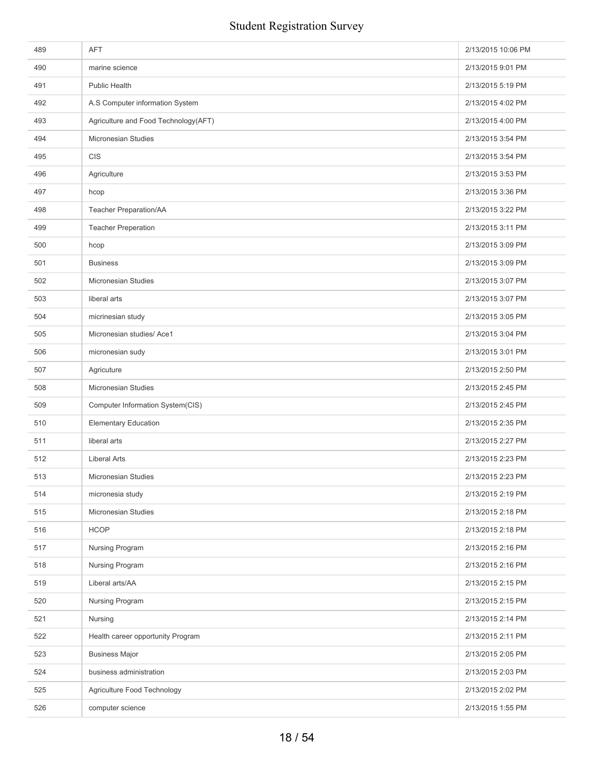| 489 | <b>AFT</b>                           | 2/13/2015 10:06 PM |
|-----|--------------------------------------|--------------------|
| 490 | marine science                       | 2/13/2015 9:01 PM  |
| 491 | <b>Public Health</b>                 | 2/13/2015 5:19 PM  |
| 492 | A.S Computer information System      | 2/13/2015 4:02 PM  |
| 493 | Agriculture and Food Technology(AFT) | 2/13/2015 4:00 PM  |
| 494 | <b>Micronesian Studies</b>           | 2/13/2015 3:54 PM  |
| 495 | <b>CIS</b>                           | 2/13/2015 3:54 PM  |
| 496 | Agriculture                          | 2/13/2015 3:53 PM  |
| 497 | hcop                                 | 2/13/2015 3:36 PM  |
| 498 | Teacher Preparation/AA               | 2/13/2015 3:22 PM  |
| 499 | <b>Teacher Preperation</b>           | 2/13/2015 3:11 PM  |
| 500 | hcop                                 | 2/13/2015 3:09 PM  |
| 501 | <b>Business</b>                      | 2/13/2015 3:09 PM  |
| 502 | Micronesian Studies                  | 2/13/2015 3:07 PM  |
| 503 | liberal arts                         | 2/13/2015 3:07 PM  |
| 504 | micrinesian study                    | 2/13/2015 3:05 PM  |
| 505 | Micronesian studies/ Ace1            | 2/13/2015 3:04 PM  |
| 506 | micronesian sudy                     | 2/13/2015 3:01 PM  |
| 507 | Agricuture                           | 2/13/2015 2:50 PM  |
| 508 | <b>Micronesian Studies</b>           | 2/13/2015 2:45 PM  |
| 509 | Computer Information System(CIS)     | 2/13/2015 2:45 PM  |
| 510 | <b>Elementary Education</b>          | 2/13/2015 2:35 PM  |
| 511 | liberal arts                         | 2/13/2015 2:27 PM  |
| 512 | <b>Liberal Arts</b>                  | 2/13/2015 2:23 PM  |
| 513 | Micronesian Studies                  | 2/13/2015 2:23 PM  |
| 514 | micronesia study                     | 2/13/2015 2:19 PM  |
| 515 | Micronesian Studies                  | 2/13/2015 2:18 PM  |
| 516 | <b>HCOP</b>                          | 2/13/2015 2:18 PM  |
| 517 | Nursing Program                      | 2/13/2015 2:16 PM  |
| 518 | Nursing Program                      | 2/13/2015 2:16 PM  |
| 519 | Liberal arts/AA                      | 2/13/2015 2:15 PM  |
| 520 | Nursing Program                      | 2/13/2015 2:15 PM  |
| 521 | Nursing                              | 2/13/2015 2:14 PM  |
| 522 | Health career opportunity Program    | 2/13/2015 2:11 PM  |
| 523 | <b>Business Major</b>                | 2/13/2015 2:05 PM  |
| 524 | business administration              | 2/13/2015 2:03 PM  |
| 525 | Agriculture Food Technology          | 2/13/2015 2:02 PM  |
| 526 | computer science                     | 2/13/2015 1:55 PM  |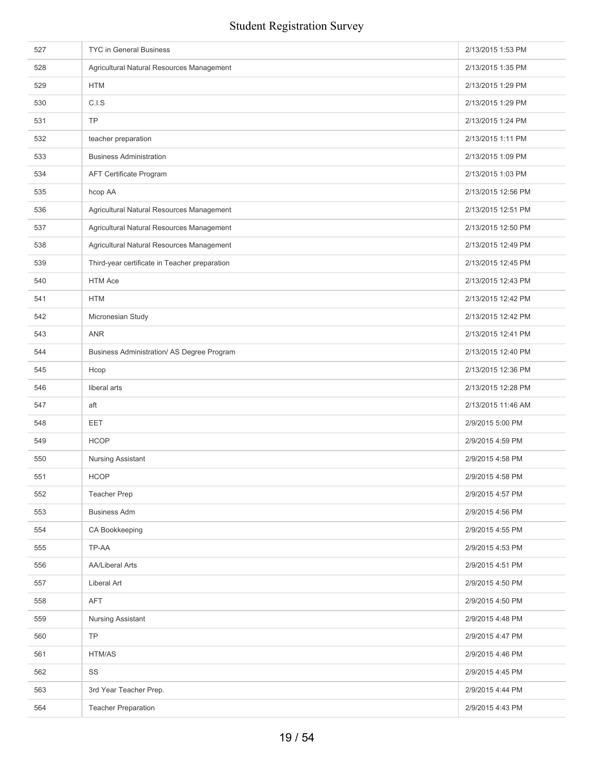| 527 | <b>TYC in General Business</b>                | 2/13/2015 1:53 PM  |
|-----|-----------------------------------------------|--------------------|
| 528 | Agricultural Natural Resources Management     | 2/13/2015 1:35 PM  |
| 529 | <b>HTM</b>                                    | 2/13/2015 1:29 PM  |
| 530 | C.I.S                                         | 2/13/2015 1:29 PM  |
| 531 | <b>TP</b>                                     | 2/13/2015 1:24 PM  |
| 532 | teacher preparation                           | 2/13/2015 1:11 PM  |
| 533 | <b>Business Administration</b>                | 2/13/2015 1:09 PM  |
| 534 | AFT Certificate Program                       | 2/13/2015 1:03 PM  |
| 535 | hcop AA                                       | 2/13/2015 12:56 PM |
| 536 | Agricultural Natural Resources Management     | 2/13/2015 12:51 PM |
| 537 | Agricultural Natural Resources Management     | 2/13/2015 12:50 PM |
| 538 | Agricultural Natural Resources Management     | 2/13/2015 12:49 PM |
| 539 | Third-year certificate in Teacher preparation | 2/13/2015 12:45 PM |
| 540 | <b>HTM Ace</b>                                | 2/13/2015 12:43 PM |
| 541 | <b>HTM</b>                                    | 2/13/2015 12:42 PM |
| 542 | Micronesian Study                             | 2/13/2015 12:42 PM |
| 543 | <b>ANR</b>                                    | 2/13/2015 12:41 PM |
| 544 | Business Administration/ AS Degree Program    | 2/13/2015 12:40 PM |
| 545 | Hcop                                          | 2/13/2015 12:36 PM |
| 546 | liberal arts                                  | 2/13/2015 12:28 PM |
| 547 | aft                                           | 2/13/2015 11:46 AM |
| 548 | EET                                           | 2/9/2015 5:00 PM   |
| 549 | <b>HCOP</b>                                   | 2/9/2015 4:59 PM   |
| 550 | Nursing Assistant                             | 2/9/2015 4:58 PM   |
| 551 | <b>HCOP</b>                                   | 2/9/2015 4:58 PM   |
| 552 | <b>Teacher Prep</b>                           | 2/9/2015 4:57 PM   |
| 553 | <b>Business Adm</b>                           | 2/9/2015 4:56 PM   |
| 554 | CA Bookkeeping                                | 2/9/2015 4:55 PM   |
| 555 | TP-AA                                         | 2/9/2015 4:53 PM   |
| 556 | <b>AA/Liberal Arts</b>                        | 2/9/2015 4:51 PM   |
| 557 | Liberal Art                                   | 2/9/2015 4:50 PM   |
| 558 | AFT                                           | 2/9/2015 4:50 PM   |
| 559 | Nursing Assistant                             | 2/9/2015 4:48 PM   |
| 560 | TP                                            | 2/9/2015 4:47 PM   |
| 561 | HTM/AS                                        | 2/9/2015 4:46 PM   |
| 562 | SS                                            | 2/9/2015 4:45 PM   |
| 563 | 3rd Year Teacher Prep.                        | 2/9/2015 4:44 PM   |
| 564 | <b>Teacher Preparation</b>                    | 2/9/2015 4:43 PM   |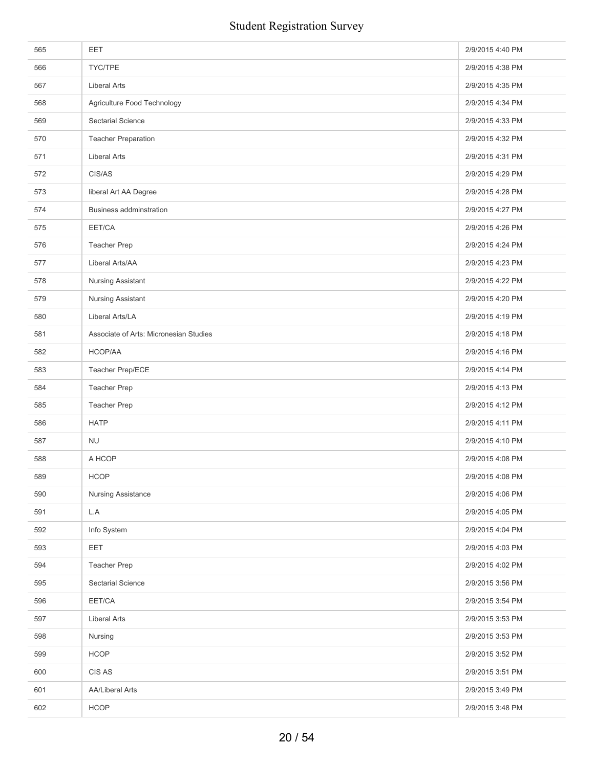| 565 | <b>EET</b>                             | 2/9/2015 4:40 PM |
|-----|----------------------------------------|------------------|
| 566 | TYC/TPE                                | 2/9/2015 4:38 PM |
| 567 | <b>Liberal Arts</b>                    | 2/9/2015 4:35 PM |
| 568 | Agriculture Food Technology            | 2/9/2015 4:34 PM |
| 569 | <b>Sectarial Science</b>               | 2/9/2015 4:33 PM |
| 570 | <b>Teacher Preparation</b>             | 2/9/2015 4:32 PM |
| 571 | <b>Liberal Arts</b>                    | 2/9/2015 4:31 PM |
| 572 | CIS/AS                                 | 2/9/2015 4:29 PM |
| 573 | liberal Art AA Degree                  | 2/9/2015 4:28 PM |
| 574 | <b>Business addminstration</b>         | 2/9/2015 4:27 PM |
| 575 | EET/CA                                 | 2/9/2015 4:26 PM |
| 576 | <b>Teacher Prep</b>                    | 2/9/2015 4:24 PM |
| 577 | Liberal Arts/AA                        | 2/9/2015 4:23 PM |
| 578 | Nursing Assistant                      | 2/9/2015 4:22 PM |
| 579 | Nursing Assistant                      | 2/9/2015 4:20 PM |
| 580 | Liberal Arts/LA                        | 2/9/2015 4:19 PM |
| 581 | Associate of Arts: Micronesian Studies | 2/9/2015 4:18 PM |
| 582 | HCOP/AA                                | 2/9/2015 4:16 PM |
| 583 | Teacher Prep/ECE                       | 2/9/2015 4:14 PM |
| 584 | <b>Teacher Prep</b>                    | 2/9/2015 4:13 PM |
| 585 | <b>Teacher Prep</b>                    | 2/9/2015 4:12 PM |
| 586 | <b>HATP</b>                            | 2/9/2015 4:11 PM |
| 587 | <b>NU</b>                              | 2/9/2015 4:10 PM |
| 588 | A HCOP                                 | 2/9/2015 4:08 PM |
| 589 | HCOP                                   | 2/9/2015 4:08 PM |
| 590 | Nursing Assistance                     | 2/9/2015 4:06 PM |
| 591 | L.A                                    | 2/9/2015 4:05 PM |
| 592 | Info System                            | 2/9/2015 4:04 PM |
| 593 | <b>EET</b>                             | 2/9/2015 4:03 PM |
| 594 | <b>Teacher Prep</b>                    | 2/9/2015 4:02 PM |
| 595 | Sectarial Science                      | 2/9/2015 3:56 PM |
| 596 | EET/CA                                 | 2/9/2015 3:54 PM |
| 597 | Liberal Arts                           | 2/9/2015 3:53 PM |
| 598 | Nursing                                | 2/9/2015 3:53 PM |
| 599 | <b>HCOP</b>                            | 2/9/2015 3:52 PM |
| 600 | CIS AS                                 | 2/9/2015 3:51 PM |
| 601 | AA/Liberal Arts                        | 2/9/2015 3:49 PM |
| 602 | <b>HCOP</b>                            | 2/9/2015 3:48 PM |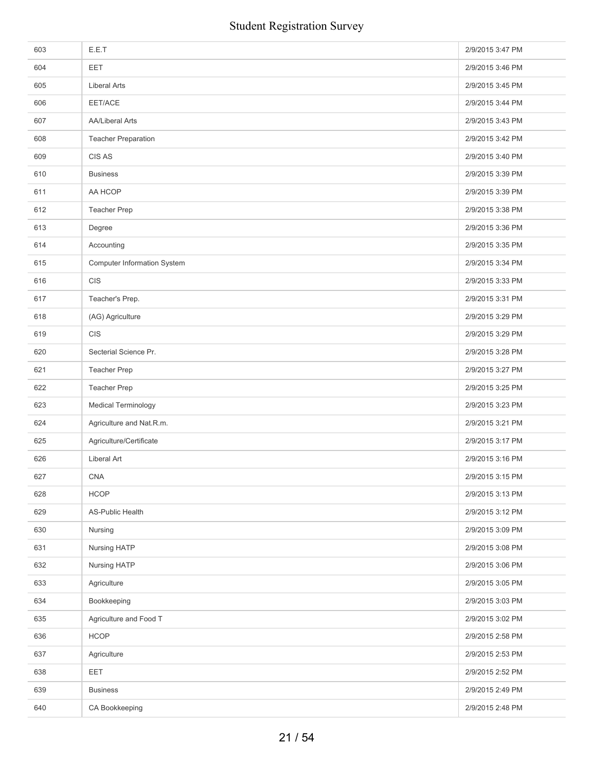| 603 | E.E.T                              | 2/9/2015 3:47 PM |
|-----|------------------------------------|------------------|
| 604 | <b>EET</b>                         | 2/9/2015 3:46 PM |
| 605 | <b>Liberal Arts</b>                | 2/9/2015 3:45 PM |
| 606 | EET/ACE                            | 2/9/2015 3:44 PM |
| 607 | <b>AA/Liberal Arts</b>             | 2/9/2015 3:43 PM |
| 608 | <b>Teacher Preparation</b>         | 2/9/2015 3:42 PM |
| 609 | CIS AS                             | 2/9/2015 3:40 PM |
| 610 | <b>Business</b>                    | 2/9/2015 3:39 PM |
| 611 | AA HCOP                            | 2/9/2015 3:39 PM |
| 612 | Teacher Prep                       | 2/9/2015 3:38 PM |
| 613 | Degree                             | 2/9/2015 3:36 PM |
| 614 | Accounting                         | 2/9/2015 3:35 PM |
| 615 | <b>Computer Information System</b> | 2/9/2015 3:34 PM |
| 616 | CIS                                | 2/9/2015 3:33 PM |
| 617 | Teacher's Prep.                    | 2/9/2015 3:31 PM |
| 618 | (AG) Agriculture                   | 2/9/2015 3:29 PM |
| 619 | <b>CIS</b>                         | 2/9/2015 3:29 PM |
| 620 | Secterial Science Pr.              | 2/9/2015 3:28 PM |
| 621 | <b>Teacher Prep</b>                | 2/9/2015 3:27 PM |
| 622 | <b>Teacher Prep</b>                | 2/9/2015 3:25 PM |
| 623 | Medical Terminology                | 2/9/2015 3:23 PM |
| 624 | Agriculture and Nat.R.m.           | 2/9/2015 3:21 PM |
| 625 | Agriculture/Certificate            | 2/9/2015 3:17 PM |
| 626 | <b>Liberal Art</b>                 | 2/9/2015 3:16 PM |
| 627 | <b>CNA</b>                         | 2/9/2015 3:15 PM |
| 628 | <b>HCOP</b>                        | 2/9/2015 3:13 PM |
| 629 | <b>AS-Public Health</b>            | 2/9/2015 3:12 PM |
| 630 | Nursing                            | 2/9/2015 3:09 PM |
| 631 | Nursing HATP                       | 2/9/2015 3:08 PM |
| 632 | Nursing HATP                       | 2/9/2015 3:06 PM |
| 633 | Agriculture                        | 2/9/2015 3:05 PM |
| 634 | Bookkeeping                        | 2/9/2015 3:03 PM |
| 635 | Agriculture and Food T             | 2/9/2015 3:02 PM |
| 636 | <b>HCOP</b>                        | 2/9/2015 2:58 PM |
| 637 | Agriculture                        | 2/9/2015 2:53 PM |
| 638 | EET                                | 2/9/2015 2:52 PM |
| 639 | <b>Business</b>                    | 2/9/2015 2:49 PM |
| 640 | CA Bookkeeping                     | 2/9/2015 2:48 PM |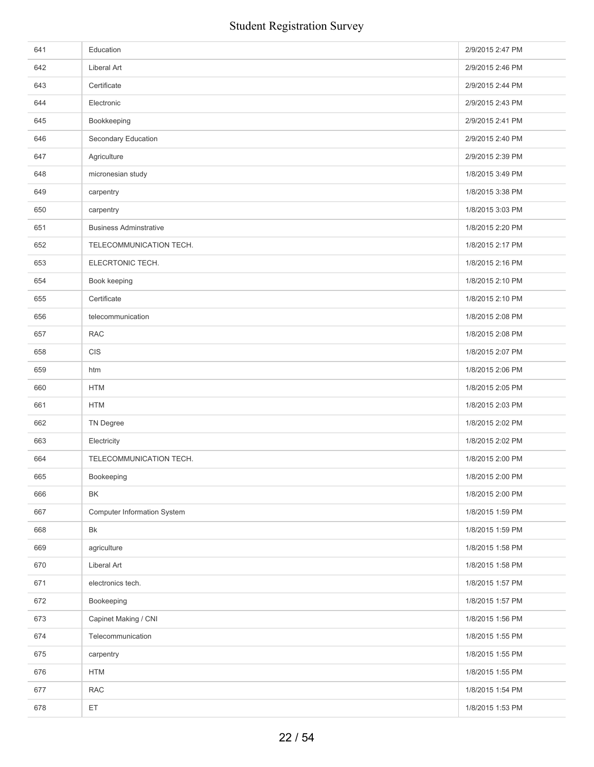| 641 | Education                          | 2/9/2015 2:47 PM |
|-----|------------------------------------|------------------|
| 642 | <b>Liberal Art</b>                 | 2/9/2015 2:46 PM |
| 643 | Certificate                        | 2/9/2015 2:44 PM |
| 644 | Electronic                         | 2/9/2015 2:43 PM |
| 645 | Bookkeeping                        | 2/9/2015 2:41 PM |
| 646 | Secondary Education                | 2/9/2015 2:40 PM |
| 647 | Agriculture                        | 2/9/2015 2:39 PM |
| 648 | micronesian study                  | 1/8/2015 3:49 PM |
| 649 | carpentry                          | 1/8/2015 3:38 PM |
| 650 | carpentry                          | 1/8/2015 3:03 PM |
| 651 | <b>Business Adminstrative</b>      | 1/8/2015 2:20 PM |
| 652 | TELECOMMUNICATION TECH.            | 1/8/2015 2:17 PM |
| 653 | ELECRTONIC TECH.                   | 1/8/2015 2:16 PM |
| 654 | Book keeping                       | 1/8/2015 2:10 PM |
| 655 | Certificate                        | 1/8/2015 2:10 PM |
| 656 | telecommunication                  | 1/8/2015 2:08 PM |
| 657 | <b>RAC</b>                         | 1/8/2015 2:08 PM |
| 658 | CIS                                | 1/8/2015 2:07 PM |
| 659 | htm                                | 1/8/2015 2:06 PM |
| 660 | <b>HTM</b>                         | 1/8/2015 2:05 PM |
| 661 | <b>HTM</b>                         | 1/8/2015 2:03 PM |
| 662 | <b>TN Degree</b>                   | 1/8/2015 2:02 PM |
| 663 | Electricity                        | 1/8/2015 2:02 PM |
| 664 | TELECOMMUNICATION TECH.            | 1/8/2015 2:00 PM |
| 665 | Bookeeping                         | 1/8/2015 2:00 PM |
| 666 | BK                                 | 1/8/2015 2:00 PM |
| 667 | <b>Computer Information System</b> | 1/8/2015 1:59 PM |
| 668 | Bk                                 | 1/8/2015 1:59 PM |
| 669 | agriculture                        | 1/8/2015 1:58 PM |
| 670 | <b>Liberal Art</b>                 | 1/8/2015 1:58 PM |
| 671 | electronics tech.                  | 1/8/2015 1:57 PM |
| 672 | Bookeeping                         | 1/8/2015 1:57 PM |
| 673 | Capinet Making / CNI               | 1/8/2015 1:56 PM |
| 674 | Telecommunication                  | 1/8/2015 1:55 PM |
| 675 | carpentry                          | 1/8/2015 1:55 PM |
| 676 | <b>HTM</b>                         | 1/8/2015 1:55 PM |
| 677 | <b>RAC</b>                         | 1/8/2015 1:54 PM |
| 678 | ET                                 | 1/8/2015 1:53 PM |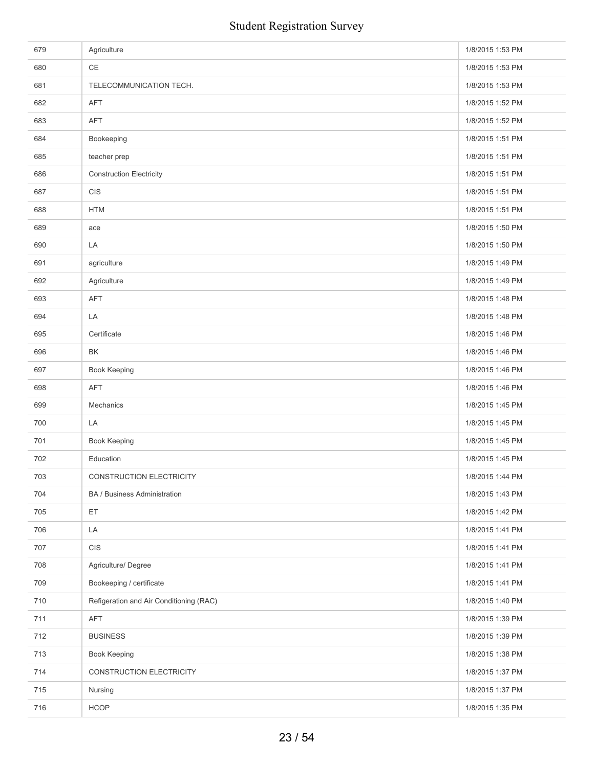| 679 | Agriculture                             | 1/8/2015 1:53 PM |
|-----|-----------------------------------------|------------------|
| 680 | CE                                      | 1/8/2015 1:53 PM |
| 681 | TELECOMMUNICATION TECH.                 | 1/8/2015 1:53 PM |
| 682 | <b>AFT</b>                              | 1/8/2015 1:52 PM |
| 683 | AFT                                     | 1/8/2015 1:52 PM |
| 684 | Bookeeping                              | 1/8/2015 1:51 PM |
| 685 | teacher prep                            | 1/8/2015 1:51 PM |
| 686 | <b>Construction Electricity</b>         | 1/8/2015 1:51 PM |
| 687 | CIS                                     | 1/8/2015 1:51 PM |
| 688 | <b>HTM</b>                              | 1/8/2015 1:51 PM |
| 689 | ace                                     | 1/8/2015 1:50 PM |
| 690 | LA                                      | 1/8/2015 1:50 PM |
| 691 | agriculture                             | 1/8/2015 1:49 PM |
| 692 | Agriculture                             | 1/8/2015 1:49 PM |
| 693 | AFT                                     | 1/8/2015 1:48 PM |
| 694 | LA                                      | 1/8/2015 1:48 PM |
| 695 | Certificate                             | 1/8/2015 1:46 PM |
| 696 | BK                                      | 1/8/2015 1:46 PM |
| 697 | Book Keeping                            | 1/8/2015 1:46 PM |
| 698 | <b>AFT</b>                              | 1/8/2015 1:46 PM |
| 699 | Mechanics                               | 1/8/2015 1:45 PM |
| 700 | LA                                      | 1/8/2015 1:45 PM |
| 701 | Book Keeping                            | 1/8/2015 1:45 PM |
| 702 | Education                               | 1/8/2015 1:45 PM |
| 703 | CONSTRUCTION ELECTRICITY                | 1/8/2015 1:44 PM |
| 704 | BA / Business Administration            | 1/8/2015 1:43 PM |
| 705 | ET.                                     | 1/8/2015 1:42 PM |
| 706 | LA                                      | 1/8/2015 1:41 PM |
| 707 | CIS                                     | 1/8/2015 1:41 PM |
| 708 | Agriculture/ Degree                     | 1/8/2015 1:41 PM |
| 709 | Bookeeping / certificate                | 1/8/2015 1:41 PM |
| 710 | Refigeration and Air Conditioning (RAC) | 1/8/2015 1:40 PM |
| 711 | <b>AFT</b>                              | 1/8/2015 1:39 PM |
| 712 | <b>BUSINESS</b>                         | 1/8/2015 1:39 PM |
| 713 | <b>Book Keeping</b>                     | 1/8/2015 1:38 PM |
| 714 | CONSTRUCTION ELECTRICITY                | 1/8/2015 1:37 PM |
| 715 | Nursing                                 | 1/8/2015 1:37 PM |
| 716 | <b>HCOP</b>                             | 1/8/2015 1:35 PM |
|     |                                         |                  |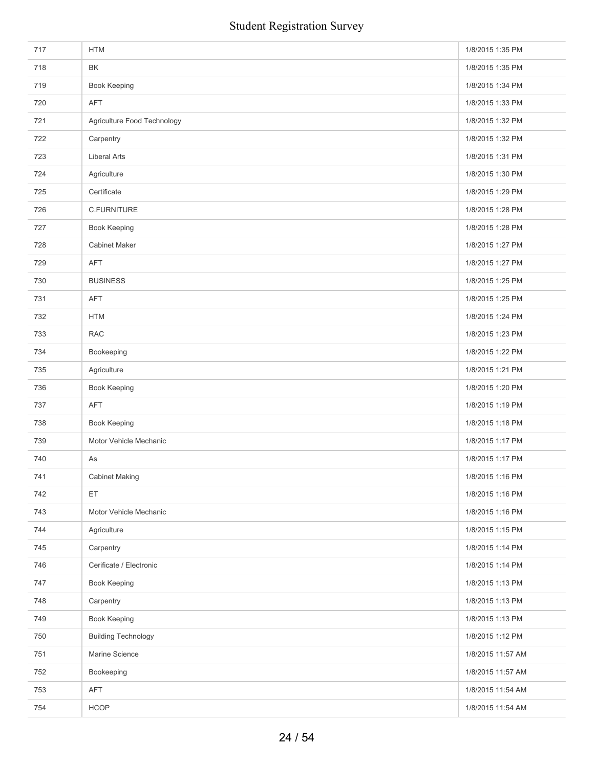| 717 | <b>HTM</b>                  | 1/8/2015 1:35 PM  |
|-----|-----------------------------|-------------------|
| 718 | BK                          | 1/8/2015 1:35 PM  |
| 719 | Book Keeping                | 1/8/2015 1:34 PM  |
| 720 | <b>AFT</b>                  | 1/8/2015 1:33 PM  |
| 721 | Agriculture Food Technology | 1/8/2015 1:32 PM  |
| 722 | Carpentry                   | 1/8/2015 1:32 PM  |
| 723 | <b>Liberal Arts</b>         | 1/8/2015 1:31 PM  |
| 724 | Agriculture                 | 1/8/2015 1:30 PM  |
| 725 | Certificate                 | 1/8/2015 1:29 PM  |
| 726 | C.FURNITURE                 | 1/8/2015 1:28 PM  |
| 727 | Book Keeping                | 1/8/2015 1:28 PM  |
| 728 | <b>Cabinet Maker</b>        | 1/8/2015 1:27 PM  |
| 729 | <b>AFT</b>                  | 1/8/2015 1:27 PM  |
| 730 | <b>BUSINESS</b>             | 1/8/2015 1:25 PM  |
| 731 | AFT                         | 1/8/2015 1:25 PM  |
| 732 | <b>HTM</b>                  | 1/8/2015 1:24 PM  |
| 733 | <b>RAC</b>                  | 1/8/2015 1:23 PM  |
| 734 | Bookeeping                  | 1/8/2015 1:22 PM  |
| 735 | Agriculture                 | 1/8/2015 1:21 PM  |
| 736 | Book Keeping                | 1/8/2015 1:20 PM  |
| 737 | <b>AFT</b>                  | 1/8/2015 1:19 PM  |
| 738 | <b>Book Keeping</b>         | 1/8/2015 1:18 PM  |
| 739 | Motor Vehicle Mechanic      | 1/8/2015 1:17 PM  |
| 740 | As                          | 1/8/2015 1:17 PM  |
| 741 | <b>Cabinet Making</b>       | 1/8/2015 1:16 PM  |
| 742 | ET                          | 1/8/2015 1:16 PM  |
| 743 | Motor Vehicle Mechanic      | 1/8/2015 1:16 PM  |
| 744 | Agriculture                 | 1/8/2015 1:15 PM  |
| 745 | Carpentry                   | 1/8/2015 1:14 PM  |
| 746 | Cerificate / Electronic     | 1/8/2015 1:14 PM  |
| 747 | <b>Book Keeping</b>         | 1/8/2015 1:13 PM  |
| 748 | Carpentry                   | 1/8/2015 1:13 PM  |
| 749 | Book Keeping                | 1/8/2015 1:13 PM  |
| 750 | <b>Building Technology</b>  | 1/8/2015 1:12 PM  |
| 751 | Marine Science              | 1/8/2015 11:57 AM |
| 752 | Bookeeping                  | 1/8/2015 11:57 AM |
| 753 | AFT                         | 1/8/2015 11:54 AM |
| 754 | <b>HCOP</b>                 | 1/8/2015 11:54 AM |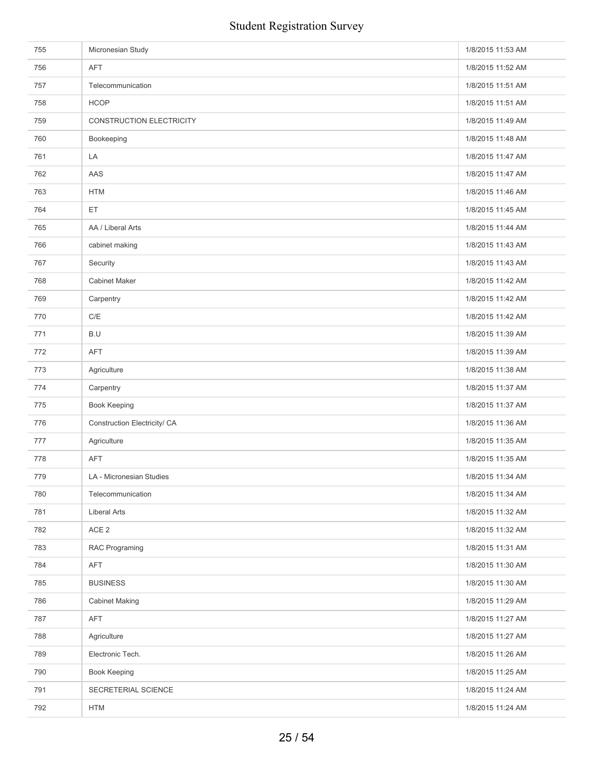| 755 | Micronesian Study            | 1/8/2015 11:53 AM |
|-----|------------------------------|-------------------|
| 756 | <b>AFT</b>                   | 1/8/2015 11:52 AM |
| 757 | Telecommunication            | 1/8/2015 11:51 AM |
| 758 | <b>HCOP</b>                  | 1/8/2015 11:51 AM |
| 759 | CONSTRUCTION ELECTRICITY     | 1/8/2015 11:49 AM |
| 760 | Bookeeping                   | 1/8/2015 11:48 AM |
| 761 | LA                           | 1/8/2015 11:47 AM |
| 762 | AAS                          | 1/8/2015 11:47 AM |
| 763 | <b>HTM</b>                   | 1/8/2015 11:46 AM |
| 764 | ET                           | 1/8/2015 11:45 AM |
| 765 | AA / Liberal Arts            | 1/8/2015 11:44 AM |
| 766 | cabinet making               | 1/8/2015 11:43 AM |
| 767 | Security                     | 1/8/2015 11:43 AM |
| 768 | <b>Cabinet Maker</b>         | 1/8/2015 11:42 AM |
| 769 | Carpentry                    | 1/8/2015 11:42 AM |
| 770 | C/E                          | 1/8/2015 11:42 AM |
| 771 | B.U                          | 1/8/2015 11:39 AM |
| 772 | <b>AFT</b>                   | 1/8/2015 11:39 AM |
| 773 | Agriculture                  | 1/8/2015 11:38 AM |
| 774 | Carpentry                    | 1/8/2015 11:37 AM |
| 775 | Book Keeping                 | 1/8/2015 11:37 AM |
| 776 | Construction Electricity/ CA | 1/8/2015 11:36 AM |
| 777 | Agriculture                  | 1/8/2015 11:35 AM |
| 778 | <b>AFT</b>                   | 1/8/2015 11:35 AM |
| 779 | LA - Micronesian Studies     | 1/8/2015 11:34 AM |
| 780 | Telecommunication            | 1/8/2015 11:34 AM |
| 781 | Liberal Arts                 | 1/8/2015 11:32 AM |
| 782 | ACE <sub>2</sub>             | 1/8/2015 11:32 AM |
| 783 | RAC Programing               | 1/8/2015 11:31 AM |
| 784 | AFT                          | 1/8/2015 11:30 AM |
| 785 | <b>BUSINESS</b>              | 1/8/2015 11:30 AM |
| 786 | <b>Cabinet Making</b>        | 1/8/2015 11:29 AM |
| 787 | AFT                          | 1/8/2015 11:27 AM |
| 788 | Agriculture                  | 1/8/2015 11:27 AM |
| 789 | Electronic Tech.             | 1/8/2015 11:26 AM |
| 790 | <b>Book Keeping</b>          | 1/8/2015 11:25 AM |
| 791 | SECRETERIAL SCIENCE          | 1/8/2015 11:24 AM |
| 792 | <b>HTM</b>                   | 1/8/2015 11:24 AM |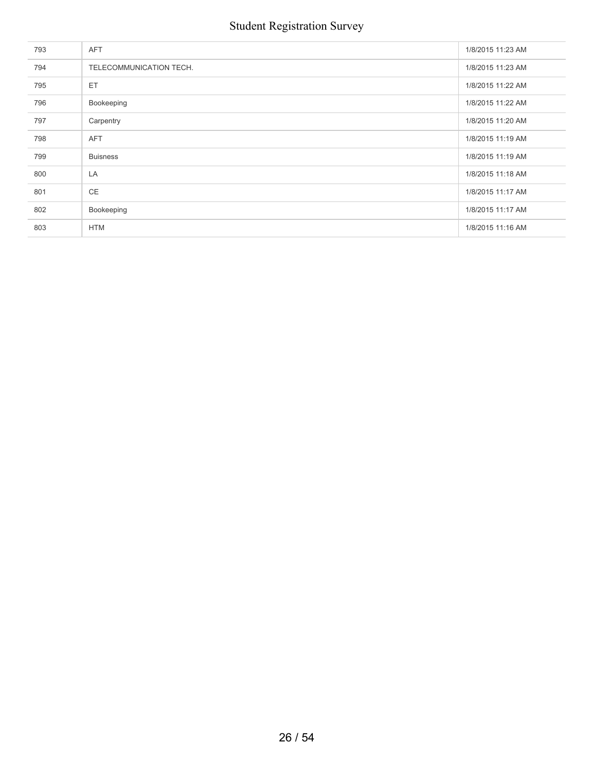| 793 | <b>AFT</b>              | 1/8/2015 11:23 AM |
|-----|-------------------------|-------------------|
| 794 | TELECOMMUNICATION TECH. | 1/8/2015 11:23 AM |
| 795 | ET                      | 1/8/2015 11:22 AM |
| 796 | Bookeeping              | 1/8/2015 11:22 AM |
| 797 | Carpentry               | 1/8/2015 11:20 AM |
| 798 | <b>AFT</b>              | 1/8/2015 11:19 AM |
| 799 | <b>Buisness</b>         | 1/8/2015 11:19 AM |
| 800 | LA                      | 1/8/2015 11:18 AM |
| 801 | <b>CE</b>               | 1/8/2015 11:17 AM |
| 802 | Bookeeping              | 1/8/2015 11:17 AM |
| 803 | <b>HTM</b>              | 1/8/2015 11:16 AM |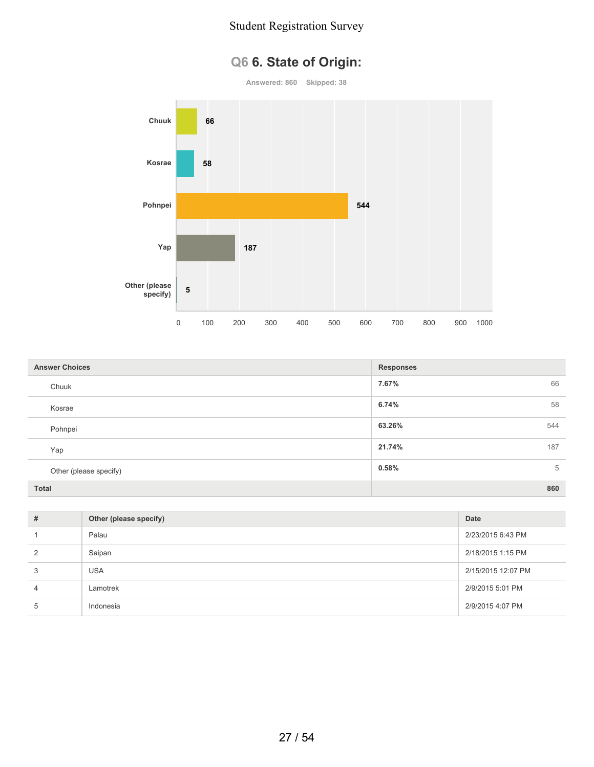# **Q6 6. State of Origin:**

**Answered: 860 Skipped: 38**



| <b>Answer Choices</b>  | <b>Responses</b> |
|------------------------|------------------|
| Chuuk                  | 66<br>7.67%      |
| Kosrae                 | 6.74%<br>58      |
| Pohnpei                | 63.26%<br>544    |
| Yap                    | 21.74%<br>187    |
| Other (please specify) | 0.58%<br>5       |
| <b>Total</b>           | 860              |

| # | Other (please specify) | <b>Date</b>        |
|---|------------------------|--------------------|
|   | Palau                  | 2/23/2015 6:43 PM  |
| 2 | Saipan                 | 2/18/2015 1:15 PM  |
| 3 | <b>USA</b>             | 2/15/2015 12:07 PM |
| 4 | Lamotrek               | 2/9/2015 5:01 PM   |
| 5 | Indonesia              | 2/9/2015 4:07 PM   |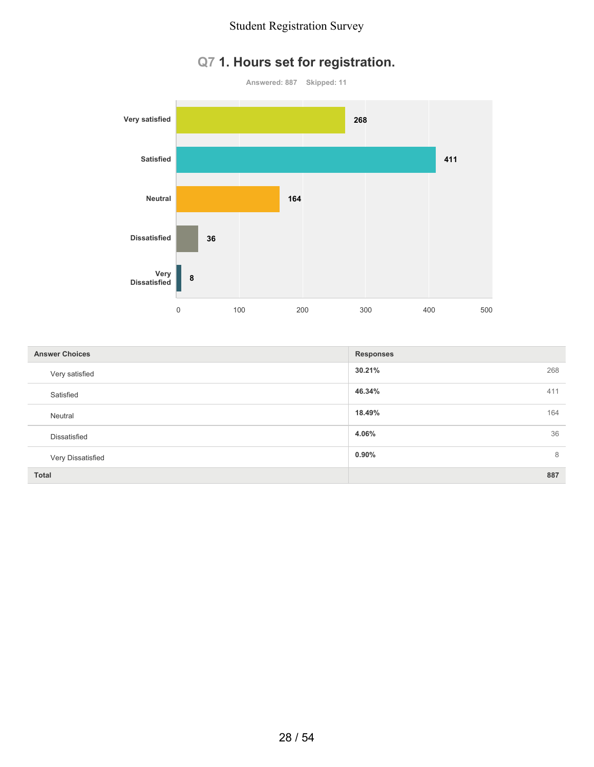## **Q7 1. Hours set for registration.**



| <b>Answer Choices</b> | <b>Responses</b> |
|-----------------------|------------------|
| Very satisfied        | 30.21%<br>268    |
| Satisfied             | 46.34%<br>411    |
| Neutral               | 18.49%<br>164    |
| Dissatisfied          | 36<br>4.06%      |
| Very Dissatisfied     | $0.90\%$<br>8    |
| <b>Total</b>          | 887              |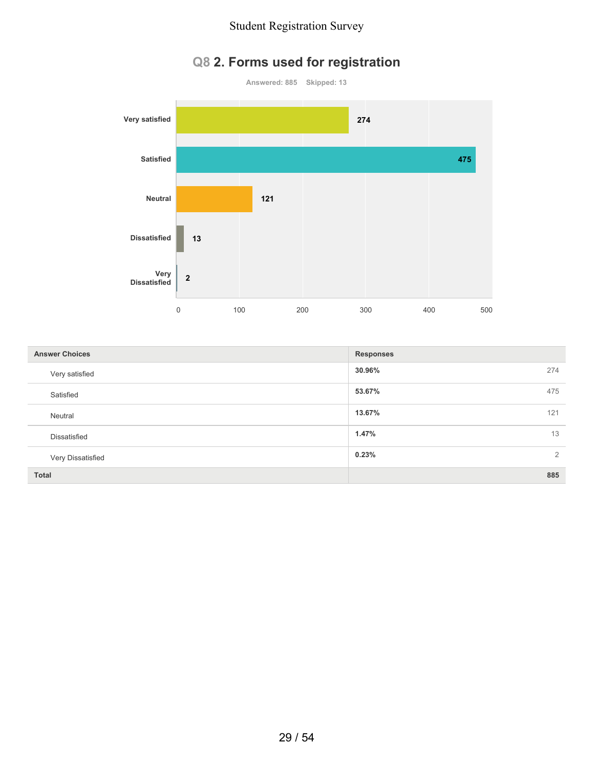## **Q8 2. Forms used for registration**



| <b>Answer Choices</b> | <b>Responses</b> |
|-----------------------|------------------|
| Very satisfied        | 30.96%<br>274    |
| Satisfied             | 475<br>53.67%    |
| Neutral               | 13.67%<br>121    |
| Dissatisfied          | 1.47%<br>13      |
| Very Dissatisfied     | 2<br>0.23%       |
| <b>Total</b>          | 885              |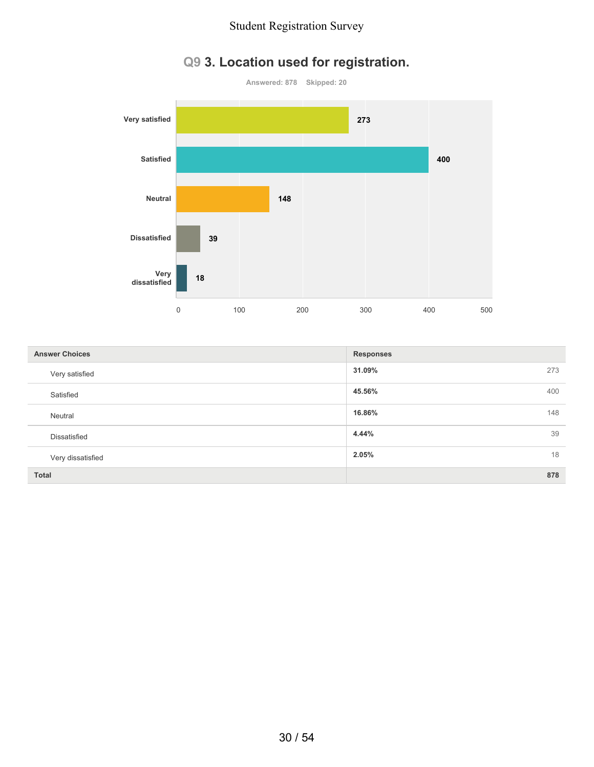# **Q9 3. Location used for registration.**



| <b>Answer Choices</b> | <b>Responses</b> |
|-----------------------|------------------|
| Very satisfied        | 31.09%<br>273    |
| Satisfied             | 45.56%<br>400    |
| Neutral               | 148<br>16.86%    |
| Dissatisfied          | 4.44%<br>39      |
| Very dissatisfied     | 2.05%<br>18      |
| <b>Total</b>          | 878              |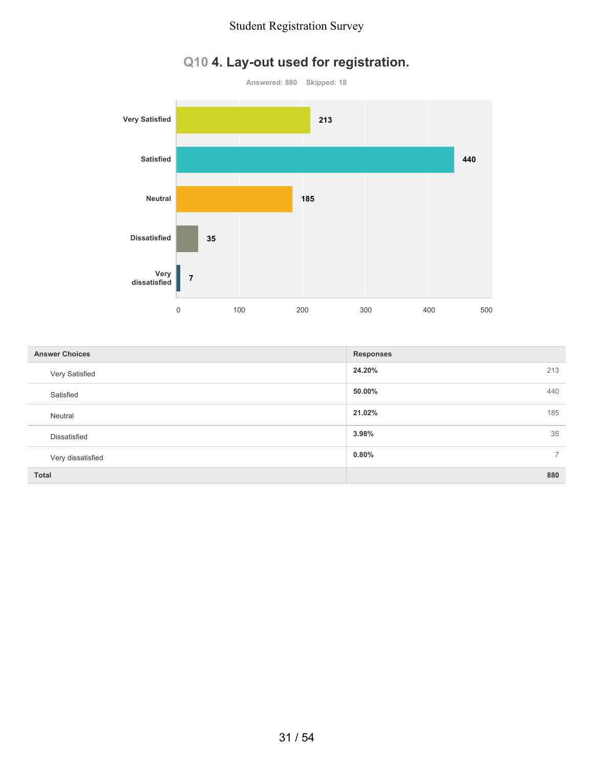## **Q10 4. Lay-out used for registration.**



| <b>Answer Choices</b> | <b>Responses</b>        |
|-----------------------|-------------------------|
| Very Satisfied        | 24.20%<br>213           |
| Satisfied             | 50.00%<br>440           |
| Neutral               | 21.02%<br>185           |
| Dissatisfied          | 35<br>3.98%             |
| Very dissatisfied     | 0.80%<br>$\overline{7}$ |
| <b>Total</b>          | 880                     |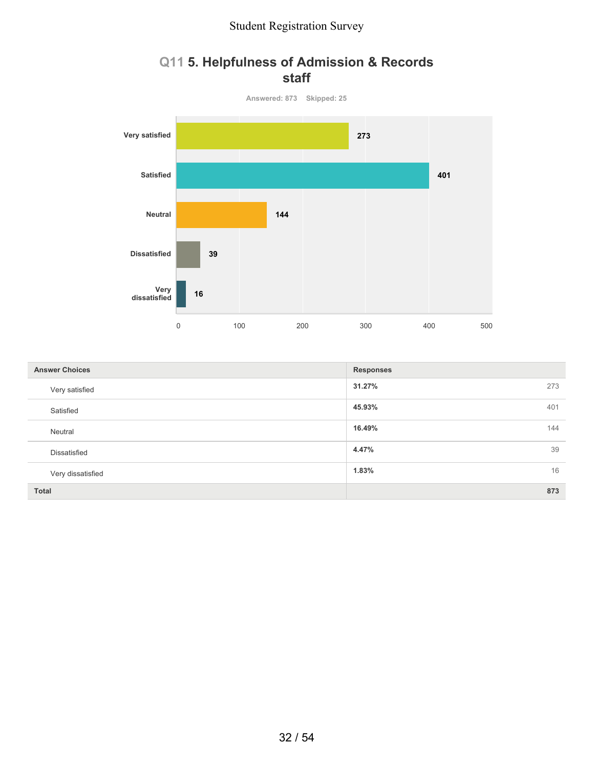### **Q11 5. Helpfulness of Admission & Records staff**



| <b>Answer Choices</b> | <b>Responses</b> |
|-----------------------|------------------|
| Very satisfied        | 31.27%<br>273    |
| Satisfied             | 45.93%<br>401    |
| Neutral               | 16.49%<br>144    |
| Dissatisfied          | 4.47%<br>39      |
| Very dissatisfied     | 16<br>1.83%      |
| <b>Total</b>          | 873              |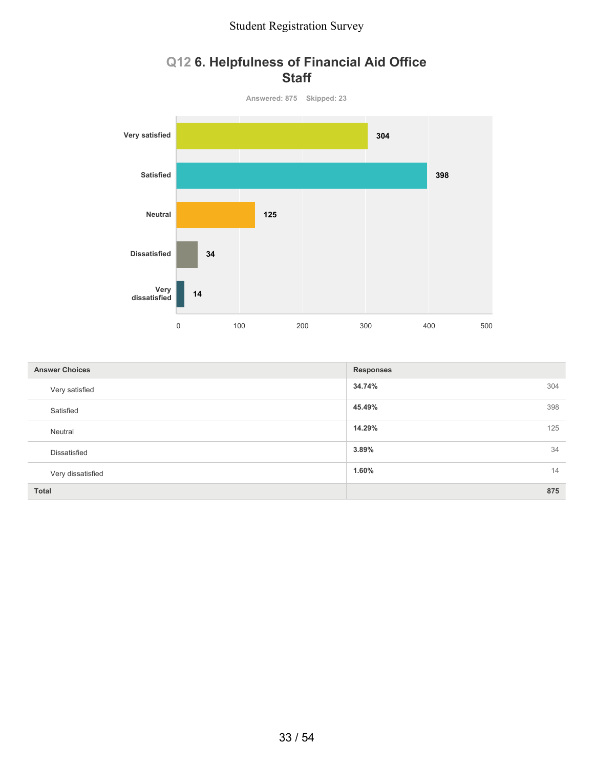### **Q12 6. Helpfulness of Financial Aid Office Staff**



| <b>Answer Choices</b> | <b>Responses</b> |
|-----------------------|------------------|
| Very satisfied        | 34.74%<br>304    |
| Satisfied             | 45.49%<br>398    |
| Neutral               | 14.29%<br>125    |
| Dissatisfied          | 34<br>3.89%      |
| Very dissatisfied     | 14<br>1.60%      |
| <b>Total</b>          | 875              |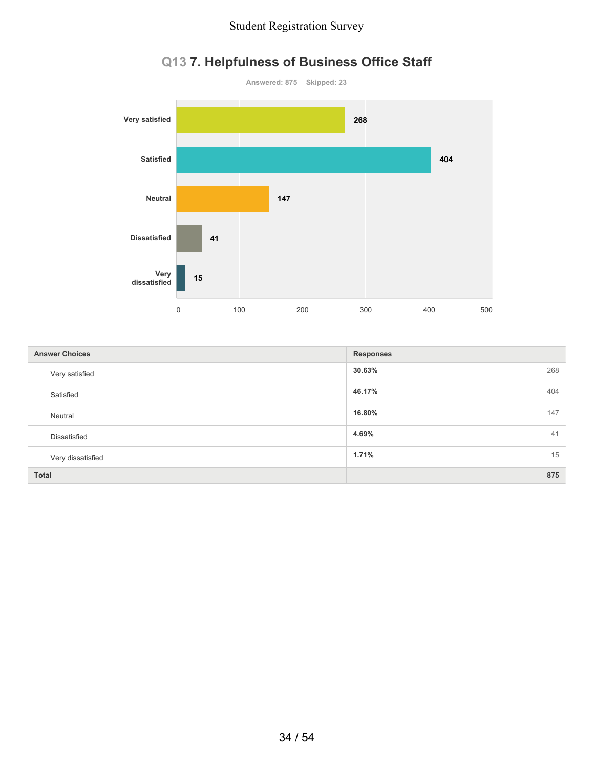

# **Q13 7. Helpfulness of Business Office Staff**

| <b>Answer Choices</b> | <b>Responses</b> |
|-----------------------|------------------|
| Very satisfied        | 30.63%<br>268    |
| Satisfied             | 46.17%<br>404    |
| Neutral               | 16.80%<br>147    |
| Dissatisfied          | 4.69%<br>41      |
| Very dissatisfied     | 1.71%<br>15      |
| <b>Total</b>          | 875              |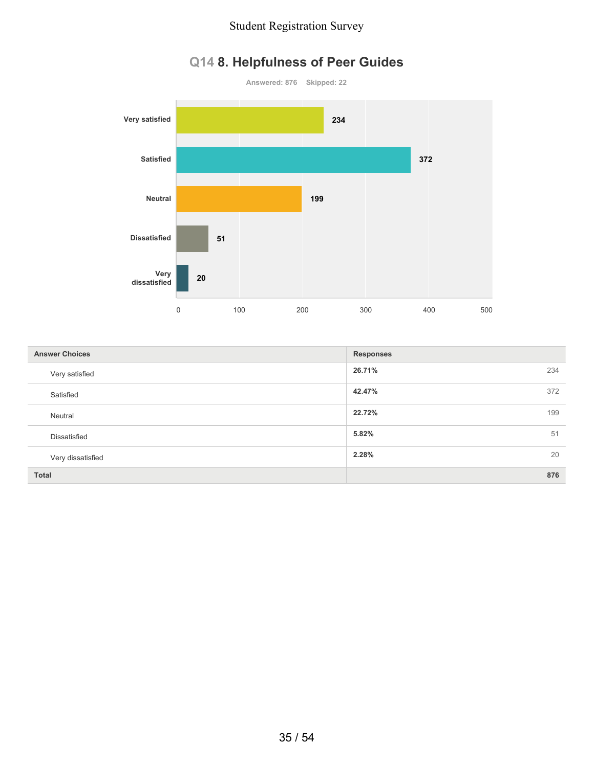



| <b>Answer Choices</b> | <b>Responses</b> |
|-----------------------|------------------|
| Very satisfied        | 26.71%<br>234    |
| Satisfied             | 42.47%<br>372    |
| Neutral               | 22.72%<br>199    |
| Dissatisfied          | 5.82%<br>51      |
| Very dissatisfied     | 2.28%<br>20      |
| <b>Total</b>          | 876              |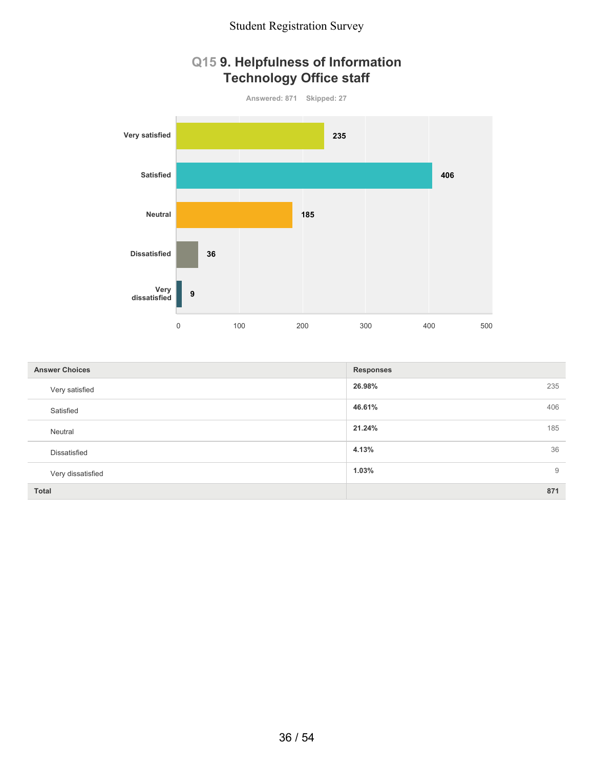### **Q15 9. Helpfulness of Information Technology Office staff**



| <b>Answer Choices</b> | <b>Responses</b> |  |
|-----------------------|------------------|--|
| Very satisfied        | 26.98%<br>235    |  |
| Satisfied             | 406<br>46.61%    |  |
| Neutral               | 21.24%<br>185    |  |
| Dissatisfied          | 36<br>4.13%      |  |
| Very dissatisfied     | 1.03%<br>9       |  |
| <b>Total</b>          | 871              |  |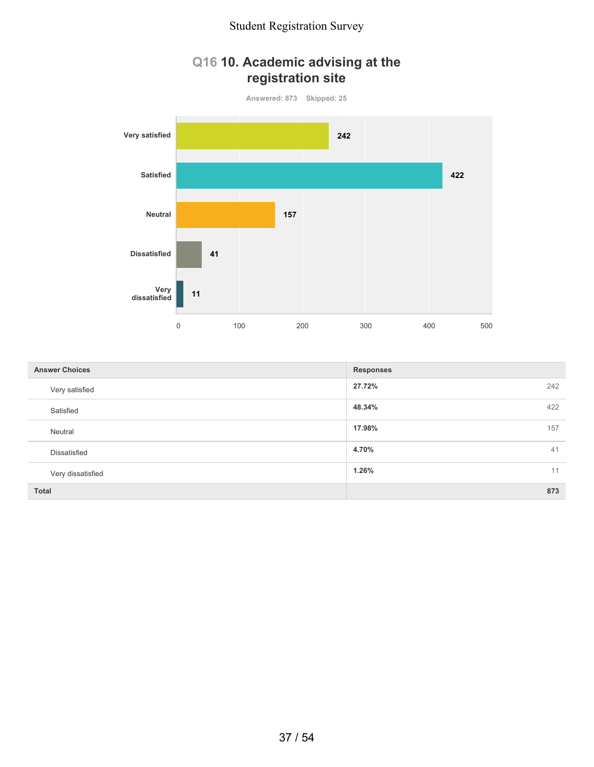### **Q16 10. Academic advising at the registration site**



| <b>Answer Choices</b> | <b>Responses</b> |  |
|-----------------------|------------------|--|
| Very satisfied        | 27.72%<br>242    |  |
| Satisfied             | 48.34%<br>422    |  |
| Neutral               | 17.98%<br>157    |  |
| Dissatisfied          | 4.70%<br>41      |  |
| Very dissatisfied     | 1.26%<br>11      |  |
| <b>Total</b>          | 873              |  |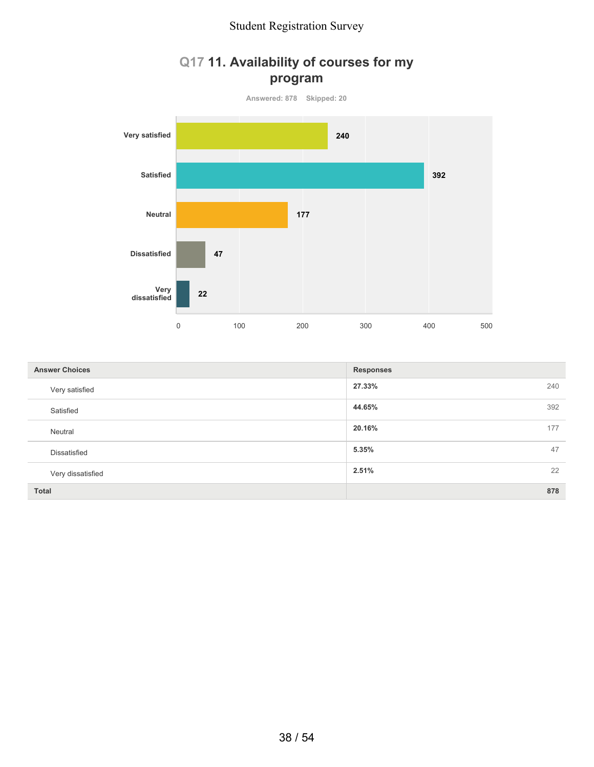### **Q17 11. Availability of courses for my program**



| <b>Answer Choices</b> | <b>Responses</b> |  |
|-----------------------|------------------|--|
| Very satisfied        | 27.33%<br>240    |  |
| Satisfied             | 44.65%<br>392    |  |
| Neutral               | 20.16%<br>177    |  |
| Dissatisfied          | 47<br>5.35%      |  |
| Very dissatisfied     | 22<br>2.51%      |  |
| <b>Total</b>          | 878              |  |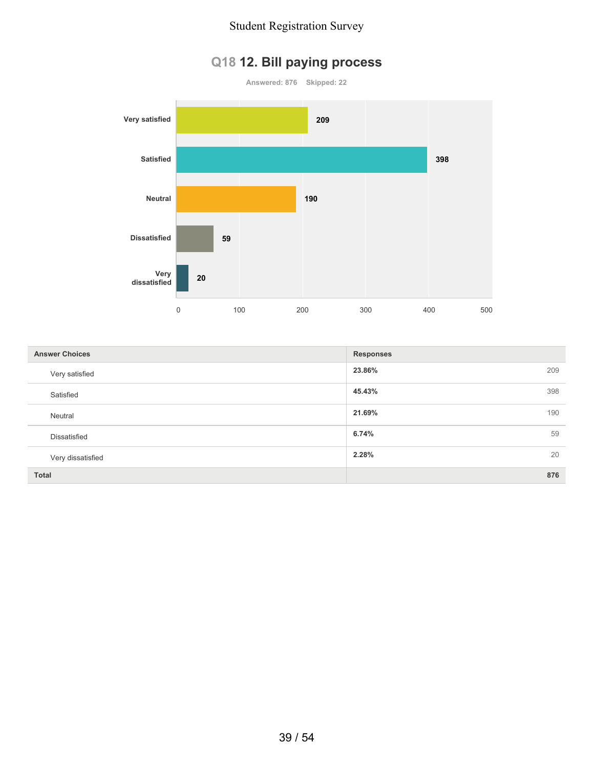## **Q18 12. Bill paying process**



| <b>Answer Choices</b> | <b>Responses</b> |  |
|-----------------------|------------------|--|
| Very satisfied        | 23.86%<br>209    |  |
| Satisfied             | 45.43%<br>398    |  |
| Neutral               | 21.69%<br>190    |  |
| Dissatisfied          | 6.74%<br>59      |  |
| Very dissatisfied     | 20<br>2.28%      |  |
| <b>Total</b>          | 876              |  |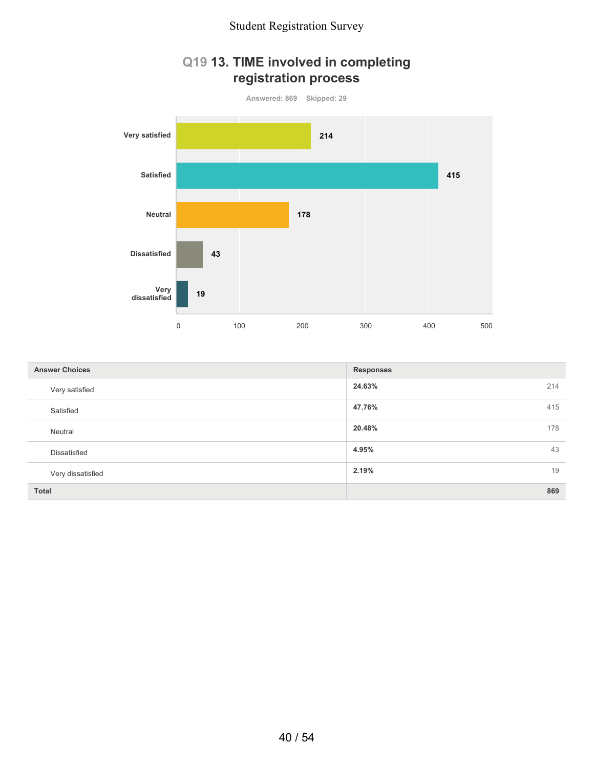### **Q19 13. TIME involved in completing registration process**



| <b>Answer Choices</b> | <b>Responses</b> |  |
|-----------------------|------------------|--|
| Very satisfied        | 24.63%<br>214    |  |
| Satisfied             | 415<br>47.76%    |  |
| Neutral               | 20.48%<br>178    |  |
| Dissatisfied          | 4.95%<br>43      |  |
| Very dissatisfied     | 2.19%<br>19      |  |
| <b>Total</b>          | 869              |  |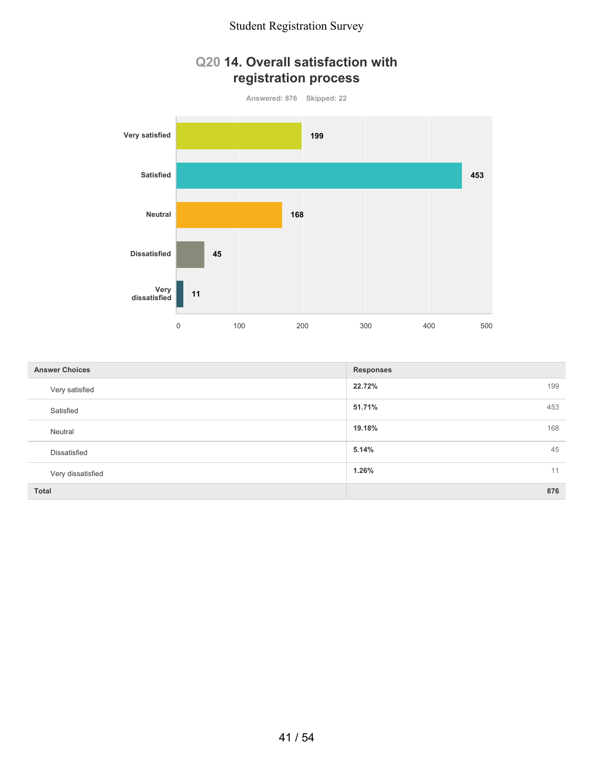### **Q20 14. Overall satisfaction with registration process**



| <b>Answer Choices</b> | <b>Responses</b> |  |
|-----------------------|------------------|--|
| Very satisfied        | 22.72%<br>199    |  |
| Satisfied             | 51.71%<br>453    |  |
| Neutral               | 168<br>19.18%    |  |
| Dissatisfied          | 45<br>5.14%      |  |
| Very dissatisfied     | 1.26%<br>11      |  |
| <b>Total</b>          | 876              |  |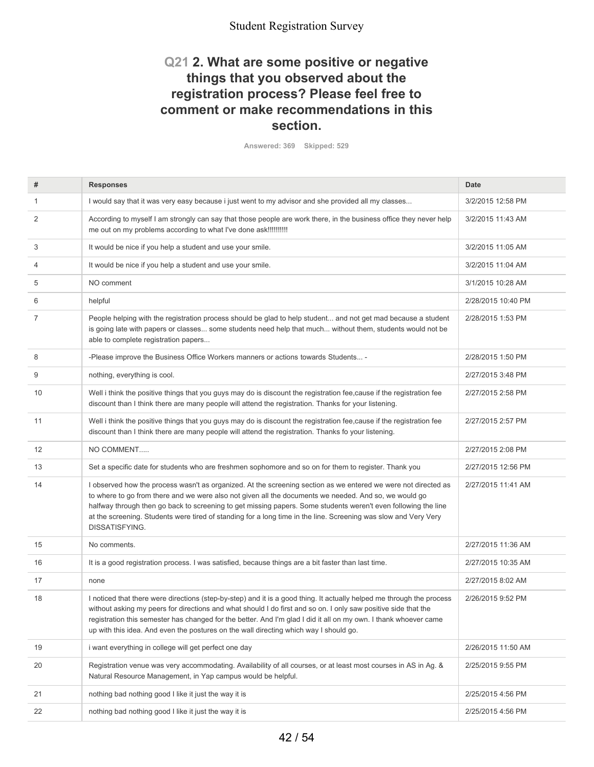### **Q21 2. What are some positive or negative things that you observed about the registration process? Please feel free to comment or make recommendations in this section.**

**Answered: 369 Skipped: 529**

| #  | <b>Responses</b>                                                                                                                                                                                                                                                                                                                                                                                                                                                               | Date               |
|----|--------------------------------------------------------------------------------------------------------------------------------------------------------------------------------------------------------------------------------------------------------------------------------------------------------------------------------------------------------------------------------------------------------------------------------------------------------------------------------|--------------------|
| 1  | I would say that it was very easy because i just went to my advisor and she provided all my classes                                                                                                                                                                                                                                                                                                                                                                            | 3/2/2015 12:58 PM  |
| 2  | According to myself I am strongly can say that those people are work there, in the business office they never help<br>me out on my problems according to what I've done ask!!!!!!!!!!!                                                                                                                                                                                                                                                                                         | 3/2/2015 11:43 AM  |
| 3  | It would be nice if you help a student and use your smile.                                                                                                                                                                                                                                                                                                                                                                                                                     | 3/2/2015 11:05 AM  |
| 4  | It would be nice if you help a student and use your smile.                                                                                                                                                                                                                                                                                                                                                                                                                     | 3/2/2015 11:04 AM  |
| 5  | NO comment                                                                                                                                                                                                                                                                                                                                                                                                                                                                     | 3/1/2015 10:28 AM  |
| 6  | helpful                                                                                                                                                                                                                                                                                                                                                                                                                                                                        | 2/28/2015 10:40 PM |
| 7  | People helping with the registration process should be glad to help student and not get mad because a student<br>is going late with papers or classes some students need help that much without them, students would not be<br>able to complete registration papers                                                                                                                                                                                                            | 2/28/2015 1:53 PM  |
| 8  | -Please improve the Business Office Workers manners or actions towards Students -                                                                                                                                                                                                                                                                                                                                                                                              | 2/28/2015 1:50 PM  |
| 9  | nothing, everything is cool.                                                                                                                                                                                                                                                                                                                                                                                                                                                   | 2/27/2015 3:48 PM  |
| 10 | Well i think the positive things that you guys may do is discount the registration fee, cause if the registration fee<br>discount than I think there are many people will attend the registration. Thanks for your listening.                                                                                                                                                                                                                                                  | 2/27/2015 2:58 PM  |
| 11 | Well i think the positive things that you guys may do is discount the registration fee, cause if the registration fee<br>discount than I think there are many people will attend the registration. Thanks fo your listening.                                                                                                                                                                                                                                                   | 2/27/2015 2:57 PM  |
| 12 | NO COMMENT                                                                                                                                                                                                                                                                                                                                                                                                                                                                     | 2/27/2015 2:08 PM  |
| 13 | Set a specific date for students who are freshmen sophomore and so on for them to register. Thank you                                                                                                                                                                                                                                                                                                                                                                          | 2/27/2015 12:56 PM |
| 14 | I observed how the process wasn't as organized. At the screening section as we entered we were not directed as<br>to where to go from there and we were also not given all the documents we needed. And so, we would go<br>halfway through then go back to screening to get missing papers. Some students weren't even following the line<br>at the screening. Students were tired of standing for a long time in the line. Screening was slow and Very Very<br>DISSATISFYING. | 2/27/2015 11:41 AM |
| 15 | No comments.                                                                                                                                                                                                                                                                                                                                                                                                                                                                   | 2/27/2015 11:36 AM |
| 16 | It is a good registration process. I was satisfied, because things are a bit faster than last time.                                                                                                                                                                                                                                                                                                                                                                            | 2/27/2015 10:35 AM |
| 17 | none                                                                                                                                                                                                                                                                                                                                                                                                                                                                           | 2/27/2015 8:02 AM  |
| 18 | I noticed that there were directions (step-by-step) and it is a good thing. It actually helped me through the process<br>without asking my peers for directions and what should I do first and so on. I only saw positive side that the<br>registration this semester has changed for the better. And I'm glad I did it all on my own. I thank whoever came<br>up with this idea. And even the postures on the wall directing which way I should go.                           | 2/26/2015 9:52 PM  |
| 19 | i want everything in college will get perfect one day                                                                                                                                                                                                                                                                                                                                                                                                                          | 2/26/2015 11:50 AM |
| 20 | Registration venue was very accommodating. Availability of all courses, or at least most courses in AS in Ag. &<br>Natural Resource Management, in Yap campus would be helpful.                                                                                                                                                                                                                                                                                                | 2/25/2015 9:55 PM  |
| 21 | nothing bad nothing good I like it just the way it is                                                                                                                                                                                                                                                                                                                                                                                                                          | 2/25/2015 4:56 PM  |
| 22 | nothing bad nothing good I like it just the way it is                                                                                                                                                                                                                                                                                                                                                                                                                          | 2/25/2015 4:56 PM  |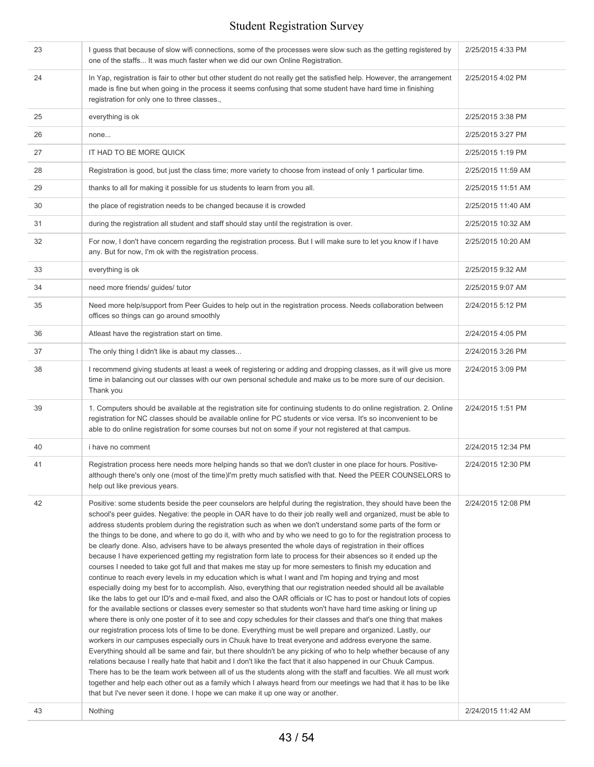| 23 | I guess that because of slow wifi connections, some of the processes were slow such as the getting registered by<br>one of the staffs It was much faster when we did our own Online Registration.                                                                                                                                                                                                                                                                                                                                                                                                                                                                                                                                                                                                                                                                                                                                                                                                                                                                                                                                                                                                                                                                                                                                                                                                                                                                                                                                                                                                                                                                                                                                                                                                                                                                                                                                                                                                                                                                                                                                                                                                                    | 2/25/2015 4:33 PM  |
|----|----------------------------------------------------------------------------------------------------------------------------------------------------------------------------------------------------------------------------------------------------------------------------------------------------------------------------------------------------------------------------------------------------------------------------------------------------------------------------------------------------------------------------------------------------------------------------------------------------------------------------------------------------------------------------------------------------------------------------------------------------------------------------------------------------------------------------------------------------------------------------------------------------------------------------------------------------------------------------------------------------------------------------------------------------------------------------------------------------------------------------------------------------------------------------------------------------------------------------------------------------------------------------------------------------------------------------------------------------------------------------------------------------------------------------------------------------------------------------------------------------------------------------------------------------------------------------------------------------------------------------------------------------------------------------------------------------------------------------------------------------------------------------------------------------------------------------------------------------------------------------------------------------------------------------------------------------------------------------------------------------------------------------------------------------------------------------------------------------------------------------------------------------------------------------------------------------------------------|--------------------|
| 24 | In Yap, registration is fair to other but other student do not really get the satisfied help. However, the arrangement<br>made is fine but when going in the process it seems confusing that some student have hard time in finishing<br>registration for only one to three classes.,                                                                                                                                                                                                                                                                                                                                                                                                                                                                                                                                                                                                                                                                                                                                                                                                                                                                                                                                                                                                                                                                                                                                                                                                                                                                                                                                                                                                                                                                                                                                                                                                                                                                                                                                                                                                                                                                                                                                | 2/25/2015 4:02 PM  |
| 25 | everything is ok                                                                                                                                                                                                                                                                                                                                                                                                                                                                                                                                                                                                                                                                                                                                                                                                                                                                                                                                                                                                                                                                                                                                                                                                                                                                                                                                                                                                                                                                                                                                                                                                                                                                                                                                                                                                                                                                                                                                                                                                                                                                                                                                                                                                     | 2/25/2015 3:38 PM  |
| 26 | none                                                                                                                                                                                                                                                                                                                                                                                                                                                                                                                                                                                                                                                                                                                                                                                                                                                                                                                                                                                                                                                                                                                                                                                                                                                                                                                                                                                                                                                                                                                                                                                                                                                                                                                                                                                                                                                                                                                                                                                                                                                                                                                                                                                                                 | 2/25/2015 3:27 PM  |
| 27 | IT HAD TO BE MORE QUICK                                                                                                                                                                                                                                                                                                                                                                                                                                                                                                                                                                                                                                                                                                                                                                                                                                                                                                                                                                                                                                                                                                                                                                                                                                                                                                                                                                                                                                                                                                                                                                                                                                                                                                                                                                                                                                                                                                                                                                                                                                                                                                                                                                                              | 2/25/2015 1:19 PM  |
| 28 | Registration is good, but just the class time; more variety to choose from instead of only 1 particular time.                                                                                                                                                                                                                                                                                                                                                                                                                                                                                                                                                                                                                                                                                                                                                                                                                                                                                                                                                                                                                                                                                                                                                                                                                                                                                                                                                                                                                                                                                                                                                                                                                                                                                                                                                                                                                                                                                                                                                                                                                                                                                                        | 2/25/2015 11:59 AM |
| 29 | thanks to all for making it possible for us students to learn from you all.                                                                                                                                                                                                                                                                                                                                                                                                                                                                                                                                                                                                                                                                                                                                                                                                                                                                                                                                                                                                                                                                                                                                                                                                                                                                                                                                                                                                                                                                                                                                                                                                                                                                                                                                                                                                                                                                                                                                                                                                                                                                                                                                          | 2/25/2015 11:51 AM |
| 30 | the place of registration needs to be changed because it is crowded                                                                                                                                                                                                                                                                                                                                                                                                                                                                                                                                                                                                                                                                                                                                                                                                                                                                                                                                                                                                                                                                                                                                                                                                                                                                                                                                                                                                                                                                                                                                                                                                                                                                                                                                                                                                                                                                                                                                                                                                                                                                                                                                                  | 2/25/2015 11:40 AM |
| 31 | during the registration all student and staff should stay until the registration is over.                                                                                                                                                                                                                                                                                                                                                                                                                                                                                                                                                                                                                                                                                                                                                                                                                                                                                                                                                                                                                                                                                                                                                                                                                                                                                                                                                                                                                                                                                                                                                                                                                                                                                                                                                                                                                                                                                                                                                                                                                                                                                                                            | 2/25/2015 10:32 AM |
| 32 | For now, I don't have concern regarding the registration process. But I will make sure to let you know if I have<br>any. But for now, I'm ok with the registration process.                                                                                                                                                                                                                                                                                                                                                                                                                                                                                                                                                                                                                                                                                                                                                                                                                                                                                                                                                                                                                                                                                                                                                                                                                                                                                                                                                                                                                                                                                                                                                                                                                                                                                                                                                                                                                                                                                                                                                                                                                                          | 2/25/2015 10:20 AM |
| 33 | everything is ok                                                                                                                                                                                                                                                                                                                                                                                                                                                                                                                                                                                                                                                                                                                                                                                                                                                                                                                                                                                                                                                                                                                                                                                                                                                                                                                                                                                                                                                                                                                                                                                                                                                                                                                                                                                                                                                                                                                                                                                                                                                                                                                                                                                                     | 2/25/2015 9:32 AM  |
| 34 | need more friends/ guides/ tutor                                                                                                                                                                                                                                                                                                                                                                                                                                                                                                                                                                                                                                                                                                                                                                                                                                                                                                                                                                                                                                                                                                                                                                                                                                                                                                                                                                                                                                                                                                                                                                                                                                                                                                                                                                                                                                                                                                                                                                                                                                                                                                                                                                                     | 2/25/2015 9:07 AM  |
| 35 | Need more help/support from Peer Guides to help out in the registration process. Needs collaboration between<br>offices so things can go around smoothly                                                                                                                                                                                                                                                                                                                                                                                                                                                                                                                                                                                                                                                                                                                                                                                                                                                                                                                                                                                                                                                                                                                                                                                                                                                                                                                                                                                                                                                                                                                                                                                                                                                                                                                                                                                                                                                                                                                                                                                                                                                             | 2/24/2015 5:12 PM  |
| 36 | Atleast have the registration start on time.                                                                                                                                                                                                                                                                                                                                                                                                                                                                                                                                                                                                                                                                                                                                                                                                                                                                                                                                                                                                                                                                                                                                                                                                                                                                                                                                                                                                                                                                                                                                                                                                                                                                                                                                                                                                                                                                                                                                                                                                                                                                                                                                                                         | 2/24/2015 4:05 PM  |
| 37 | The only thing I didn't like is abaut my classes                                                                                                                                                                                                                                                                                                                                                                                                                                                                                                                                                                                                                                                                                                                                                                                                                                                                                                                                                                                                                                                                                                                                                                                                                                                                                                                                                                                                                                                                                                                                                                                                                                                                                                                                                                                                                                                                                                                                                                                                                                                                                                                                                                     | 2/24/2015 3:26 PM  |
| 38 | I recommend giving students at least a week of registering or adding and dropping classes, as it will give us more<br>time in balancing out our classes with our own personal schedule and make us to be more sure of our decision.<br>Thank you                                                                                                                                                                                                                                                                                                                                                                                                                                                                                                                                                                                                                                                                                                                                                                                                                                                                                                                                                                                                                                                                                                                                                                                                                                                                                                                                                                                                                                                                                                                                                                                                                                                                                                                                                                                                                                                                                                                                                                     | 2/24/2015 3:09 PM  |
| 39 | 1. Computers should be available at the registration site for continuing students to do online registration. 2. Online<br>registration for NC classes should be available online for PC students or vice versa. It's so inconvenient to be<br>able to do online registration for some courses but not on some if your not registered at that campus.                                                                                                                                                                                                                                                                                                                                                                                                                                                                                                                                                                                                                                                                                                                                                                                                                                                                                                                                                                                                                                                                                                                                                                                                                                                                                                                                                                                                                                                                                                                                                                                                                                                                                                                                                                                                                                                                 | 2/24/2015 1:51 PM  |
| 40 | i have no comment                                                                                                                                                                                                                                                                                                                                                                                                                                                                                                                                                                                                                                                                                                                                                                                                                                                                                                                                                                                                                                                                                                                                                                                                                                                                                                                                                                                                                                                                                                                                                                                                                                                                                                                                                                                                                                                                                                                                                                                                                                                                                                                                                                                                    | 2/24/2015 12:34 PM |
| 41 | Registration process here needs more helping hands so that we don't cluster in one place for hours. Positive-<br>although there's only one (most of the time)I'm pretty much satisfied with that. Need the PEER COUNSELORS to<br>help out like previous years.                                                                                                                                                                                                                                                                                                                                                                                                                                                                                                                                                                                                                                                                                                                                                                                                                                                                                                                                                                                                                                                                                                                                                                                                                                                                                                                                                                                                                                                                                                                                                                                                                                                                                                                                                                                                                                                                                                                                                       | 2/24/2015 12:30 PM |
| 42 | Positive: some students beside the peer counselors are helpful during the registration, they should have been the<br>school's peer guides. Negative: the people in OAR have to do their job really well and organized, must be able to<br>address students problem during the registration such as when we don't understand some parts of the form or<br>the things to be done, and where to go do it, with who and by who we need to go to for the registration process to<br>be clearly done. Also, advisers have to be always presented the whole days of registration in their offices<br>because I have experienced getting my registration form late to process for their absences so it ended up the<br>courses I needed to take got full and that makes me stay up for more semesters to finish my education and<br>continue to reach every levels in my education which is what I want and I'm hoping and trying and most<br>especially doing my best for to accomplish. Also, everything that our registration needed should all be available<br>like the labs to get our ID's and e-mail fixed, and also the OAR officials or IC has to post or handout lots of copies<br>for the available sections or classes every semester so that students won't have hard time asking or lining up<br>where there is only one poster of it to see and copy schedules for their classes and that's one thing that makes<br>our registration process lots of time to be done. Everything must be well prepare and organized. Lastly, our<br>workers in our campuses especially ours in Chuuk have to treat everyone and address everyone the same.<br>Everything should all be same and fair, but there shouldn't be any picking of who to help whether because of any<br>relations because I really hate that habit and I don't like the fact that it also happened in our Chuuk Campus.<br>There has to be the team work between all of us the students along with the staff and faculties. We all must work<br>together and help each other out as a family which I always heard from our meetings we had that it has to be like<br>that but I've never seen it done. I hope we can make it up one way or another. | 2/24/2015 12:08 PM |
| 43 | Nothing                                                                                                                                                                                                                                                                                                                                                                                                                                                                                                                                                                                                                                                                                                                                                                                                                                                                                                                                                                                                                                                                                                                                                                                                                                                                                                                                                                                                                                                                                                                                                                                                                                                                                                                                                                                                                                                                                                                                                                                                                                                                                                                                                                                                              | 2/24/2015 11:42 AM |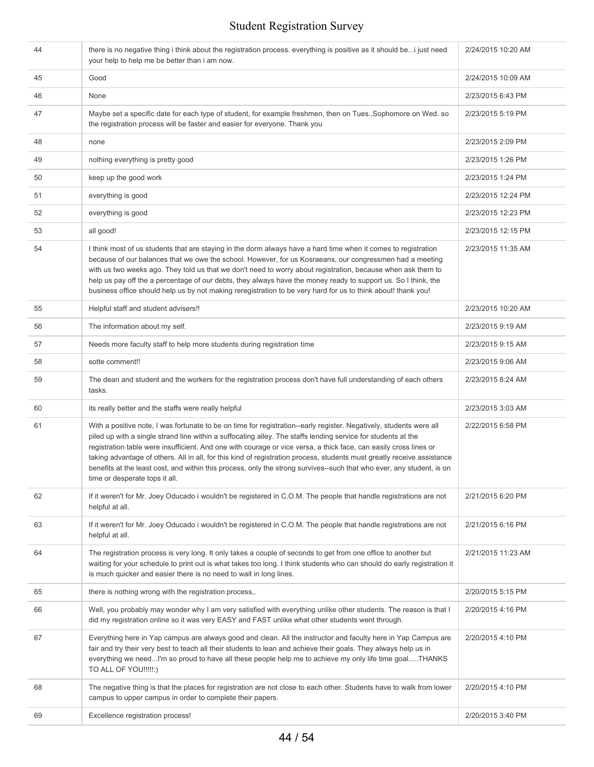| 44 | there is no negative thing i think about the registration process. everything is positive as it should be i just need<br>your help to help me be better than i am now.                                                                                                                                                                                                                                                                                                                                                                                                                                                                          | 2/24/2015 10:20 AM |
|----|-------------------------------------------------------------------------------------------------------------------------------------------------------------------------------------------------------------------------------------------------------------------------------------------------------------------------------------------------------------------------------------------------------------------------------------------------------------------------------------------------------------------------------------------------------------------------------------------------------------------------------------------------|--------------------|
| 45 | Good                                                                                                                                                                                                                                                                                                                                                                                                                                                                                                                                                                                                                                            | 2/24/2015 10:09 AM |
| 46 | None                                                                                                                                                                                                                                                                                                                                                                                                                                                                                                                                                                                                                                            | 2/23/2015 6:43 PM  |
| 47 | Maybe set a specific date for each type of student, for example freshmen, then on Tues., Sophomore on Wed. so<br>the registration process will be faster and easier for everyone. Thank you                                                                                                                                                                                                                                                                                                                                                                                                                                                     | 2/23/2015 5:19 PM  |
| 48 | none                                                                                                                                                                                                                                                                                                                                                                                                                                                                                                                                                                                                                                            | 2/23/2015 2:09 PM  |
| 49 | nothing everything is pretty good                                                                                                                                                                                                                                                                                                                                                                                                                                                                                                                                                                                                               | 2/23/2015 1:26 PM  |
| 50 | keep up the good work                                                                                                                                                                                                                                                                                                                                                                                                                                                                                                                                                                                                                           | 2/23/2015 1:24 PM  |
| 51 | everything is good                                                                                                                                                                                                                                                                                                                                                                                                                                                                                                                                                                                                                              | 2/23/2015 12:24 PM |
| 52 | everything is good                                                                                                                                                                                                                                                                                                                                                                                                                                                                                                                                                                                                                              | 2/23/2015 12:23 PM |
| 53 | all good!                                                                                                                                                                                                                                                                                                                                                                                                                                                                                                                                                                                                                                       | 2/23/2015 12:15 PM |
| 54 | I think most of us students that are staying in the dorm always have a hard time when it comes to registration<br>because of our balances that we owe the school. However, for us Kosraeans, our congressmen had a meeting<br>with us two weeks ago. They told us that we don't need to worry about registration, because when ask them to<br>help us pay off the a percentage of our debts, they always have the money ready to support us. So I think, the<br>business office should help us by not making reregistration to be very hard for us to think about! thank you!                                                                   | 2/23/2015 11:35 AM |
| 55 | Helpful staff and student advisers!!                                                                                                                                                                                                                                                                                                                                                                                                                                                                                                                                                                                                            | 2/23/2015 10:20 AM |
| 56 | The information about my self.                                                                                                                                                                                                                                                                                                                                                                                                                                                                                                                                                                                                                  | 2/23/2015 9:19 AM  |
| 57 | Needs more faculty staff to help more students during registration time                                                                                                                                                                                                                                                                                                                                                                                                                                                                                                                                                                         | 2/23/2015 9:15 AM  |
| 58 | sotte comment!!                                                                                                                                                                                                                                                                                                                                                                                                                                                                                                                                                                                                                                 | 2/23/2015 9:06 AM  |
| 59 | The dean and student and the workers for the registration process don't have full understanding of each others<br>tasks.                                                                                                                                                                                                                                                                                                                                                                                                                                                                                                                        | 2/23/2015 8:24 AM  |
| 60 | its really better and the staffs were really helpful                                                                                                                                                                                                                                                                                                                                                                                                                                                                                                                                                                                            | 2/23/2015 3:03 AM  |
| 61 | With a positive note, I was fortunate to be on time for registration--early register. Negatively, students were all<br>piled up with a single strand line within a suffocating alley. The staffs lending service for students at the<br>registration table were insufficient. And one with courage or vice versa, a thick face, can easily cross lines or<br>taking advantage of others. All in all, for this kind of registration process, students must greatly receive assistance<br>benefits at the least cost, and within this process, only the strong survives--such that who ever, any student, is on<br>time or desperate tops it all. | 2/22/2015 6:58 PM  |
| 62 | If it weren't for Mr. Joey Oducado i wouldn't be registered in C.O.M. The people that handle registrations are not<br>helpful at all.                                                                                                                                                                                                                                                                                                                                                                                                                                                                                                           | 2/21/2015 6:20 PM  |
| 63 | If it weren't for Mr. Joey Oducado i wouldn't be registered in C.O.M. The people that handle registrations are not<br>helpful at all.                                                                                                                                                                                                                                                                                                                                                                                                                                                                                                           | 2/21/2015 6:16 PM  |
| 64 | The registration process is very long. It only takes a couple of seconds to get from one office to another but<br>waiting for your schedule to print out is what takes too long. I think students who can should do early registration it<br>is much quicker and easier there is no need to wait in long lines.                                                                                                                                                                                                                                                                                                                                 | 2/21/2015 11:23 AM |
| 65 | there is nothing wrong with the registration process,.                                                                                                                                                                                                                                                                                                                                                                                                                                                                                                                                                                                          | 2/20/2015 5:15 PM  |
| 66 | Well, you probably may wonder why I am very satisfied with everything unlike other students. The reason is that I<br>did my registration online so it was very EASY and FAST unlike what other students went through.                                                                                                                                                                                                                                                                                                                                                                                                                           | 2/20/2015 4:16 PM  |
| 67 | Everything here in Yap campus are always good and clean. All the instructor and faculty here in Yap Campus are<br>fair and try their very best to teach all their students to lean and achieve their goals. They always help us in<br>everything we needI'm so proud to have all these people help me to achieve my only life time goalTHANKS<br>TO ALL OF YOU!!!!!:)                                                                                                                                                                                                                                                                           | 2/20/2015 4:10 PM  |
| 68 | The negative thing is that the places for registration are not close to each other. Students have to walk from lower<br>campus to upper campus in order to complete their papers.                                                                                                                                                                                                                                                                                                                                                                                                                                                               | 2/20/2015 4:10 PM  |
| 69 | Excellence registration process!                                                                                                                                                                                                                                                                                                                                                                                                                                                                                                                                                                                                                | 2/20/2015 3:40 PM  |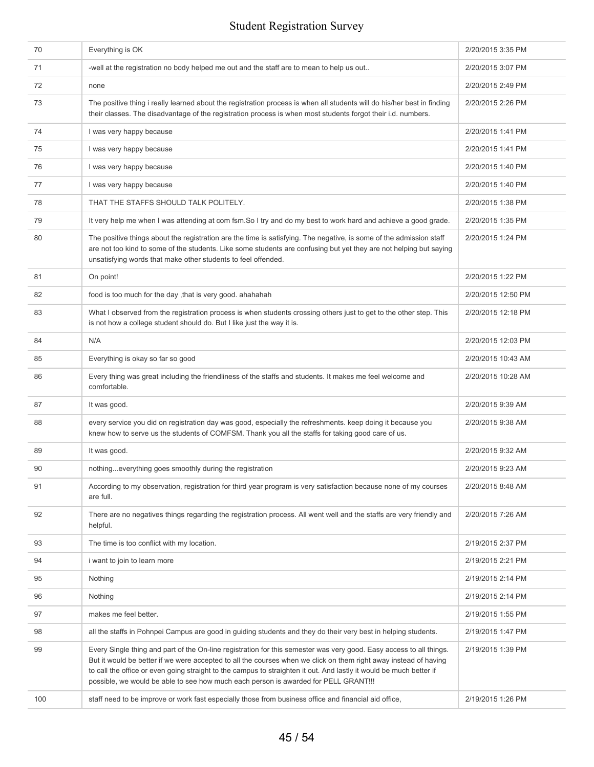| 70  | Everything is OK                                                                                                                                                                                                                                                                                                                                                                                                                                      | 2/20/2015 3:35 PM  |
|-----|-------------------------------------------------------------------------------------------------------------------------------------------------------------------------------------------------------------------------------------------------------------------------------------------------------------------------------------------------------------------------------------------------------------------------------------------------------|--------------------|
| 71  | -well at the registration no body helped me out and the staff are to mean to help us out                                                                                                                                                                                                                                                                                                                                                              | 2/20/2015 3:07 PM  |
| 72  | none                                                                                                                                                                                                                                                                                                                                                                                                                                                  | 2/20/2015 2:49 PM  |
| 73  | The positive thing i really learned about the registration process is when all students will do his/her best in finding<br>their classes. The disadvantage of the registration process is when most students forgot their i.d. numbers.                                                                                                                                                                                                               | 2/20/2015 2:26 PM  |
| 74  | I was very happy because                                                                                                                                                                                                                                                                                                                                                                                                                              | 2/20/2015 1:41 PM  |
| 75  | I was very happy because                                                                                                                                                                                                                                                                                                                                                                                                                              | 2/20/2015 1:41 PM  |
| 76  | I was very happy because                                                                                                                                                                                                                                                                                                                                                                                                                              | 2/20/2015 1:40 PM  |
| 77  | I was very happy because                                                                                                                                                                                                                                                                                                                                                                                                                              | 2/20/2015 1:40 PM  |
| 78  | THAT THE STAFFS SHOULD TALK POLITELY.                                                                                                                                                                                                                                                                                                                                                                                                                 | 2/20/2015 1:38 PM  |
| 79  | It very help me when I was attending at com fsm.So I try and do my best to work hard and achieve a good grade.                                                                                                                                                                                                                                                                                                                                        | 2/20/2015 1:35 PM  |
| 80  | The positive things about the registration are the time is satisfying. The negative, is some of the admission staff<br>are not too kind to some of the students. Like some students are confusing but yet they are not helping but saying<br>unsatisfying words that make other students to feel offended.                                                                                                                                            | 2/20/2015 1:24 PM  |
| 81  | On point!                                                                                                                                                                                                                                                                                                                                                                                                                                             | 2/20/2015 1:22 PM  |
| 82  | food is too much for the day , that is very good. ahahahah                                                                                                                                                                                                                                                                                                                                                                                            | 2/20/2015 12:50 PM |
| 83  | What I observed from the registration process is when students crossing others just to get to the other step. This<br>is not how a college student should do. But I like just the way it is.                                                                                                                                                                                                                                                          | 2/20/2015 12:18 PM |
| 84  | N/A                                                                                                                                                                                                                                                                                                                                                                                                                                                   | 2/20/2015 12:03 PM |
| 85  | Everything is okay so far so good                                                                                                                                                                                                                                                                                                                                                                                                                     | 2/20/2015 10:43 AM |
| 86  | Every thing was great including the friendliness of the staffs and students. It makes me feel welcome and<br>comfortable.                                                                                                                                                                                                                                                                                                                             | 2/20/2015 10:28 AM |
| 87  | It was good.                                                                                                                                                                                                                                                                                                                                                                                                                                          | 2/20/2015 9:39 AM  |
| 88  | every service you did on registration day was good, especially the refreshments. keep doing it because you<br>knew how to serve us the students of COMFSM. Thank you all the staffs for taking good care of us.                                                                                                                                                                                                                                       | 2/20/2015 9:38 AM  |
| 89  | It was good.                                                                                                                                                                                                                                                                                                                                                                                                                                          | 2/20/2015 9:32 AM  |
| 90  | nothingeverything goes smoothly during the registration                                                                                                                                                                                                                                                                                                                                                                                               | 2/20/2015 9:23 AM  |
| 91  | According to my observation, registration for third year program is very satisfaction because none of my courses<br>are full.                                                                                                                                                                                                                                                                                                                         | 2/20/2015 8:48 AM  |
| 92  | There are no negatives things regarding the registration process. All went well and the staffs are very friendly and<br>helpful.                                                                                                                                                                                                                                                                                                                      | 2/20/2015 7:26 AM  |
| 93  | The time is too conflict with my location.                                                                                                                                                                                                                                                                                                                                                                                                            | 2/19/2015 2:37 PM  |
| 94  | i want to join to learn more                                                                                                                                                                                                                                                                                                                                                                                                                          | 2/19/2015 2:21 PM  |
| 95  | Nothing                                                                                                                                                                                                                                                                                                                                                                                                                                               | 2/19/2015 2:14 PM  |
| 96  | Nothing                                                                                                                                                                                                                                                                                                                                                                                                                                               | 2/19/2015 2:14 PM  |
| 97  | makes me feel better.                                                                                                                                                                                                                                                                                                                                                                                                                                 | 2/19/2015 1:55 PM  |
| 98  | all the staffs in Pohnpei Campus are good in guiding students and they do their very best in helping students.                                                                                                                                                                                                                                                                                                                                        | 2/19/2015 1:47 PM  |
| 99  | Every Single thing and part of the On-line registration for this semester was very good. Easy access to all things.<br>But it would be better if we were accepted to all the courses when we click on them right away instead of having<br>to call the office or even going straight to the campus to straighten it out. And lastly it would be much better if<br>possible, we would be able to see how much each person is awarded for PELL GRANT!!! | 2/19/2015 1:39 PM  |
| 100 | staff need to be improve or work fast especially those from business office and financial aid office,                                                                                                                                                                                                                                                                                                                                                 | 2/19/2015 1:26 PM  |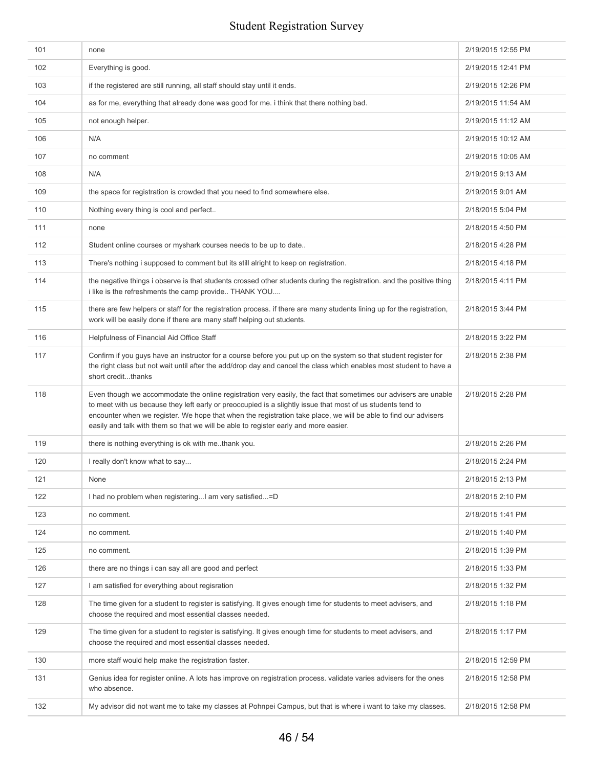| 101 | none                                                                                                                                                                                                                                                                                                                                                                                                                                      | 2/19/2015 12:55 PM |
|-----|-------------------------------------------------------------------------------------------------------------------------------------------------------------------------------------------------------------------------------------------------------------------------------------------------------------------------------------------------------------------------------------------------------------------------------------------|--------------------|
| 102 | Everything is good.                                                                                                                                                                                                                                                                                                                                                                                                                       | 2/19/2015 12:41 PM |
| 103 | if the registered are still running, all staff should stay until it ends.                                                                                                                                                                                                                                                                                                                                                                 | 2/19/2015 12:26 PM |
| 104 | as for me, everything that already done was good for me. i think that there nothing bad.                                                                                                                                                                                                                                                                                                                                                  | 2/19/2015 11:54 AM |
| 105 | not enough helper.                                                                                                                                                                                                                                                                                                                                                                                                                        | 2/19/2015 11:12 AM |
| 106 | N/A                                                                                                                                                                                                                                                                                                                                                                                                                                       | 2/19/2015 10:12 AM |
| 107 | no comment                                                                                                                                                                                                                                                                                                                                                                                                                                | 2/19/2015 10:05 AM |
| 108 | N/A                                                                                                                                                                                                                                                                                                                                                                                                                                       | 2/19/2015 9:13 AM  |
| 109 | the space for registration is crowded that you need to find somewhere else.                                                                                                                                                                                                                                                                                                                                                               | 2/19/2015 9:01 AM  |
| 110 | Nothing every thing is cool and perfect                                                                                                                                                                                                                                                                                                                                                                                                   | 2/18/2015 5:04 PM  |
| 111 | none                                                                                                                                                                                                                                                                                                                                                                                                                                      | 2/18/2015 4:50 PM  |
| 112 | Student online courses or myshark courses needs to be up to date                                                                                                                                                                                                                                                                                                                                                                          | 2/18/2015 4:28 PM  |
| 113 | There's nothing i supposed to comment but its still alright to keep on registration.                                                                                                                                                                                                                                                                                                                                                      | 2/18/2015 4:18 PM  |
| 114 | the negative things i observe is that students crossed other students during the registration. and the positive thing<br>i like is the refreshments the camp provide THANK YOU                                                                                                                                                                                                                                                            | 2/18/2015 4:11 PM  |
| 115 | there are few helpers or staff for the registration process. if there are many students lining up for the registration,<br>work will be easily done if there are many staff helping out students.                                                                                                                                                                                                                                         | 2/18/2015 3:44 PM  |
| 116 | Helpfulness of Financial Aid Office Staff                                                                                                                                                                                                                                                                                                                                                                                                 | 2/18/2015 3:22 PM  |
| 117 | Confirm if you guys have an instructor for a course before you put up on the system so that student register for<br>the right class but not wait until after the add/drop day and cancel the class which enables most student to have a<br>short creditthanks                                                                                                                                                                             | 2/18/2015 2:38 PM  |
| 118 | Even though we accommodate the online registration very easily, the fact that sometimes our advisers are unable<br>to meet with us because they left early or preoccupied is a slightly issue that most of us students tend to<br>encounter when we register. We hope that when the registration take place, we will be able to find our advisers<br>easily and talk with them so that we will be able to register early and more easier. | 2/18/2015 2:28 PM  |
| 119 | there is nothing everything is ok with methank you.                                                                                                                                                                                                                                                                                                                                                                                       | 2/18/2015 2:26 PM  |
| 120 | I really don't know what to say                                                                                                                                                                                                                                                                                                                                                                                                           | 2/18/2015 2:24 PM  |
| 121 | None                                                                                                                                                                                                                                                                                                                                                                                                                                      | 2/18/2015 2:13 PM  |
| 122 | I had no problem when registering I am very satisfied=D                                                                                                                                                                                                                                                                                                                                                                                   | 2/18/2015 2:10 PM  |
| 123 | no comment.                                                                                                                                                                                                                                                                                                                                                                                                                               | 2/18/2015 1:41 PM  |
| 124 | no comment.                                                                                                                                                                                                                                                                                                                                                                                                                               | 2/18/2015 1:40 PM  |
| 125 | no comment.                                                                                                                                                                                                                                                                                                                                                                                                                               | 2/18/2015 1:39 PM  |
| 126 | there are no things i can say all are good and perfect                                                                                                                                                                                                                                                                                                                                                                                    | 2/18/2015 1:33 PM  |
| 127 | I am satisfied for everything about regisration                                                                                                                                                                                                                                                                                                                                                                                           | 2/18/2015 1:32 PM  |
| 128 | The time given for a student to register is satisfying. It gives enough time for students to meet advisers, and<br>choose the required and most essential classes needed.                                                                                                                                                                                                                                                                 | 2/18/2015 1:18 PM  |
| 129 | The time given for a student to register is satisfying. It gives enough time for students to meet advisers, and<br>choose the required and most essential classes needed.                                                                                                                                                                                                                                                                 | 2/18/2015 1:17 PM  |
| 130 | more staff would help make the registration faster.                                                                                                                                                                                                                                                                                                                                                                                       | 2/18/2015 12:59 PM |
| 131 | Genius idea for register online. A lots has improve on registration process, validate varies advisers for the ones<br>who absence.                                                                                                                                                                                                                                                                                                        | 2/18/2015 12:58 PM |
| 132 | My advisor did not want me to take my classes at Pohnpei Campus, but that is where i want to take my classes.                                                                                                                                                                                                                                                                                                                             | 2/18/2015 12:58 PM |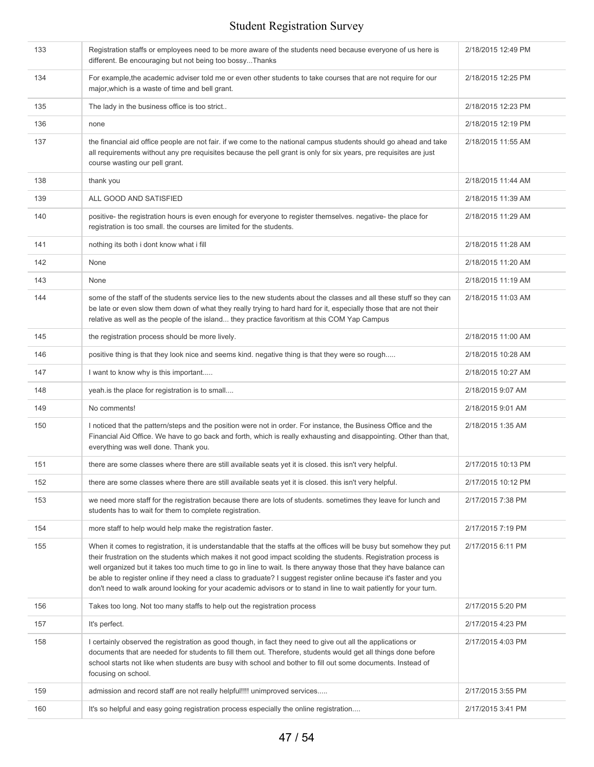| 133 | Registration staffs or employees need to be more aware of the students need because everyone of us here is<br>different. Be encouraging but not being too bossyThanks                                                                                                                                                                                                                                                                                                                                                                                                                                   | 2/18/2015 12:49 PM |
|-----|---------------------------------------------------------------------------------------------------------------------------------------------------------------------------------------------------------------------------------------------------------------------------------------------------------------------------------------------------------------------------------------------------------------------------------------------------------------------------------------------------------------------------------------------------------------------------------------------------------|--------------------|
| 134 | For example, the academic adviser told me or even other students to take courses that are not require for our<br>major, which is a waste of time and bell grant.                                                                                                                                                                                                                                                                                                                                                                                                                                        | 2/18/2015 12:25 PM |
| 135 | The lady in the business office is too strict                                                                                                                                                                                                                                                                                                                                                                                                                                                                                                                                                           | 2/18/2015 12:23 PM |
| 136 | none                                                                                                                                                                                                                                                                                                                                                                                                                                                                                                                                                                                                    | 2/18/2015 12:19 PM |
| 137 | the financial aid office people are not fair. if we come to the national campus students should go ahead and take<br>all requirements without any pre requisites because the pell grant is only for six years, pre requisites are just<br>course wasting our pell grant.                                                                                                                                                                                                                                                                                                                                | 2/18/2015 11:55 AM |
| 138 | thank you                                                                                                                                                                                                                                                                                                                                                                                                                                                                                                                                                                                               | 2/18/2015 11:44 AM |
| 139 | ALL GOOD AND SATISFIED                                                                                                                                                                                                                                                                                                                                                                                                                                                                                                                                                                                  | 2/18/2015 11:39 AM |
| 140 | positive- the registration hours is even enough for everyone to register themselves. negative- the place for<br>registration is too small. the courses are limited for the students.                                                                                                                                                                                                                                                                                                                                                                                                                    | 2/18/2015 11:29 AM |
| 141 | nothing its both i dont know what i fill                                                                                                                                                                                                                                                                                                                                                                                                                                                                                                                                                                | 2/18/2015 11:28 AM |
| 142 | None                                                                                                                                                                                                                                                                                                                                                                                                                                                                                                                                                                                                    | 2/18/2015 11:20 AM |
| 143 | None                                                                                                                                                                                                                                                                                                                                                                                                                                                                                                                                                                                                    | 2/18/2015 11:19 AM |
| 144 | some of the staff of the students service lies to the new students about the classes and all these stuff so they can<br>be late or even slow them down of what they really trying to hard hard for it, especially those that are not their<br>relative as well as the people of the island they practice favoritism at this COM Yap Campus                                                                                                                                                                                                                                                              | 2/18/2015 11:03 AM |
| 145 | the registration process should be more lively.                                                                                                                                                                                                                                                                                                                                                                                                                                                                                                                                                         | 2/18/2015 11:00 AM |
| 146 | positive thing is that they look nice and seems kind. negative thing is that they were so rough                                                                                                                                                                                                                                                                                                                                                                                                                                                                                                         | 2/18/2015 10:28 AM |
| 147 | I want to know why is this important                                                                                                                                                                                                                                                                                                                                                                                                                                                                                                                                                                    | 2/18/2015 10:27 AM |
| 148 | yeah.is the place for registration is to small                                                                                                                                                                                                                                                                                                                                                                                                                                                                                                                                                          | 2/18/2015 9:07 AM  |
| 149 | No comments!                                                                                                                                                                                                                                                                                                                                                                                                                                                                                                                                                                                            | 2/18/2015 9:01 AM  |
| 150 | I noticed that the pattern/steps and the position were not in order. For instance, the Business Office and the<br>Financial Aid Office. We have to go back and forth, which is really exhausting and disappointing. Other than that,<br>everything was well done. Thank you.                                                                                                                                                                                                                                                                                                                            | 2/18/2015 1:35 AM  |
| 151 | there are some classes where there are still available seats yet it is closed. this isn't very helpful.                                                                                                                                                                                                                                                                                                                                                                                                                                                                                                 | 2/17/2015 10:13 PM |
| 152 | there are some classes where there are still available seats yet it is closed. this isn't very helpful.                                                                                                                                                                                                                                                                                                                                                                                                                                                                                                 | 2/17/2015 10:12 PM |
| 153 | we need more staff for the registration because there are lots of students. sometimes they leave for lunch and<br>students has to wait for them to complete registration.                                                                                                                                                                                                                                                                                                                                                                                                                               | 2/17/2015 7:38 PM  |
| 154 | more staff to help would help make the registration faster.                                                                                                                                                                                                                                                                                                                                                                                                                                                                                                                                             | 2/17/2015 7:19 PM  |
| 155 | When it comes to registration, it is understandable that the staffs at the offices will be busy but somehow they put<br>their frustration on the students which makes it not good impact scolding the students. Registration process is<br>well organized but it takes too much time to go in line to wait. Is there anyway those that they have balance can<br>be able to register online if they need a class to graduate? I suggest register online because it's faster and you<br>don't need to walk around looking for your academic advisors or to stand in line to wait patiently for your turn. | 2/17/2015 6:11 PM  |
| 156 | Takes too long. Not too many staffs to help out the registration process                                                                                                                                                                                                                                                                                                                                                                                                                                                                                                                                | 2/17/2015 5:20 PM  |
| 157 | It's perfect.                                                                                                                                                                                                                                                                                                                                                                                                                                                                                                                                                                                           | 2/17/2015 4:23 PM  |
| 158 | I certainly observed the registration as good though, in fact they need to give out all the applications or<br>documents that are needed for students to fill them out. Therefore, students would get all things done before<br>school starts not like when students are busy with school and bother to fill out some documents. Instead of<br>focusing on school.                                                                                                                                                                                                                                      | 2/17/2015 4:03 PM  |
| 159 | admission and record staff are not really helpful!!!! unimproved services                                                                                                                                                                                                                                                                                                                                                                                                                                                                                                                               | 2/17/2015 3:55 PM  |
| 160 | It's so helpful and easy going registration process especially the online registration                                                                                                                                                                                                                                                                                                                                                                                                                                                                                                                  | 2/17/2015 3:41 PM  |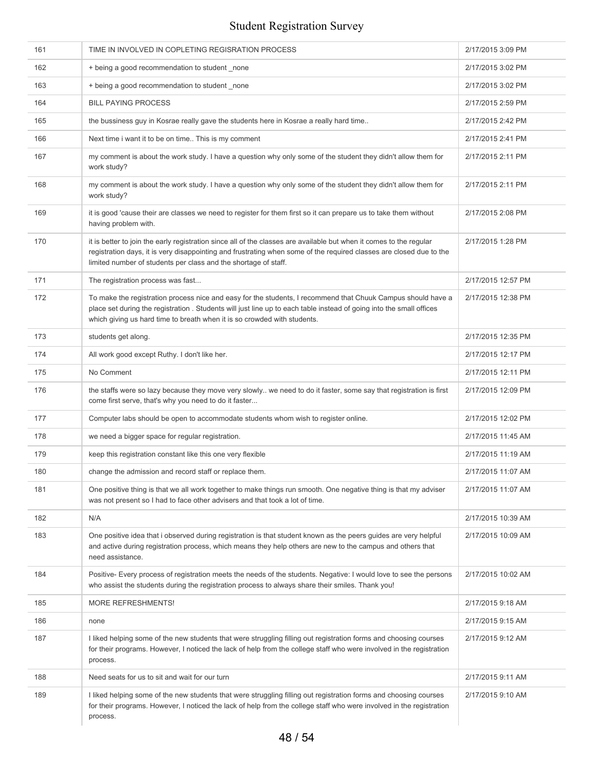| 161 | TIME IN INVOLVED IN COPLETING REGISRATION PROCESS                                                                                                                                                                                                                                                                | 2/17/2015 3:09 PM  |
|-----|------------------------------------------------------------------------------------------------------------------------------------------------------------------------------------------------------------------------------------------------------------------------------------------------------------------|--------------------|
| 162 | + being a good recommendation to student _none                                                                                                                                                                                                                                                                   | 2/17/2015 3:02 PM  |
| 163 | + being a good recommendation to student _none                                                                                                                                                                                                                                                                   | 2/17/2015 3:02 PM  |
| 164 | <b>BILL PAYING PROCESS</b>                                                                                                                                                                                                                                                                                       | 2/17/2015 2:59 PM  |
| 165 | the bussiness guy in Kosrae really gave the students here in Kosrae a really hard time                                                                                                                                                                                                                           | 2/17/2015 2:42 PM  |
| 166 | Next time i want it to be on time This is my comment                                                                                                                                                                                                                                                             | 2/17/2015 2:41 PM  |
| 167 | my comment is about the work study. I have a question why only some of the student they didn't allow them for<br>work study?                                                                                                                                                                                     | 2/17/2015 2:11 PM  |
| 168 | my comment is about the work study. I have a question why only some of the student they didn't allow them for<br>work study?                                                                                                                                                                                     | 2/17/2015 2:11 PM  |
| 169 | it is good 'cause their are classes we need to register for them first so it can prepare us to take them without<br>having problem with.                                                                                                                                                                         | 2/17/2015 2:08 PM  |
| 170 | it is better to join the early registration since all of the classes are available but when it comes to the regular<br>registration days, it is very disappointing and frustrating when some of the required classes are closed due to the<br>limited number of students per class and the shortage of staff.    | 2/17/2015 1:28 PM  |
| 171 | The registration process was fast                                                                                                                                                                                                                                                                                | 2/17/2015 12:57 PM |
| 172 | To make the registration process nice and easy for the students, I recommend that Chuuk Campus should have a<br>place set during the registration . Students will just line up to each table instead of going into the small offices<br>which giving us hard time to breath when it is so crowded with students. | 2/17/2015 12:38 PM |
| 173 | students get along.                                                                                                                                                                                                                                                                                              | 2/17/2015 12:35 PM |
| 174 | All work good except Ruthy. I don't like her.                                                                                                                                                                                                                                                                    | 2/17/2015 12:17 PM |
| 175 | No Comment                                                                                                                                                                                                                                                                                                       | 2/17/2015 12:11 PM |
| 176 | the staffs were so lazy because they move very slowly we need to do it faster, some say that registration is first<br>come first serve, that's why you need to do it faster                                                                                                                                      | 2/17/2015 12:09 PM |
| 177 | Computer labs should be open to accommodate students whom wish to register online.                                                                                                                                                                                                                               | 2/17/2015 12:02 PM |
| 178 | we need a bigger space for regular registration.                                                                                                                                                                                                                                                                 | 2/17/2015 11:45 AM |
| 179 | keep this registration constant like this one very flexible                                                                                                                                                                                                                                                      | 2/17/2015 11:19 AM |
| 180 | change the admission and record staff or replace them.                                                                                                                                                                                                                                                           | 2/17/2015 11:07 AM |
| 181 | One positive thing is that we all work together to make things run smooth. One negative thing is that my adviser<br>was not present so I had to face other advisers and that took a lot of time.                                                                                                                 | 2/17/2015 11:07 AM |
| 182 | N/A                                                                                                                                                                                                                                                                                                              | 2/17/2015 10:39 AM |
| 183 | One positive idea that i observed during registration is that student known as the peers guides are very helpful<br>and active during registration process, which means they help others are new to the campus and others that<br>need assistance.                                                               | 2/17/2015 10:09 AM |
| 184 | Positive- Every process of registration meets the needs of the students. Negative: I would love to see the persons<br>who assist the students during the registration process to always share their smiles. Thank you!                                                                                           | 2/17/2015 10:02 AM |
| 185 | MORE REFRESHMENTS!                                                                                                                                                                                                                                                                                               | 2/17/2015 9:18 AM  |
| 186 | none                                                                                                                                                                                                                                                                                                             | 2/17/2015 9:15 AM  |
| 187 | I liked helping some of the new students that were struggling filling out registration forms and choosing courses<br>for their programs. However, I noticed the lack of help from the college staff who were involved in the registration<br>process.                                                            | 2/17/2015 9:12 AM  |
| 188 | Need seats for us to sit and wait for our turn                                                                                                                                                                                                                                                                   | 2/17/2015 9:11 AM  |
| 189 | I liked helping some of the new students that were struggling filling out registration forms and choosing courses<br>for their programs. However, I noticed the lack of help from the college staff who were involved in the registration<br>process.                                                            | 2/17/2015 9:10 AM  |
|     |                                                                                                                                                                                                                                                                                                                  |                    |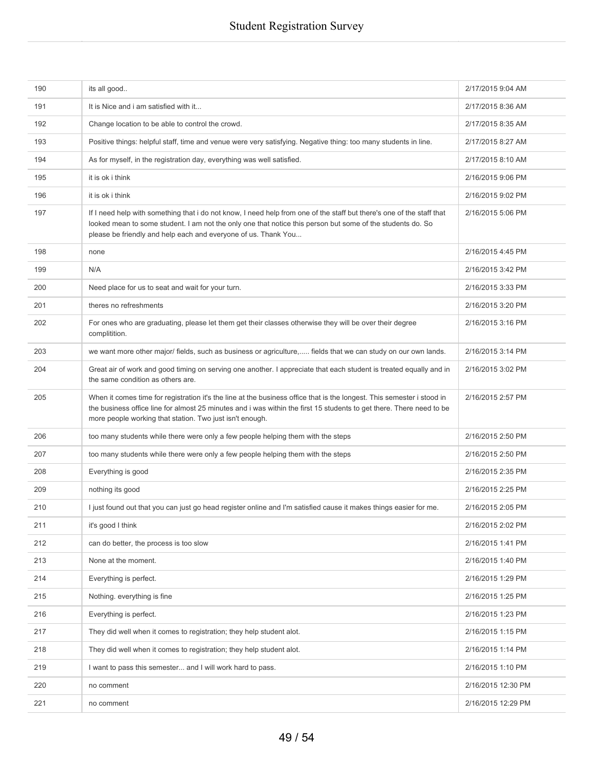| 190 | its all good                                                                                                                                                                                                                                                                                               | 2/17/2015 9:04 AM  |
|-----|------------------------------------------------------------------------------------------------------------------------------------------------------------------------------------------------------------------------------------------------------------------------------------------------------------|--------------------|
| 191 | It is Nice and i am satisfied with it                                                                                                                                                                                                                                                                      | 2/17/2015 8:36 AM  |
| 192 | Change location to be able to control the crowd.                                                                                                                                                                                                                                                           | 2/17/2015 8:35 AM  |
| 193 | Positive things: helpful staff, time and venue were very satisfying. Negative thing: too many students in line.                                                                                                                                                                                            | 2/17/2015 8:27 AM  |
| 194 | As for myself, in the registration day, everything was well satisfied.                                                                                                                                                                                                                                     | 2/17/2015 8:10 AM  |
| 195 | it is ok i think                                                                                                                                                                                                                                                                                           | 2/16/2015 9:06 PM  |
| 196 | it is ok i think                                                                                                                                                                                                                                                                                           | 2/16/2015 9:02 PM  |
| 197 | If I need help with something that i do not know, I need help from one of the staff but there's one of the staff that<br>looked mean to some student. I am not the only one that notice this person but some of the students do. So<br>please be friendly and help each and everyone of us. Thank You      | 2/16/2015 5:06 PM  |
| 198 | none                                                                                                                                                                                                                                                                                                       | 2/16/2015 4:45 PM  |
| 199 | N/A                                                                                                                                                                                                                                                                                                        | 2/16/2015 3:42 PM  |
| 200 | Need place for us to seat and wait for your turn.                                                                                                                                                                                                                                                          | 2/16/2015 3:33 PM  |
| 201 | theres no refreshments                                                                                                                                                                                                                                                                                     | 2/16/2015 3:20 PM  |
| 202 | For ones who are graduating, please let them get their classes otherwise they will be over their degree<br>complitition.                                                                                                                                                                                   | 2/16/2015 3:16 PM  |
| 203 | we want more other major/ fields, such as business or agriculture, fields that we can study on our own lands.                                                                                                                                                                                              | 2/16/2015 3:14 PM  |
| 204 | Great air of work and good timing on serving one another. I appreciate that each student is treated equally and in<br>the same condition as others are.                                                                                                                                                    | 2/16/2015 3:02 PM  |
| 205 | When it comes time for registration it's the line at the business office that is the longest. This semester i stood in<br>the business office line for almost 25 minutes and i was within the first 15 students to get there. There need to be<br>more people working that station. Two just isn't enough. | 2/16/2015 2:57 PM  |
| 206 | too many students while there were only a few people helping them with the steps                                                                                                                                                                                                                           | 2/16/2015 2:50 PM  |
| 207 | too many students while there were only a few people helping them with the steps                                                                                                                                                                                                                           | 2/16/2015 2:50 PM  |
| 208 | Everything is good                                                                                                                                                                                                                                                                                         | 2/16/2015 2:35 PM  |
| 209 | nothing its good                                                                                                                                                                                                                                                                                           | 2/16/2015 2:25 PM  |
| 210 | I just found out that you can just go head register online and I'm satisfied cause it makes things easier for me.                                                                                                                                                                                          | 2/16/2015 2:05 PM  |
| 211 | it's good I think                                                                                                                                                                                                                                                                                          | 2/16/2015 2:02 PM  |
| 212 | can do better, the process is too slow                                                                                                                                                                                                                                                                     | 2/16/2015 1:41 PM  |
| 213 | None at the moment.                                                                                                                                                                                                                                                                                        | 2/16/2015 1:40 PM  |
| 214 | Everything is perfect.                                                                                                                                                                                                                                                                                     | 2/16/2015 1:29 PM  |
| 215 | Nothing. everything is fine                                                                                                                                                                                                                                                                                | 2/16/2015 1:25 PM  |
| 216 | Everything is perfect.                                                                                                                                                                                                                                                                                     | 2/16/2015 1:23 PM  |
| 217 | They did well when it comes to registration; they help student alot.                                                                                                                                                                                                                                       | 2/16/2015 1:15 PM  |
| 218 | They did well when it comes to registration; they help student alot.                                                                                                                                                                                                                                       | 2/16/2015 1:14 PM  |
| 219 | I want to pass this semester and I will work hard to pass.                                                                                                                                                                                                                                                 | 2/16/2015 1:10 PM  |
| 220 | no comment                                                                                                                                                                                                                                                                                                 | 2/16/2015 12:30 PM |
| 221 | no comment                                                                                                                                                                                                                                                                                                 | 2/16/2015 12:29 PM |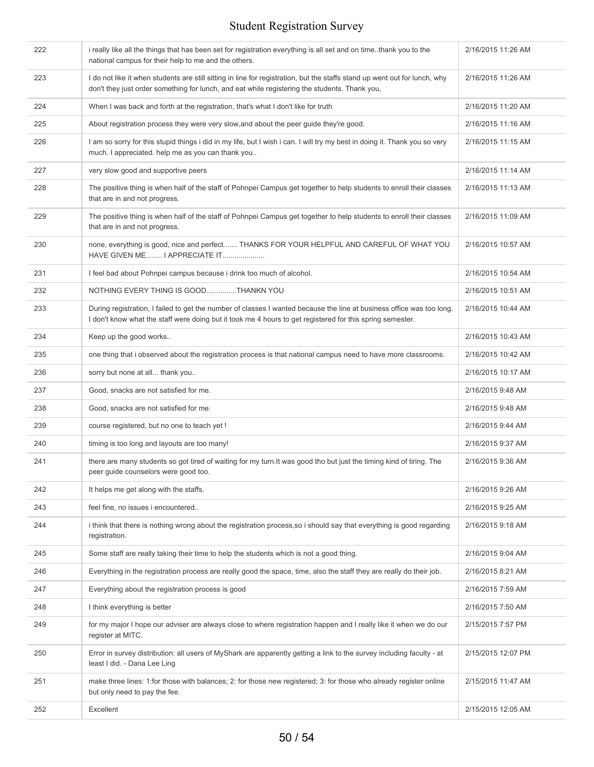| 222 | i really like all the things that has been set for registration everything is all set and on time. thank you to the<br>national campus for their help to me and the others.                                                        | 2/16/2015 11:26 AM |
|-----|------------------------------------------------------------------------------------------------------------------------------------------------------------------------------------------------------------------------------------|--------------------|
| 223 | I do not like it when students are still sitting in line for registration, but the staffs stand up went out for lunch, why<br>don't they just order something for lunch, and eat while registering the students. Thank you,        | 2/16/2015 11:26 AM |
| 224 | When I was back and forth at the registration, that's what I don't like for truth                                                                                                                                                  | 2/16/2015 11:20 AM |
| 225 | About registration process they were very slow, and about the peer guide they're good.                                                                                                                                             | 2/16/2015 11:16 AM |
| 226 | I am so sorry for this stupid things i did in my life, but I wish i can. I will try my best in doing it. Thank you so very<br>much. I appreciated. help me as you can thank you                                                    | 2/16/2015 11:15 AM |
| 227 | very slow good and supportive peers                                                                                                                                                                                                | 2/16/2015 11:14 AM |
| 228 | The positive thing is when half of the staff of Pohnpei Campus get together to help students to enroll their classes<br>that are in and not progress.                                                                              | 2/16/2015 11:13 AM |
| 229 | The positive thing is when half of the staff of Pohnpei Campus get together to help students to enroll their classes<br>that are in and not progress.                                                                              | 2/16/2015 11:09 AM |
| 230 | none, everything is good, nice and perfect THANKS FOR YOUR HELPFUL AND CAREFUL OF WHAT YOU<br>HAVE GIVEN ME I APPRECIATE IT                                                                                                        | 2/16/2015 10:57 AM |
| 231 | I feel bad about Pohnpei campus because i drink too much of alcohol.                                                                                                                                                               | 2/16/2015 10:54 AM |
| 232 | NOTHING EVERY THING IS GOODTHANKN YOU                                                                                                                                                                                              | 2/16/2015 10:51 AM |
| 233 | During registration, I failed to get the number of classes I wanted because the line at business office was too long.<br>I don't know what the staff were doing but it took me 4 hours to get registered for this spring semester. | 2/16/2015 10:44 AM |
| 234 | Keep up the good works                                                                                                                                                                                                             | 2/16/2015 10:43 AM |
| 235 | one thing that i observed about the registration process is that national campus need to have more classrooms.                                                                                                                     | 2/16/2015 10:42 AM |
| 236 | sorry but none at all thank you                                                                                                                                                                                                    | 2/16/2015 10:17 AM |
| 237 | Good, snacks are not satisfied for me.                                                                                                                                                                                             | 2/16/2015 9:48 AM  |
| 238 | Good, snacks are not satisfied for me.                                                                                                                                                                                             | 2/16/2015 9:48 AM  |
| 239 | course registered, but no one to teach yet !                                                                                                                                                                                       | 2/16/2015 9:44 AM  |
| 240 | timing is too long and layouts are too many!                                                                                                                                                                                       | 2/16/2015 9:37 AM  |
| 241 | there are many students so got tired of waiting for my turn. It was good tho but just the timing kind of tiring. The<br>peer guide counselors were good too.                                                                       | 2/16/2015 9:36 AM  |
| 242 | It helps me get along with the staffs.                                                                                                                                                                                             | 2/16/2015 9:26 AM  |
| 243 | feel fine, no issues i encountered                                                                                                                                                                                                 | 2/16/2015 9:25 AM  |
| 244 | i think that there is nothing wrong about the registration process, so i should say that everything is good regarding<br>registration.                                                                                             | 2/16/2015 9:18 AM  |
| 245 | Some staff are really taking their time to help the students which is not a good thing.                                                                                                                                            | 2/16/2015 9:04 AM  |
| 246 | Everything in the registration process are really good the space, time, also the staff they are really do their job.                                                                                                               | 2/16/2015 8:21 AM  |
| 247 | Everything about the registration process is good                                                                                                                                                                                  | 2/16/2015 7:59 AM  |
| 248 | I think everything is better                                                                                                                                                                                                       | 2/16/2015 7:50 AM  |
| 249 | for my major I hope our adviser are always close to where registration happen and I really like it when we do our<br>register at MITC.                                                                                             | 2/15/2015 7:57 PM  |
| 250 | Error in survey distribution: all users of MyShark are apparently getting a link to the survey including faculty - at<br>least I did. - Dana Lee Ling                                                                              | 2/15/2015 12:07 PM |
| 251 | make three lines: 1: for those with balances; 2: for those new registered; 3: for those who already register online<br>but only need to pay the fee.                                                                               | 2/15/2015 11:47 AM |
| 252 | Excellent                                                                                                                                                                                                                          | 2/15/2015 12:05 AM |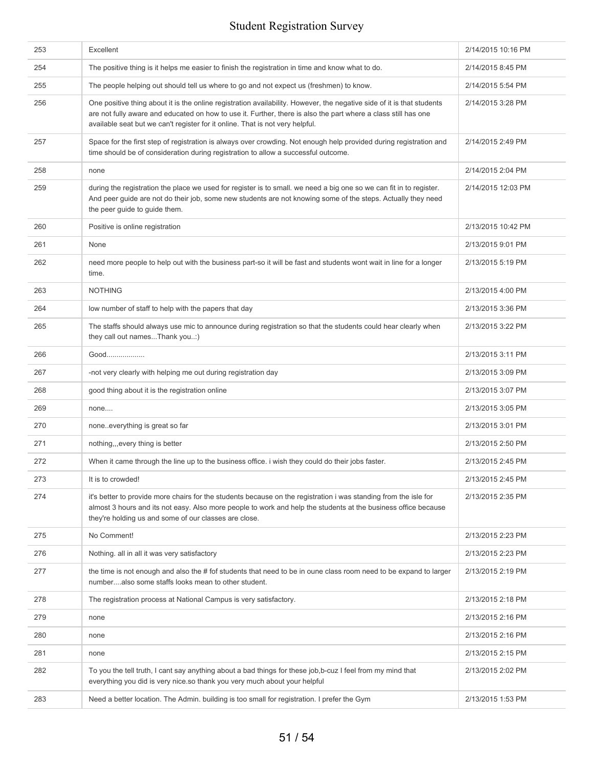| 253 | Excellent                                                                                                                                                                                                                                                                                                                 | 2/14/2015 10:16 PM |
|-----|---------------------------------------------------------------------------------------------------------------------------------------------------------------------------------------------------------------------------------------------------------------------------------------------------------------------------|--------------------|
| 254 | The positive thing is it helps me easier to finish the registration in time and know what to do.                                                                                                                                                                                                                          | 2/14/2015 8:45 PM  |
| 255 | The people helping out should tell us where to go and not expect us (freshmen) to know.                                                                                                                                                                                                                                   | 2/14/2015 5:54 PM  |
| 256 | One positive thing about it is the online registration availability. However, the negative side of it is that students<br>are not fully aware and educated on how to use it. Further, there is also the part where a class still has one<br>available seat but we can't register for it online. That is not very helpful. | 2/14/2015 3:28 PM  |
| 257 | Space for the first step of registration is always over crowding. Not enough help provided during registration and<br>time should be of consideration during registration to allow a successful outcome.                                                                                                                  | 2/14/2015 2:49 PM  |
| 258 | none                                                                                                                                                                                                                                                                                                                      | 2/14/2015 2:04 PM  |
| 259 | during the registration the place we used for register is to small. we need a big one so we can fit in to register.<br>And peer guide are not do their job, some new students are not knowing some of the steps. Actually they need<br>the peer guide to guide them.                                                      | 2/14/2015 12:03 PM |
| 260 | Positive is online registration                                                                                                                                                                                                                                                                                           | 2/13/2015 10:42 PM |
| 261 | None                                                                                                                                                                                                                                                                                                                      | 2/13/2015 9:01 PM  |
| 262 | need more people to help out with the business part-so it will be fast and students wont wait in line for a longer<br>time.                                                                                                                                                                                               | 2/13/2015 5:19 PM  |
| 263 | <b>NOTHING</b>                                                                                                                                                                                                                                                                                                            | 2/13/2015 4:00 PM  |
| 264 | low number of staff to help with the papers that day                                                                                                                                                                                                                                                                      | 2/13/2015 3:36 PM  |
| 265 | The staffs should always use mic to announce during registration so that the students could hear clearly when<br>they call out namesThank you:)                                                                                                                                                                           | 2/13/2015 3:22 PM  |
| 266 | Good                                                                                                                                                                                                                                                                                                                      | 2/13/2015 3:11 PM  |
| 267 | -not very clearly with helping me out during registration day                                                                                                                                                                                                                                                             | 2/13/2015 3:09 PM  |
| 268 | good thing about it is the registration online                                                                                                                                                                                                                                                                            | 2/13/2015 3:07 PM  |
| 269 | none                                                                                                                                                                                                                                                                                                                      | 2/13/2015 3:05 PM  |
| 270 | noneeverything is great so far                                                                                                                                                                                                                                                                                            | 2/13/2015 3:01 PM  |
| 271 | nothing,,, every thing is better                                                                                                                                                                                                                                                                                          | 2/13/2015 2:50 PM  |
| 272 | When it came through the line up to the business office. I wish they could do their jobs faster.                                                                                                                                                                                                                          | 2/13/2015 2:45 PM  |
| 273 | It is to crowded!                                                                                                                                                                                                                                                                                                         | 2/13/2015 2:45 PM  |
| 274 | it's better to provide more chairs for the students because on the registration i was standing from the isle for<br>almost 3 hours and its not easy. Also more people to work and help the students at the business office because<br>they're holding us and some of our classes are close.                               | 2/13/2015 2:35 PM  |
| 275 | No Comment!                                                                                                                                                                                                                                                                                                               | 2/13/2015 2:23 PM  |
| 276 | Nothing. all in all it was very satisfactory                                                                                                                                                                                                                                                                              | 2/13/2015 2:23 PM  |
| 277 | the time is not enough and also the # fof students that need to be in oune class room need to be expand to larger<br>numberalso some staffs looks mean to other student.                                                                                                                                                  | 2/13/2015 2:19 PM  |
| 278 | The registration process at National Campus is very satisfactory.                                                                                                                                                                                                                                                         | 2/13/2015 2:18 PM  |
| 279 | none                                                                                                                                                                                                                                                                                                                      | 2/13/2015 2:16 PM  |
| 280 | none                                                                                                                                                                                                                                                                                                                      | 2/13/2015 2:16 PM  |
| 281 | none                                                                                                                                                                                                                                                                                                                      | 2/13/2015 2:15 PM  |
| 282 | To you the tell truth, I cant say anything about a bad things for these job, b-cuz I feel from my mind that<br>everything you did is very nice so thank you very much about your helpful                                                                                                                                  | 2/13/2015 2:02 PM  |
| 283 | Need a better location. The Admin. building is too small for registration. I prefer the Gym                                                                                                                                                                                                                               | 2/13/2015 1:53 PM  |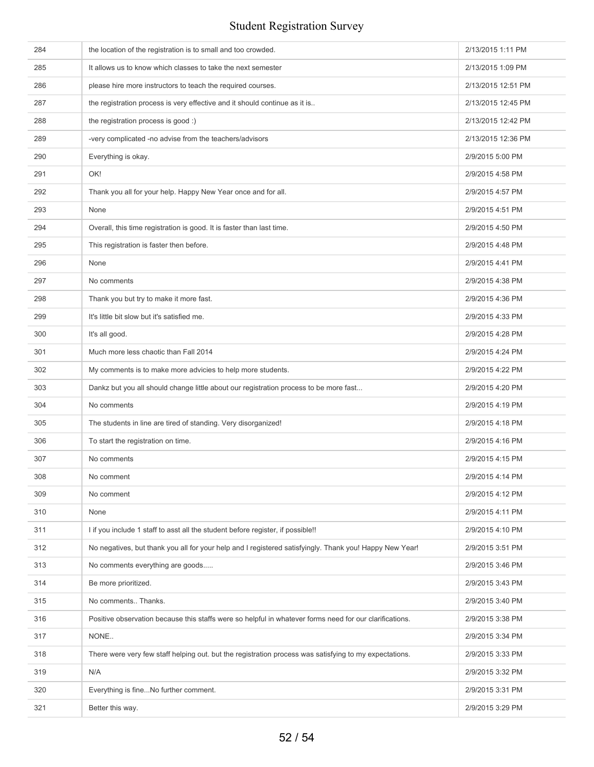| 284 | the location of the registration is to small and too crowded.                                           | 2/13/2015 1:11 PM  |
|-----|---------------------------------------------------------------------------------------------------------|--------------------|
| 285 | It allows us to know which classes to take the next semester                                            | 2/13/2015 1:09 PM  |
| 286 | please hire more instructors to teach the required courses.                                             | 2/13/2015 12:51 PM |
| 287 | the registration process is very effective and it should continue as it is                              | 2/13/2015 12:45 PM |
| 288 | the registration process is good :)                                                                     | 2/13/2015 12:42 PM |
| 289 | -very complicated -no advise from the teachers/advisors                                                 | 2/13/2015 12:36 PM |
| 290 | Everything is okay.                                                                                     | 2/9/2015 5:00 PM   |
| 291 | OK!                                                                                                     | 2/9/2015 4:58 PM   |
| 292 | Thank you all for your help. Happy New Year once and for all.                                           | 2/9/2015 4:57 PM   |
| 293 | None                                                                                                    | 2/9/2015 4:51 PM   |
| 294 | Overall, this time registration is good. It is faster than last time.                                   | 2/9/2015 4:50 PM   |
| 295 | This registration is faster then before.                                                                | 2/9/2015 4:48 PM   |
| 296 | None                                                                                                    | 2/9/2015 4:41 PM   |
| 297 | No comments                                                                                             | 2/9/2015 4:38 PM   |
| 298 | Thank you but try to make it more fast.                                                                 | 2/9/2015 4:36 PM   |
| 299 | It's little bit slow but it's satisfied me.                                                             | 2/9/2015 4:33 PM   |
| 300 | It's all good.                                                                                          | 2/9/2015 4:28 PM   |
| 301 | Much more less chaotic than Fall 2014                                                                   | 2/9/2015 4:24 PM   |
| 302 | My comments is to make more advicies to help more students.                                             | 2/9/2015 4:22 PM   |
| 303 | Dankz but you all should change little about our registration process to be more fast                   | 2/9/2015 4:20 PM   |
| 304 | No comments                                                                                             | 2/9/2015 4:19 PM   |
| 305 | The students in line are tired of standing. Very disorganized!                                          | 2/9/2015 4:18 PM   |
| 306 | To start the registration on time.                                                                      | 2/9/2015 4:16 PM   |
| 307 | No comments                                                                                             | 2/9/2015 4:15 PM   |
| 308 | No comment                                                                                              | 2/9/2015 4:14 PM   |
| 309 | No comment                                                                                              | 2/9/2015 4:12 PM   |
| 310 | None                                                                                                    | 2/9/2015 4:11 PM   |
| 311 | I if you include 1 staff to asst all the student before register, if possible!!                         | 2/9/2015 4:10 PM   |
| 312 | No negatives, but thank you all for your help and I registered satisfyingly. Thank you! Happy New Year! | 2/9/2015 3:51 PM   |
| 313 | No comments everything are goods                                                                        | 2/9/2015 3:46 PM   |
| 314 | Be more prioritized.                                                                                    | 2/9/2015 3:43 PM   |
| 315 | No comments Thanks.                                                                                     | 2/9/2015 3:40 PM   |
| 316 | Positive observation because this staffs were so helpful in whatever forms need for our clarifications. | 2/9/2015 3:38 PM   |
| 317 | NONE                                                                                                    | 2/9/2015 3:34 PM   |
| 318 | There were very few staff helping out. but the registration process was satisfying to my expectations.  | 2/9/2015 3:33 PM   |
| 319 | N/A                                                                                                     | 2/9/2015 3:32 PM   |
| 320 | Everything is fineNo further comment.                                                                   | 2/9/2015 3:31 PM   |
| 321 | Better this way.                                                                                        | 2/9/2015 3:29 PM   |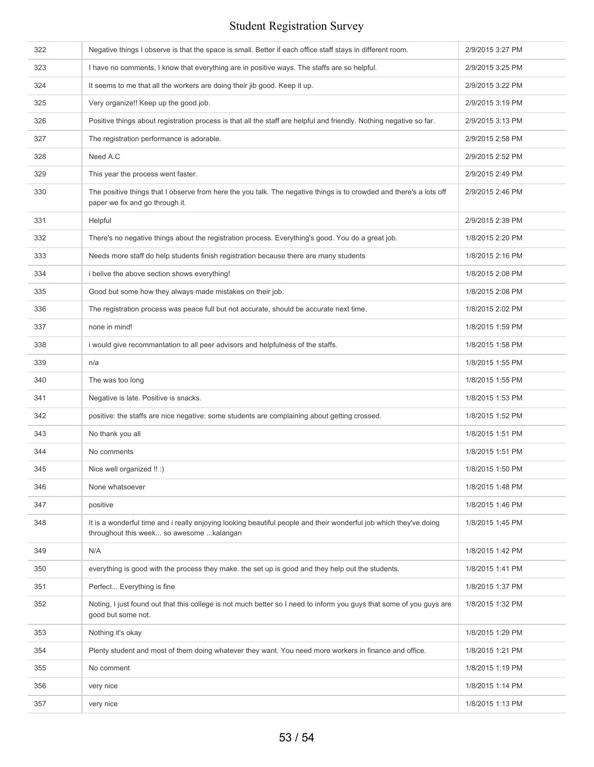| 322 | Negative things I observe is that the space is small. Better if each office staff stays in different room.                                                    | 2/9/2015 3:27 PM |
|-----|---------------------------------------------------------------------------------------------------------------------------------------------------------------|------------------|
| 323 | I have no comments, I know that everything are in positive ways. The staffs are so helpful.                                                                   | 2/9/2015 3:25 PM |
| 324 | It seems to me that all the workers are doing their jib good. Keep it up.                                                                                     | 2/9/2015 3:22 PM |
| 325 | Very organize!! Keep up the good job.                                                                                                                         | 2/9/2015 3:19 PM |
| 326 | Positive things about registration process is that all the staff are helpful and friendly. Nothing negative so far.                                           | 2/9/2015 3:13 PM |
| 327 | The registration performance is adorable.                                                                                                                     | 2/9/2015 2:58 PM |
| 328 | Need A.C                                                                                                                                                      | 2/9/2015 2:52 PM |
| 329 | This year the process went faster.                                                                                                                            | 2/9/2015 2:49 PM |
| 330 | The positive things that I observe from here the you talk. The negative things is to crowded and there's a lots off<br>paper we fix and go through it.        | 2/9/2015 2:46 PM |
| 331 | Helpful                                                                                                                                                       | 2/9/2015 2:39 PM |
| 332 | There's no negative things about the registration process. Everything's good. You do a great job.                                                             | 1/8/2015 2:20 PM |
| 333 | Needs more staff do help students finish registration because there are many students                                                                         | 1/8/2015 2:16 PM |
| 334 | i belive the above section shows everything!                                                                                                                  | 1/8/2015 2:08 PM |
| 335 | Good but some how they always made mistakes on their job.                                                                                                     | 1/8/2015 2:08 PM |
| 336 | The registration process was peace full but not accurate, should be accurate next time.                                                                       | 1/8/2015 2:02 PM |
| 337 | none in mind!                                                                                                                                                 | 1/8/2015 1:59 PM |
| 338 | i would give recommantation to all peer advisors and helpfulness of the staffs.                                                                               | 1/8/2015 1:58 PM |
| 339 | n/a                                                                                                                                                           | 1/8/2015 1:55 PM |
| 340 | The was too long                                                                                                                                              | 1/8/2015 1:55 PM |
| 341 | Negative is late. Positive is snacks.                                                                                                                         | 1/8/2015 1:53 PM |
| 342 | positive: the staffs are nice negative: some students are complaining about getting crossed.                                                                  | 1/8/2015 1:52 PM |
| 343 | No thank you all                                                                                                                                              | 1/8/2015 1:51 PM |
| 344 | No comments                                                                                                                                                   | 1/8/2015 1:51 PM |
| 345 | Nice well organized !! :)                                                                                                                                     | 1/8/2015 1:50 PM |
| 346 | None whatsoever                                                                                                                                               | 1/8/2015 1:48 PM |
| 347 | positive                                                                                                                                                      | 1/8/2015 1:46 PM |
| 348 | It is a wonderful time and i really enjoying looking beautiful people and their wonderful job which they've doing<br>throughout this week so awesome kalangan | 1/8/2015 1:45 PM |
| 349 | N/A                                                                                                                                                           | 1/8/2015 1:42 PM |
| 350 | everything is good with the process they make. the set up is good and they help out the students.                                                             | 1/8/2015 1:41 PM |
| 351 | Perfect Everything is fine                                                                                                                                    | 1/8/2015 1:37 PM |
| 352 | Noting, I just found out that this college is not much better so I need to inform you guys that some of you guys are<br>good but some not.                    | 1/8/2015 1:32 PM |
| 353 | Nothing it's okay                                                                                                                                             | 1/8/2015 1:29 PM |
| 354 | Plenty student and most of them doing whatever they want. You need more workers in finance and office.                                                        | 1/8/2015 1:21 PM |
| 355 | No comment                                                                                                                                                    | 1/8/2015 1:19 PM |
| 356 | very nice                                                                                                                                                     | 1/8/2015 1:14 PM |
| 357 | very nice                                                                                                                                                     | 1/8/2015 1:13 PM |